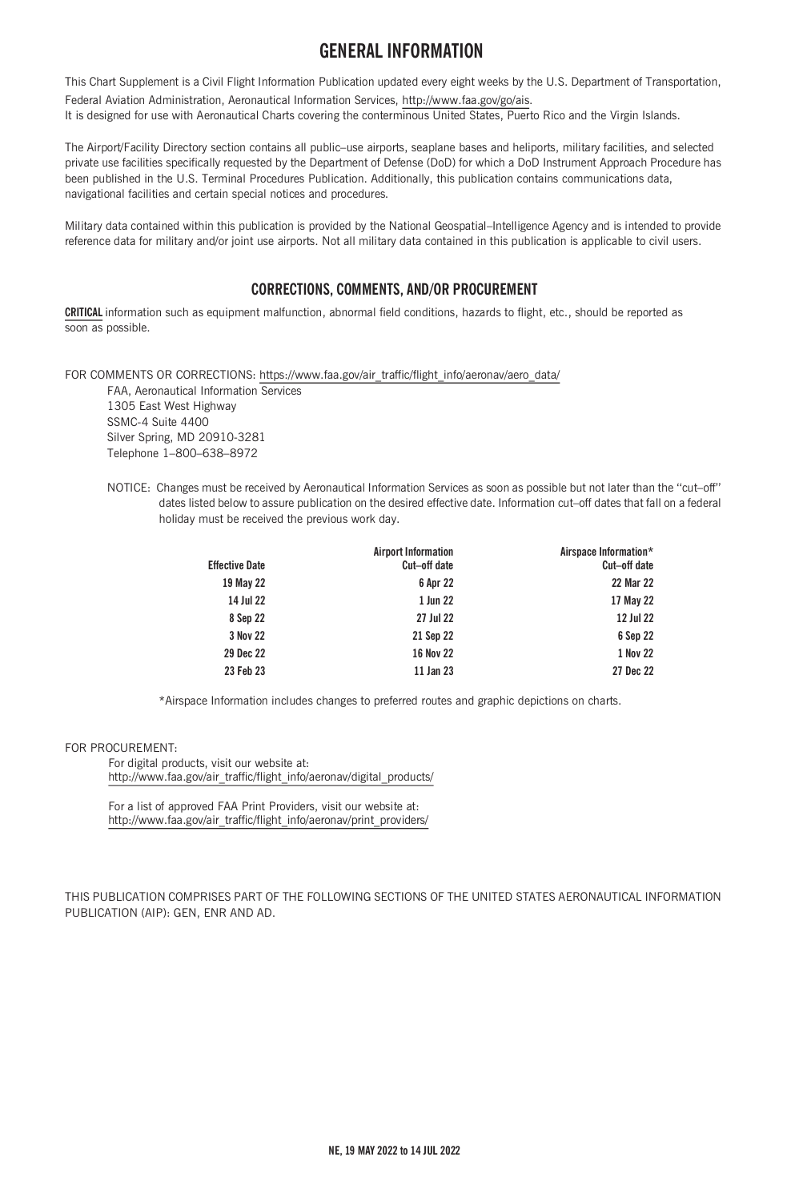This Chart Supplement is a Civil Flight Information Publication updated every eight weeks by the U.S. Department of Transportation, Federal Aviation Administration, Aeronautical Information Services, http://www.faa.gov/go/ais. It is designed for use with Aeronautical Charts covering the conterminous United States, Puerto Rico and the Virgin Islands.

The Airport/Facility Directory section contains all public–use airports, seaplane bases and heliports, military facilities, and selected private use facilities specifically requested by the Department of Defense (DoD) for which a DoD Instrument Approach Procedure has been published in the U.S. Terminal Procedures Publication. Additionally, this publication contains communications data, navigational facilities and certain special notices and procedures.

Military data contained within this publication is provided by the National Geospatial–Intelligence Agency and is intended to provide reference data for military and/or joint use airports. Not all military data contained in this publication is applicable to civil users.

### **CORRECTIONS, COMMENTS, AND/OR PROCUREMENT**

**CRITICAL** information such as equipment malfunction, abnormal field conditions, hazards to flight, etc., should be reported as soon as possible.

FOR COMMENTS OR CORRECTIONS: https://www.faa.gov/air\_traffic/flight\_info/aeronav/aero\_data/

FAA, Aeronautical Information Services 1305 East West Highway SSMC-4 Suite 4400 Silver Spring, MD 20910-3281 Telephone 1–800–638–8972

NOTICE: Changes must be received by Aeronautical Information Services as soon as possible but not later than the ''cut–off'' dates listed below to assure publication on the desired effective date. Information cut–off dates that fall on a federal holiday must be received the previous work day.

| Airspace Information*<br>Cut-off date | <b>Airport Information</b><br>Cut-off date | <b>Effective Date</b> |
|---------------------------------------|--------------------------------------------|-----------------------|
| 22 Mar 22                             | 6 Apr 22                                   | 19 May 22             |
| 17 May 22                             | 1 Jun 22                                   | 14 Jul 22             |
| 12 Jul 22                             | 27 Jul 22                                  | 8 Sep 22              |
| 6 Sep 22                              | 21 Sep 22                                  | 3 Nov 22              |
| 1 Nov 22                              | <b>16 Nov 22</b>                           | 29 Dec 22             |
| 27 Dec 22                             | 11 Jan 23                                  | 23 Feb 23             |

\*Airspace Information includes changes to preferred routes and graphic depictions on charts.

#### FOR PROCUREMENT:

For digital products, visit our website at: http://www.faa.gov/air\_traffic/flight\_info/aeronav/digital\_products/

For a list of approved FAA Print Providers, visit our website at: http://www.faa.gov/air\_traffic/flight\_info/aeronav/print\_providers/

THIS PUBLICATION COMPRISES PART OF THE FOLLOWING SECTIONS OF THE UNITED STATES AERONAUTICAL INFORMATION PUBLICATION (AIP): GEN, ENR AND AD.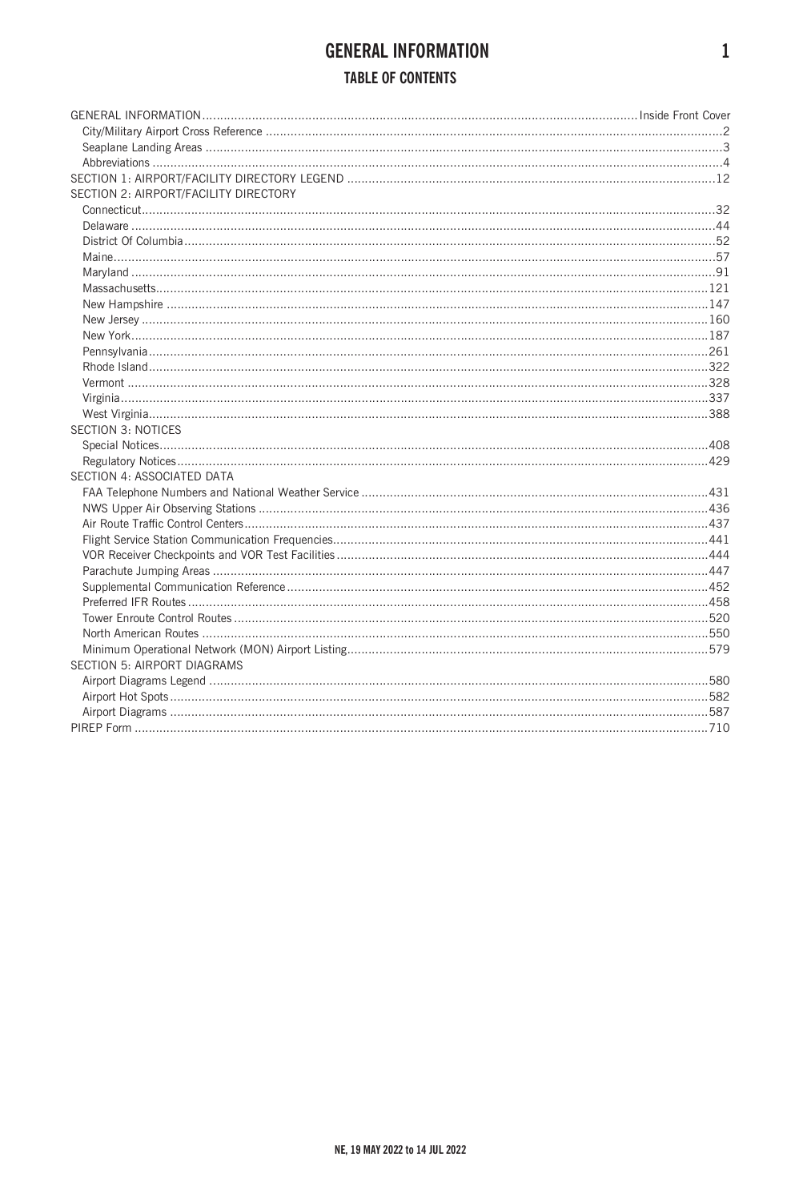# **GENERAL INFORMATION TABLE OF CONTENTS**

| SECTION 2: AIRPORT/FACILITY DIRECTORY |  |
|---------------------------------------|--|
|                                       |  |
|                                       |  |
|                                       |  |
|                                       |  |
|                                       |  |
|                                       |  |
|                                       |  |
|                                       |  |
|                                       |  |
|                                       |  |
|                                       |  |
|                                       |  |
|                                       |  |
|                                       |  |
| <b>SECTION 3: NOTICES</b>             |  |
|                                       |  |
|                                       |  |
| SECTION 4: ASSOCIATED DATA            |  |
|                                       |  |
|                                       |  |
|                                       |  |
|                                       |  |
|                                       |  |
|                                       |  |
|                                       |  |
|                                       |  |
|                                       |  |
|                                       |  |
|                                       |  |
| <b>SECTION 5: AIRPORT DIAGRAMS</b>    |  |
|                                       |  |
|                                       |  |
|                                       |  |
|                                       |  |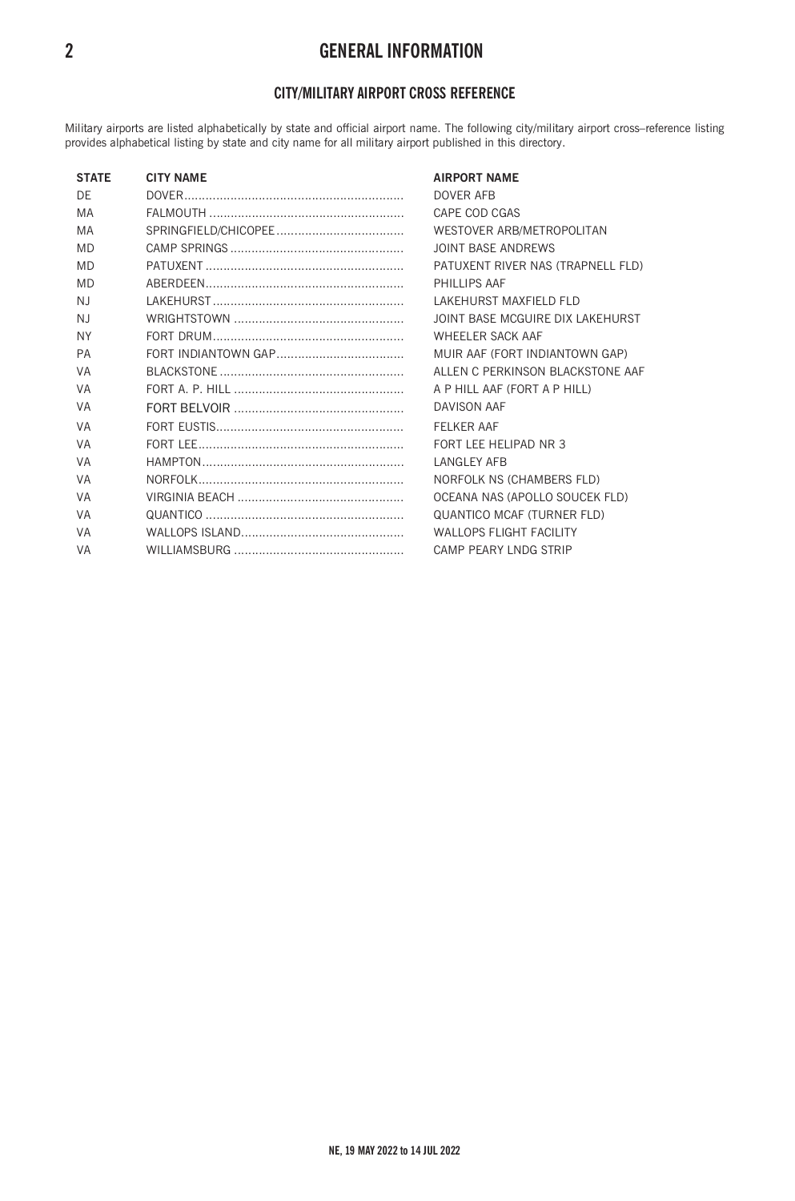### **CITY/MILITARY AIRPORT CROSS REFERENCE**

Military airports are listed alphabetically by state and official airport name. The following city/military airport cross–reference listing<br>provides alphabetical listing by state and city name for all military airport publ

| <b>STATE</b>   | <b>CITY NAME</b> | <b>AIRPORT NAME</b>               |
|----------------|------------------|-----------------------------------|
| DF             |                  | <b>DOVER AFB</b>                  |
| MA             |                  | CAPE COD CGAS                     |
| MA             |                  | WESTOVER ARB/METROPOLITAN         |
| <b>MD</b>      |                  | JOINT BASE ANDREWS                |
| <b>MD</b>      |                  | PATUXENT RIVER NAS (TRAPNELL FLD) |
| <b>MD</b>      |                  | PHILLIPS AAF                      |
| $N_{\cdot}$    |                  | <b>LAKEHURST MAXEIFLD FLD</b>     |
| N <sub>1</sub> |                  | JOINT BASE MCGUIRE DIX LAKFHURST  |
| <b>NY</b>      |                  | WHEELER SACK AAF                  |
| PA             |                  | MUIR AAF (FORT INDIANTOWN GAP)    |
| VA             |                  | ALLEN C PERKINSON BLACKSTONE AAF  |
| VA             |                  | A P HILL AAF (FORT A P HILL)      |
| VA             |                  | DAVISON AAF                       |
| VA             |                  | FFI KFR AAF                       |
| VA             |                  | FORT LEF HELIPAD NR 3             |
| VA             |                  | <b>LANGLEY AFB</b>                |
| VA             |                  | NORFOLK NS (CHAMBERS FLD)         |
| VA             |                  | OCEANA NAS (APOLLO SOUCEK FLD)    |
| VA             |                  | <b>QUANTICO MCAF (TURNER FLD)</b> |
| VA             |                  | WAI LOPS FLIGHT FACILITY          |
| VA             |                  | CAMP PFARY I NDG STRIP            |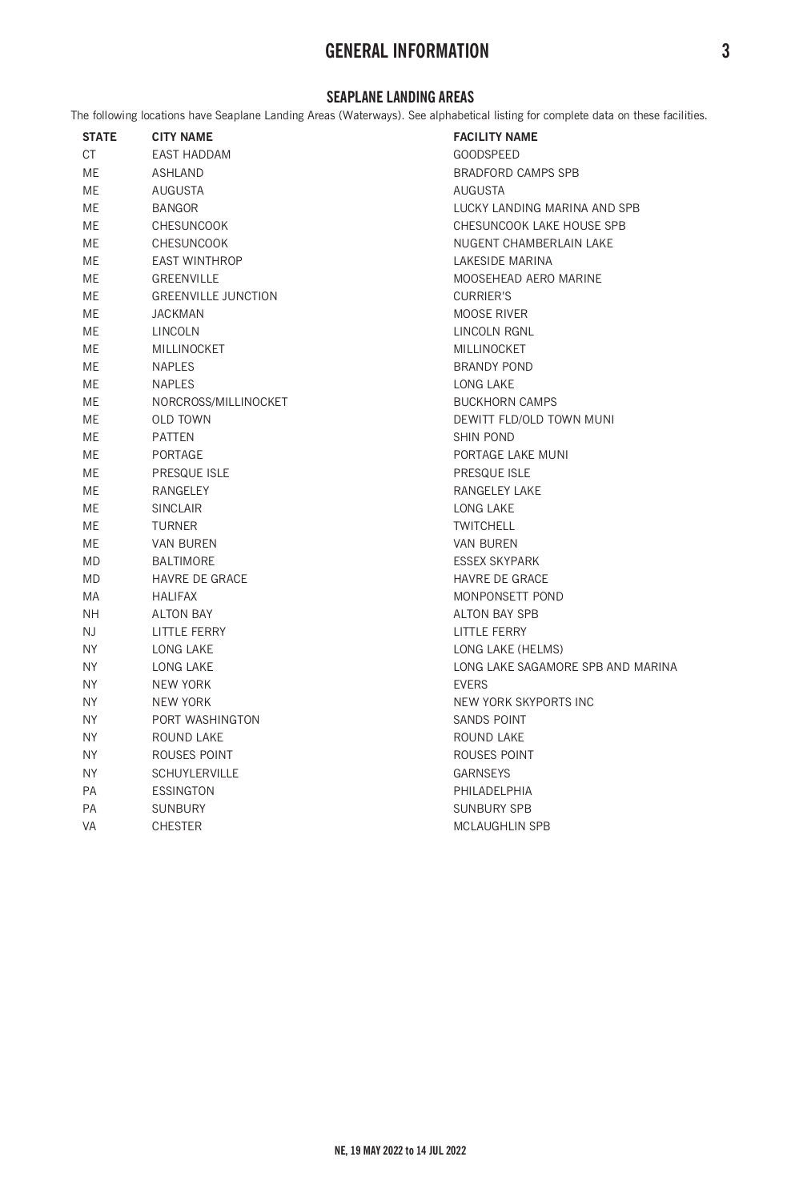### **SEAPLANE LANDING AREAS**

The following locations have Seaplane Landing Areas (Waterways). See alphabetical listing for complete data on these facilities.

| <b>STATE</b> | <b>CITY NAME</b>           | <b>FACILITY NAME</b>              |
|--------------|----------------------------|-----------------------------------|
| CT.          | <b>FAST HADDAM</b>         | <b>GOODSPFFD</b>                  |
| ME           | <b>ASHLAND</b>             | <b>BRADFORD CAMPS SPB</b>         |
| МE           | <b>AUGUSTA</b>             | AUGUSTA                           |
| ME           | <b>BANGOR</b>              | LUCKY LANDING MARINA AND SPB      |
| ME           | <b>CHESUNCOOK</b>          | CHESUNCOOK LAKE HOUSE SPB         |
| ME           | <b>CHESUNCOOK</b>          | NUGENT CHAMBERLAIN LAKE           |
| MF           | <b>FAST WINTHROP</b>       | <b>LAKESIDE MARINA</b>            |
| ME           | GREENVILLE                 | MOOSEHEAD AERO MARINE             |
| МE           | <b>GREENVILLE JUNCTION</b> | CURRIFR'S                         |
| МE           | <b>JACKMAN</b>             | <b>MOOSE RIVER</b>                |
| ME           | <b>LINCOLN</b>             | <b>I INCOIN RGNI</b>              |
| ME           | MILLINOCKET                | MILLINOCKET                       |
| ME           | <b>NAPLES</b>              | <b>BRANDY POND</b>                |
| ME           | <b>NAPLES</b>              | LONG LAKE                         |
| ME           | NORCROSS/MILLINOCKET       | <b>BUCKHORN CAMPS</b>             |
| ME           | <b>OLD TOWN</b>            | DEWITT FLD/OLD TOWN MUNI          |
| ME           | <b>PATTEN</b>              | SHIN POND                         |
| MF           | PORTAGE                    | PORTAGE LAKE MUNI                 |
| МE           | PRESQUE ISLE               | PRESQUE ISLE                      |
| ME           | RANGELEY                   | RANGELEY LAKE                     |
| МE           | <b>SINCLAIR</b>            | LONG LAKE                         |
| MF           | <b>TURNFR</b>              | <b>TWITCHFLL</b>                  |
| MF           | <b>VAN BUREN</b>           | <b>VAN BUREN</b>                  |
| MD           | BALTIMORE                  | <b>ESSEX SKYPARK</b>              |
| MD           | <b>HAVRE DE GRACE</b>      | <b>HAVRE DE GRACE</b>             |
| МA           | <b>HALIFAX</b>             | MONPONSETT POND                   |
| NH.          | <b>ALTON BAY</b>           | ALTON BAY SPB                     |
| <b>NJ</b>    | LITTLE FERRY               | LITTLE FERRY                      |
| NY.          | LONG LAKE                  | LONG LAKE (HELMS)                 |
| NY.          | LONG LAKE                  | LONG LAKE SAGAMORE SPB AND MARINA |
| NY.          | <b>NEW YORK</b>            | <b>FVFRS</b>                      |
| NY.          | <b>NEW YORK</b>            | NEW YORK SKYPORTS INC             |
| NY.          | PORT WASHINGTON            | SANDS POINT                       |
| NY.          | ROUND LAKE                 | ROUND LAKE                        |
| NY.          | ROUSES POINT               | ROUSES POINT                      |
| NY.          | <b>SCHUYLERVILLE</b>       | <b>GARNSEYS</b>                   |
| PA           | <b>ESSINGTON</b>           | PHILADELPHIA                      |
| PA           | <b>SUNBURY</b>             | <b>SUNBURY SPB</b>                |
| VA           | <b>CHESTER</b>             | MCI AUGHLIN SPB                   |
|              |                            |                                   |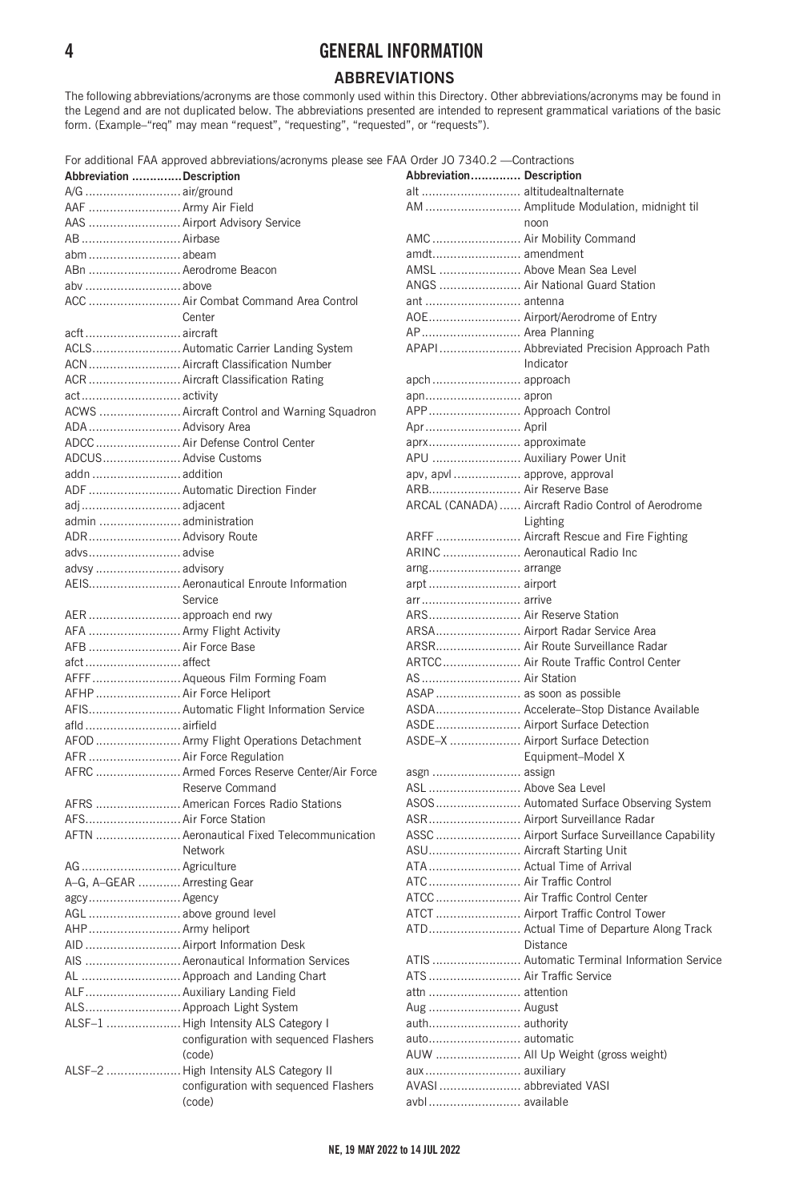### Abbreviations **ABBREVIATIONS**

The following abbreviations/acronyms are those commonly used within this Directory. Other abbreviations/acronyms may be found in the Legend and are not duplicated below. The abbreviations presented are intended to represent grammatical variations of the basic form. (Example–"req" may mean "request", "requesting", "requested", or "requests").

|                             | For additional FAA approved abbreviations/acronyms please see FAA |
|-----------------------------|-------------------------------------------------------------------|
| Abbreviation Description    |                                                                   |
| A/G  air/ground             |                                                                   |
| AAF  Army Air Field         |                                                                   |
|                             | AAS  Airport Advisory Service                                     |
| AB  Airbase                 |                                                                   |
| abm  abeam                  |                                                                   |
| ABn  Aerodrome Beacon       |                                                                   |
| abv  above                  |                                                                   |
|                             | ACC  Air Combat Command Area Control                              |
|                             | Center                                                            |
| acft aircraft               |                                                                   |
|                             | ACLS Automatic Carrier Landing System                             |
|                             | ACN Aircraft Classification Number                                |
|                             | ACR  Aircraft Classification Rating                               |
| act activity                |                                                                   |
|                             | ACWS  Aircraft Control and Warning Squadron                       |
| ADA  Advisory Area          |                                                                   |
|                             | ADCC  Air Defense Control Center                                  |
| ADCUS Advise Customs        |                                                                   |
| addn  addition              |                                                                   |
|                             | ADF  Automatic Direction Finder                                   |
|                             |                                                                   |
| adj  adjacent               |                                                                   |
| admin  administration       |                                                                   |
| ADR Advisory Route          |                                                                   |
| advs advise                 |                                                                   |
| advsy  advisory             |                                                                   |
|                             | AEIS Aeronautical Enroute Information                             |
|                             | Service                                                           |
| AER approach end rwy        |                                                                   |
| AFA  Army Flight Activity   |                                                                   |
| AFB  Air Force Base         |                                                                   |
| afct affect                 |                                                                   |
|                             | AFFF Aqueous Film Forming Foam                                    |
| AFHP  Air Force Heliport    |                                                                   |
|                             | AFIS Automatic Flight Information Service                         |
| afld airfield               |                                                                   |
|                             | AFOD  Army Flight Operations Detachment                           |
| AFR  Air Force Regulation   |                                                                   |
|                             | AFRC  Armed Forces Reserve Center/Air Force                       |
|                             | Reserve Command                                                   |
|                             | AFRS  American Forces Radio Stations                              |
| AFS Air Force Station       |                                                                   |
|                             | AFTN  Aeronautical Fixed Telecommunication                        |
|                             | Network                                                           |
| AG  Agriculture             |                                                                   |
| A-G, A-GEAR  Arresting Gear |                                                                   |
| agcy Agency                 |                                                                   |
| AGL  above ground level     |                                                                   |
| AHP Army heliport           |                                                                   |
|                             | AID  Airport Information Desk                                     |
|                             | AIS  Aeronautical Information Services                            |
|                             | AL  Approach and Landing Chart                                    |
|                             | ALF Auxiliary Landing Field                                       |
|                             | ALS Approach Light System                                         |
|                             | ALSF-1  High Intensity ALS Category I                             |
|                             | configuration with sequenced Flashers                             |
|                             | (code)                                                            |
|                             | ALSF-2  High Intensity ALS Category II                            |
|                             | configuration with sequenced Flashers                             |
|                             | (code)                                                            |
|                             |                                                                   |

| A Order JO 7340.2 —Contractions |                                                     |
|---------------------------------|-----------------------------------------------------|
| Abbreviation Description        |                                                     |
| alt  altitudealtnalternate      |                                                     |
|                                 | AM  Amplitude Modulation, midnight til              |
|                                 | noon                                                |
|                                 | AMC Air Mobility Command                            |
| amdt amendment                  |                                                     |
|                                 | AMSL  Above Mean Sea Level                          |
|                                 | ANGS  Air National Guard Station                    |
| ant  antenna                    |                                                     |
|                                 | AOE Airport/Aerodrome of Entry                      |
| AP Area Planning                |                                                     |
|                                 | APAPI  Abbreviated Precision Approach Path          |
|                                 | Indicator                                           |
| apch approach                   |                                                     |
|                                 |                                                     |
| apn apron                       |                                                     |
| APP Approach Control            |                                                     |
| Apr April                       |                                                     |
| aprx approximate                |                                                     |
| APU  Auxiliary Power Unit       |                                                     |
| apv, apvl  approve, approval    |                                                     |
| ARB Air Reserve Base            |                                                     |
|                                 | ARCAL (CANADA)  Aircraft Radio Control of Aerodrome |
|                                 | Lighting                                            |
|                                 | ARFF  Aircraft Rescue and Fire Fighting             |
|                                 | ARINC  Aeronautical Radio Inc                       |
| arng arrange                    |                                                     |
| arpt  airport                   |                                                     |
| arr arrive                      |                                                     |
| ARS Air Reserve Station         |                                                     |
|                                 | ARSA Airport Radar Service Area                     |
|                                 | ARSR Air Route Surveillance Radar                   |
|                                 | ARTCC Air Route Traffic Control Center              |
| AS  Air Station                 |                                                     |
| ASAP  as soon as possible       |                                                     |
|                                 | ASDA Accelerate-Stop Distance Available             |
|                                 | ASDE Airport Surface Detection                      |
|                                 | ASDE-X  Airport Surface Detection                   |
|                                 | Equipment-Model X                                   |
| asgn  assign                    |                                                     |
| ASL  Above Sea Level            |                                                     |
|                                 | ASOS Automated Surface Observing System             |
|                                 | ASR Airport Surveillance Radar                      |
|                                 | ASSC  Airport Surface Surveillance Capability       |
| ASU Aircraft Starting Unit      |                                                     |
| ATA Actual Time of Arrival      |                                                     |
|                                 |                                                     |
| ATC Air Traffic Control         |                                                     |
|                                 | ATCC  Air Traffic Control Center                    |
|                                 | ATCT  Airport Traffic Control Tower                 |
|                                 | ATD Actual Time of Departure Along Track            |
|                                 | Distance                                            |
|                                 | ATIS  Automatic Terminal Information Service        |
| ATS  Air Traffic Service        |                                                     |
| attn  attention                 |                                                     |
| Aug  August                     |                                                     |
| auth authority                  |                                                     |
| auto automatic                  |                                                     |
|                                 | AUW  All Up Weight (gross weight)                   |
| aux auxiliary                   |                                                     |
| AVASI  abbreviated VASI         |                                                     |
| avbl available                  |                                                     |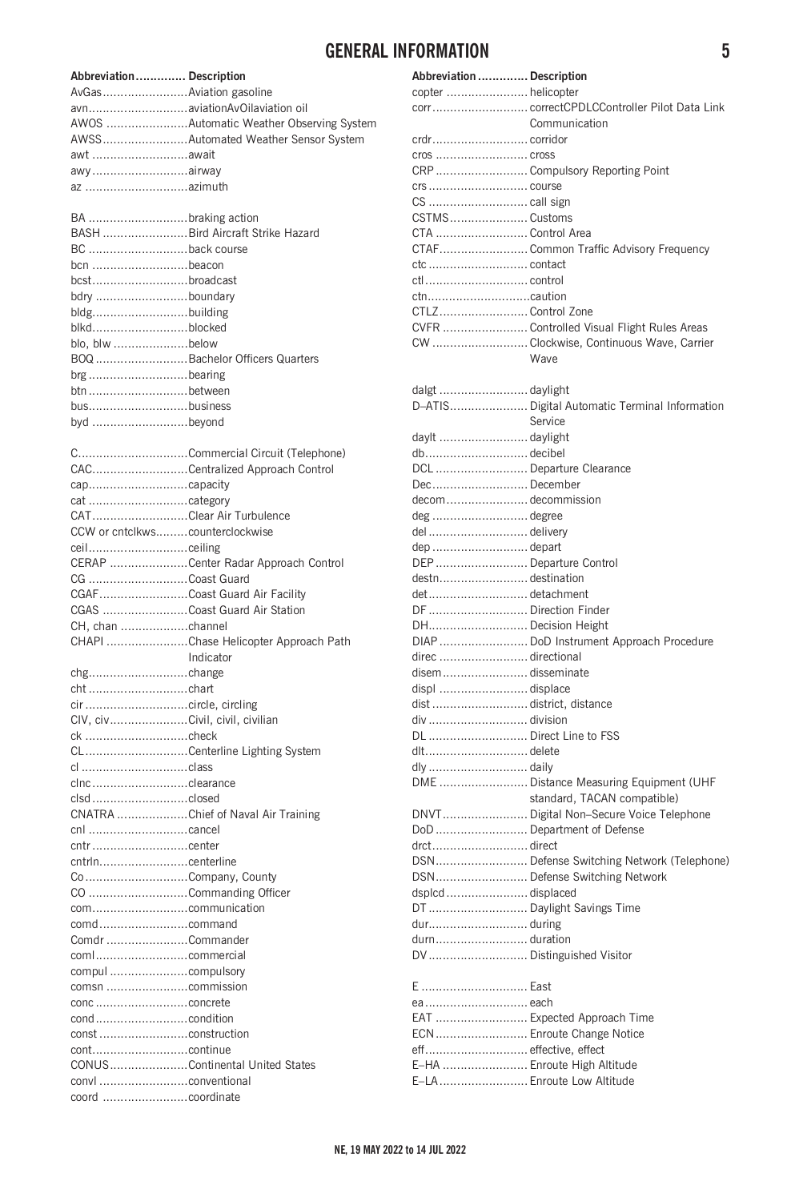| Abbreviation Description        |                                         |
|---------------------------------|-----------------------------------------|
| AvGas Aviation gasoline         |                                         |
|                                 | avnaviationAvOilaviation oil            |
|                                 |                                         |
|                                 | AWOS Automatic Weather Observing System |
|                                 | AWSSAutomated Weather Sensor System     |
| awt await                       |                                         |
| awyairway                       |                                         |
| az azimuth                      |                                         |
|                                 |                                         |
| BA braking action               |                                         |
|                                 | BASH Bird Aircraft Strike Hazard        |
| BC back course                  |                                         |
| bcn beacon                      |                                         |
| bcstbroadcast                   |                                         |
|                                 |                                         |
| bldgbuilding                    |                                         |
| blkdblocked                     |                                         |
|                                 |                                         |
| blo, blw below                  |                                         |
|                                 | BOQ Bachelor Officers Quarters          |
| brg bearing                     |                                         |
| btn between                     |                                         |
| busbusiness                     |                                         |
| byd beyond                      |                                         |
|                                 |                                         |
|                                 | CCommercial Circuit (Telephone)         |
|                                 | CACCentralized Approach Control         |
|                                 |                                         |
| cat category                    |                                         |
| CATClear Air Turbulence         |                                         |
| CCW or cntclkwscounterclockwise |                                         |
|                                 |                                         |
|                                 | CERAP Center Radar Approach Control     |
| CG Coast Guard                  |                                         |
|                                 |                                         |
|                                 | CGAFCoast Guard Air Facility            |
|                                 | CGAS Coast Guard Air Station            |
| CH, chan channel                |                                         |
|                                 | CHAPI Chase Helicopter Approach Path    |
|                                 | Indicator                               |
|                                 |                                         |
|                                 |                                         |
| cir circle, circling            |                                         |
| CIV, civCivil, civil, civilian  |                                         |
| ck check                        |                                         |
|                                 | CLCenterline Lighting System            |
| cl class                        |                                         |
| clncclearance                   |                                         |
| clsdclosed                      |                                         |
|                                 | CNATRA Chief of Naval Air Training      |
|                                 |                                         |
|                                 |                                         |
| cntr center                     |                                         |
| cntrlncenterline                |                                         |
| CoCompany, County               |                                         |
| CO Commanding Officer           |                                         |
| comcommunication                |                                         |
|                                 |                                         |
| Comdr Commander                 |                                         |
|                                 |                                         |
|                                 |                                         |
|                                 |                                         |
|                                 |                                         |
|                                 |                                         |
|                                 |                                         |
|                                 |                                         |
|                                 | CONUSContinental United States          |
|                                 |                                         |
|                                 |                                         |
|                                 |                                         |

| Abbreviation  Description   |                                               |
|-----------------------------|-----------------------------------------------|
|                             |                                               |
|                             |                                               |
|                             | corr correctCPDLCController Pilot Data Link   |
|                             | Communication                                 |
|                             |                                               |
|                             |                                               |
|                             | CRP  Compulsory Reporting Point               |
|                             |                                               |
|                             |                                               |
| <b>CSTMSCustoms</b>         |                                               |
| CTA  Control Area           |                                               |
|                             |                                               |
|                             | CTAF Common Traffic Advisory Frequency        |
|                             |                                               |
|                             |                                               |
| ctncaution                  |                                               |
| CTLZ Control Zone           |                                               |
|                             | CVFR  Controlled Visual Flight Rules Areas    |
|                             | CW  Clockwise, Continuous Wave, Carrier       |
|                             | Wave                                          |
|                             |                                               |
| dalgt daylight              |                                               |
|                             |                                               |
|                             | D-ATIS Digital Automatic Terminal Information |
|                             | Service                                       |
| daylt daylight              |                                               |
| db decibel                  |                                               |
| DCL  Departure Clearance    |                                               |
| Dec December                |                                               |
| decomdecommission           |                                               |
| deg  degree                 |                                               |
| del  delivery               |                                               |
|                             |                                               |
| dep  depart                 |                                               |
| DEP  Departure Control      |                                               |
| destndestination            |                                               |
| detdetachment               |                                               |
| DF  Direction Finder        |                                               |
| DH Decision Height          |                                               |
|                             | DIAP  DoD Instrument Approach Procedure       |
| direc  directional          |                                               |
| disem  disseminate          |                                               |
| displ  displace             |                                               |
|                             |                                               |
| dist  district, distance    |                                               |
| div  division               |                                               |
| DL  Direct Line to FSS      |                                               |
| dlt delete                  |                                               |
| dly  daily                  |                                               |
|                             | DME  Distance Measuring Equipment (UHF        |
|                             | standard, TACAN compatible)                   |
|                             | DNVT Digital Non-Secure Voice Telephone       |
|                             | DoD  Department of Defense                    |
|                             |                                               |
| drctdirect                  |                                               |
|                             | DSN Defense Switching Network (Telephone)     |
|                             | DSN Defense Switching Network                 |
| dsplcddisplaced             |                                               |
|                             | DT  Daylight Savings Time                     |
| dur during                  |                                               |
| durnduration                |                                               |
| DV  Distinguished Visitor   |                                               |
|                             |                                               |
|                             |                                               |
| E  East                     |                                               |
| ea each                     |                                               |
|                             | EAT  Expected Approach Time                   |
|                             | ECN  Enroute Change Notice                    |
| eff effective, effect       |                                               |
| E-HA  Enroute High Altitude |                                               |
| E-LA Enroute Low Altitude   |                                               |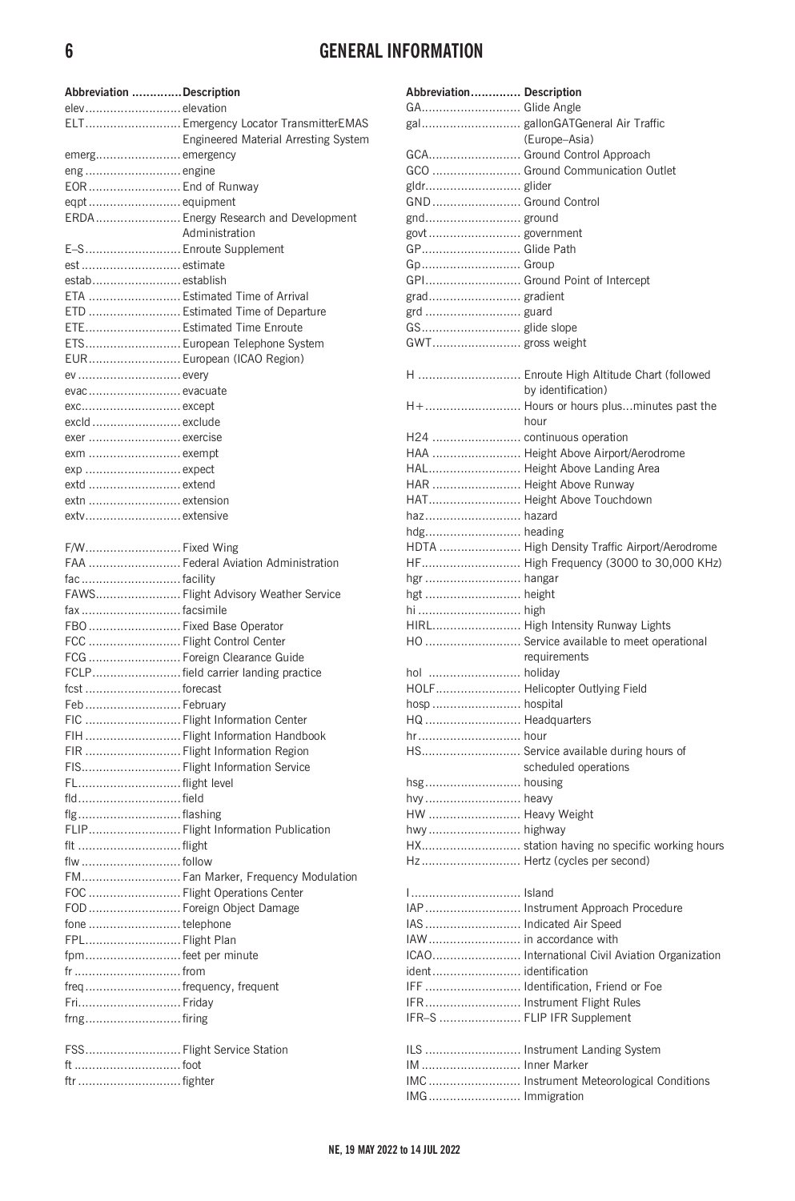| Abbreviation Description<br>elev elevation |                                                                               |
|--------------------------------------------|-------------------------------------------------------------------------------|
|                                            | ELT Emergency Locator TransmitterEMAS<br>Engineered Material Arresting System |
| emerg emergency                            |                                                                               |
| eng engine                                 |                                                                               |
| EOR  End of Runway                         |                                                                               |
| eqpt  equipment                            |                                                                               |
|                                            | ERDA  Energy Research and Development                                         |
|                                            | Administration                                                                |
| E-S Enroute Supplement                     |                                                                               |
| est  estimate<br>estabestablish            |                                                                               |
|                                            | ETA  Estimated Time of Arrival                                                |
|                                            | ETD  Estimated Time of Departure                                              |
|                                            | ETE Estimated Time Enroute                                                    |
|                                            | ETS European Telephone System                                                 |
|                                            | EUR European (ICAO Region)                                                    |
| ev every                                   |                                                                               |
| evac  evacuate                             |                                                                               |
| exc except                                 |                                                                               |
| excld  exclude                             |                                                                               |
| exer  exercise                             |                                                                               |
| exm  exempt                                |                                                                               |
| exp  expect                                |                                                                               |
| extd  extend                               |                                                                               |
| extn  extension<br>extvextensive           |                                                                               |
|                                            |                                                                               |
| F/W Fixed Wing                             |                                                                               |
|                                            | FAA  Federal Aviation Administration                                          |
| fac  facility                              |                                                                               |
|                                            | FAWS Flight Advisory Weather Service                                          |
| fax  facsimile                             |                                                                               |
| FBO  Fixed Base Operator                   |                                                                               |
| FCC  Flight Control Center                 |                                                                               |
|                                            | FCG  Foreign Clearance Guide                                                  |
|                                            | FCLP field carrier landing practice                                           |
| fcst  forecast                             |                                                                               |
| FebFebruary                                |                                                                               |
|                                            | FIC  Flight Information Center                                                |
|                                            | FIH  Flight Information Handbook<br>FIR  Flight Information Region            |
|                                            | FIS Flight Information Service                                                |
| FL flight level                            |                                                                               |
| fld field                                  |                                                                               |
| flgflashing                                |                                                                               |
|                                            | FLIP Flight Information Publication                                           |
| flt  flight                                |                                                                               |
|                                            |                                                                               |
|                                            | FM Fan Marker, Frequency Modulation                                           |
|                                            | FOC  Flight Operations Center                                                 |
|                                            | FOD  Foreign Object Damage                                                    |
| fone telephone                             |                                                                               |
| FPL Flight Plan                            |                                                                               |
| fpm feet per minute                        |                                                                               |
| freq frequency, frequent                   |                                                                               |
| Fri Friday                                 |                                                                               |
|                                            |                                                                               |
|                                            |                                                                               |
| FSS Flight Service Station                 |                                                                               |
|                                            |                                                                               |
|                                            |                                                                               |

| Abbreviation Description   |                                                |
|----------------------------|------------------------------------------------|
| GA Glide Angle             |                                                |
|                            |                                                |
|                            | (Europe-Asia)                                  |
|                            | GCA Ground Control Approach                    |
|                            | GCO  Ground Communication Outlet               |
|                            |                                                |
| gldr glider                |                                                |
| GND  Ground Control        |                                                |
| gnd ground                 |                                                |
|                            |                                                |
| GP Glide Path              |                                                |
| Gp Group                   |                                                |
|                            | GPI Ground Point of Intercept                  |
| grad gradient              |                                                |
| grd  guard                 |                                                |
|                            |                                                |
|                            |                                                |
| GWT gross weight           |                                                |
|                            |                                                |
|                            | H  Enroute High Altitude Chart (followed       |
|                            | by identification)                             |
|                            | H+ Hours or hours plusminutes past the         |
|                            | hour                                           |
| H24  continuous operation  |                                                |
|                            | HAA  Height Above Airport/Aerodrome            |
|                            |                                                |
|                            | HAL Height Above Landing Area                  |
| HAR  Height Above Runway   |                                                |
|                            | HAT Height Above Touchdown                     |
| haz hazard                 |                                                |
| hdg heading                |                                                |
|                            | HDTA  High Density Traffic Airport/Aerodrome   |
|                            | HF High Frequency (3000 to 30,000 KHz)         |
| hgr  hangar                |                                                |
|                            |                                                |
| hgt  height                |                                                |
| hi  high                   |                                                |
|                            | HIRL High Intensity Runway Lights              |
|                            | HO  Service available to meet operational      |
|                            | requirements                                   |
|                            |                                                |
|                            | HOLF Helicopter Outlying Field                 |
| hosp  hospital             |                                                |
|                            |                                                |
| HQ  Headquarters           |                                                |
| hr hour                    |                                                |
|                            | HS Service available during hours of           |
|                            | scheduled operations                           |
| hsg housing                |                                                |
| hvy heavy                  |                                                |
| HW  Heavy Weight           |                                                |
| hwy  highway               |                                                |
|                            |                                                |
|                            | HX station having no specific working hours    |
|                            | Hz Hertz (cycles per second)                   |
|                            |                                                |
| I Island                   |                                                |
|                            | IAP  Instrument Approach Procedure             |
| IAS  Indicated Air Speed   |                                                |
| IAW in accordance with     |                                                |
|                            | ICAO International Civil Aviation Organization |
|                            |                                                |
| ident identification       |                                                |
|                            | IFF  Identification, Friend or Foe             |
|                            | IFR Instrument Flight Rules                    |
| IFR-S  FLIP IFR Supplement |                                                |
|                            |                                                |
|                            | ILS  Instrument Landing System                 |
| IM  Inner Marker           |                                                |
|                            | IMC Instrument Meteorological Conditions       |
|                            |                                                |
| IMG Immigration            |                                                |

 $\boldsymbol{6}$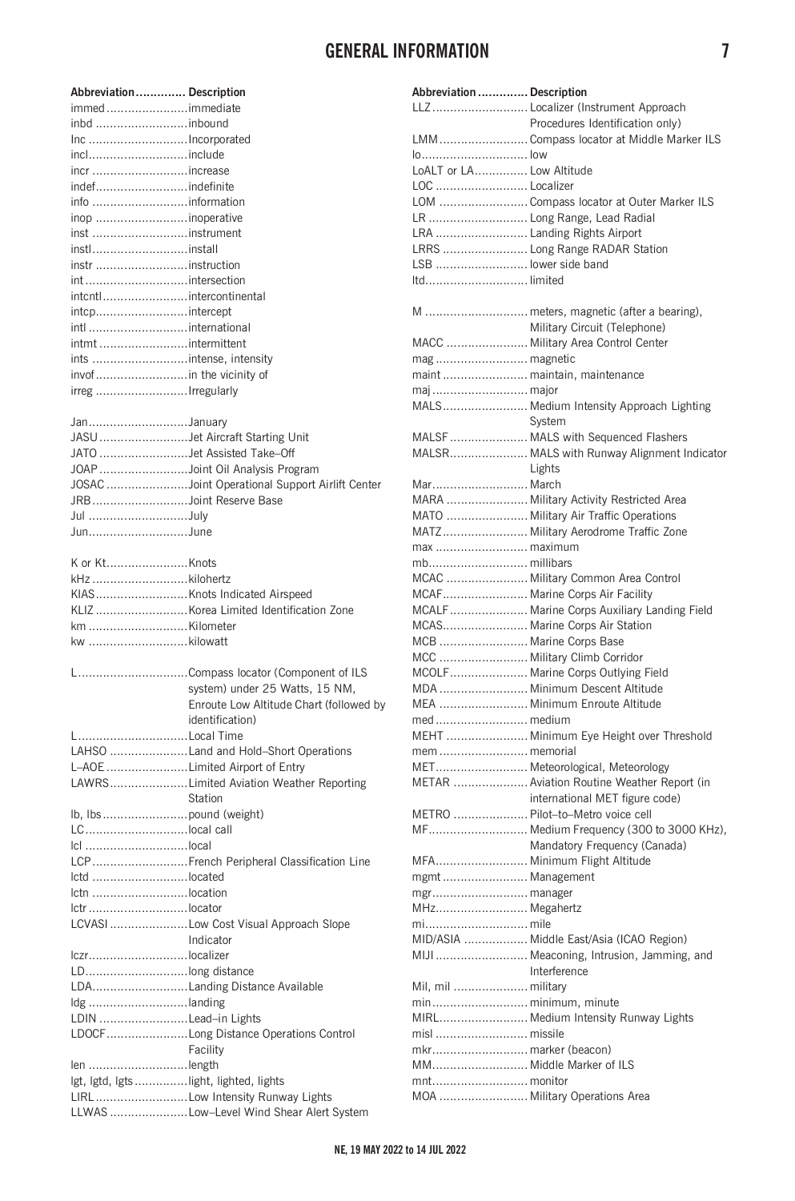| immedimmediate<br>Inc Incorporated |                                                |                    | LLZ Localizer (Instrument Approach<br>Procedures Identification only) |
|------------------------------------|------------------------------------------------|--------------------|-----------------------------------------------------------------------|
|                                    |                                                |                    |                                                                       |
|                                    |                                                |                    |                                                                       |
|                                    |                                                |                    | LMM Compass locator at Middle Marker ILS                              |
| inclinclude                        |                                                |                    |                                                                       |
| incr increase                      |                                                |                    | LoALT or LA Low Altitude                                              |
| indefindefinite                    |                                                | LOC  Localizer     |                                                                       |
| info information                   |                                                |                    |                                                                       |
|                                    |                                                |                    | LOM  Compass locator at Outer Marker ILS                              |
| inop inoperative                   |                                                |                    | LR  Long Range, Lead Radial                                           |
| inst instrument                    |                                                |                    | LRA  Landing Rights Airport                                           |
| instlinstall                       |                                                |                    | LRRS  Long Range RADAR Station                                        |
| instr instruction                  |                                                |                    | LSB  lower side band                                                  |
| intintersection                    |                                                | ltd limited        |                                                                       |
| intcntlintercontinental            |                                                |                    |                                                                       |
| intcpintercept                     |                                                |                    | M  meters, magnetic (after a bearing),                                |
| intl international                 |                                                |                    | Military Circuit (Telephone)                                          |
| intmt intermittent                 |                                                |                    | MACC  Military Area Control Center                                    |
| ints intense, intensity            |                                                | mag  magnetic      |                                                                       |
| invofin the vicinity of            |                                                |                    | maint  maintain, maintenance                                          |
| irreg Irregularly                  |                                                | maj  major         |                                                                       |
|                                    |                                                |                    | MALS Medium Intensity Approach Lighting                               |
|                                    |                                                |                    | System                                                                |
| JanJanuary                         |                                                |                    |                                                                       |
|                                    | JASUJet Aircraft Starting Unit                 |                    | MALSF  MALS with Sequenced Flashers                                   |
|                                    | JATO Jet Assisted Take-Off                     |                    | MALSR MALS with Runway Alignment Indicator                            |
|                                    | JOAP Joint Oil Analysis Program                |                    | Lights                                                                |
|                                    | JOSAC Joint Operational Support Airlift Center | Mar March          |                                                                       |
| JRBJoint Reserve Base              |                                                |                    | MARA  Military Activity Restricted Area                               |
| Jul July                           |                                                |                    | MATO  Military Air Traffic Operations                                 |
| JunJune                            |                                                |                    | MATZ Military Aerodrome Traffic Zone                                  |
|                                    |                                                | max  maximum       |                                                                       |
| K or KtKnots                       |                                                | mb millibars       |                                                                       |
| kHz kilohertz                      |                                                |                    | MCAC  Military Common Area Control                                    |
|                                    |                                                |                    | MCAF Marine Corps Air Facility                                        |
|                                    |                                                |                    | MCALF Marine Corps Auxiliary Landing Field                            |
| km Kilometer                       |                                                |                    | MCAS Marine Corps Air Station                                         |
|                                    |                                                |                    | MCB  Marine Corps Base                                                |
|                                    |                                                |                    |                                                                       |
|                                    |                                                |                    | MCC  Military Climb Corridor                                          |
|                                    | LCompass locator (Component of ILS             |                    | MCOLF Marine Corps Outlying Field                                     |
|                                    | system) under 25 Watts, 15 NM,                 |                    | MDA  Minimum Descent Altitude                                         |
|                                    | Enroute Low Altitude Chart (followed by        |                    | MEA  Minimum Enroute Altitude                                         |
|                                    | identification)                                | med  medium        |                                                                       |
|                                    |                                                |                    | MEHT  Minimum Eye Height over Threshold                               |
|                                    | LAHSO Land and Hold-Short Operations           | mem memorial       |                                                                       |
|                                    | L-AOE Limited Airport of Entry                 |                    | MET Meteorological, Meteorology                                       |
|                                    | LAWRSLimited Aviation Weather Reporting        |                    | METAR  Aviation Routine Weather Report (in                            |
|                                    | Station                                        |                    | international MET figure code)                                        |
|                                    |                                                |                    | METRO  Pilot-to-Metro voice cell                                      |
| LClocal call                       |                                                |                    | MF Medium Frequency (300 to 3000 KHz),                                |
| lcl local                          |                                                |                    | Mandatory Frequency (Canada)                                          |
|                                    | LCP French Peripheral Classification Line      |                    | MFA Minimum Flight Altitude                                           |
| lctd located                       |                                                |                    | mgmt  Management                                                      |
| lctn location                      |                                                | mgr manager        |                                                                       |
|                                    |                                                |                    |                                                                       |
| lctr locator                       |                                                | MHz Megahertz      |                                                                       |
|                                    | LCVASI Low Cost Visual Approach Slope          | mi mile            |                                                                       |
|                                    | Indicator                                      |                    | MID/ASIA  Middle East/Asia (ICAO Region)                              |
| lczrlocalizer                      |                                                |                    | MIJI  Meaconing, Intrusion, Jamming, and                              |
| LDlong distance                    |                                                |                    | Interference                                                          |
|                                    | LDALanding Distance Available                  | Mil, mil  military |                                                                       |
| ldg landing                        |                                                |                    | min minimum, minute                                                   |
| LDIN Lead-in Lights                |                                                |                    | MIRL Medium Intensity Runway Lights                                   |
|                                    |                                                | misl  missile      |                                                                       |
|                                    | Facility                                       |                    | mkr marker (beacon)                                                   |
| len length                         |                                                |                    | MM Middle Marker of ILS                                               |
|                                    | lgt, lgtd, lgts  light, lighted, lights        | mnt monitor        |                                                                       |
|                                    |                                                |                    |                                                                       |
|                                    |                                                |                    | MOA  Military Operations Area                                         |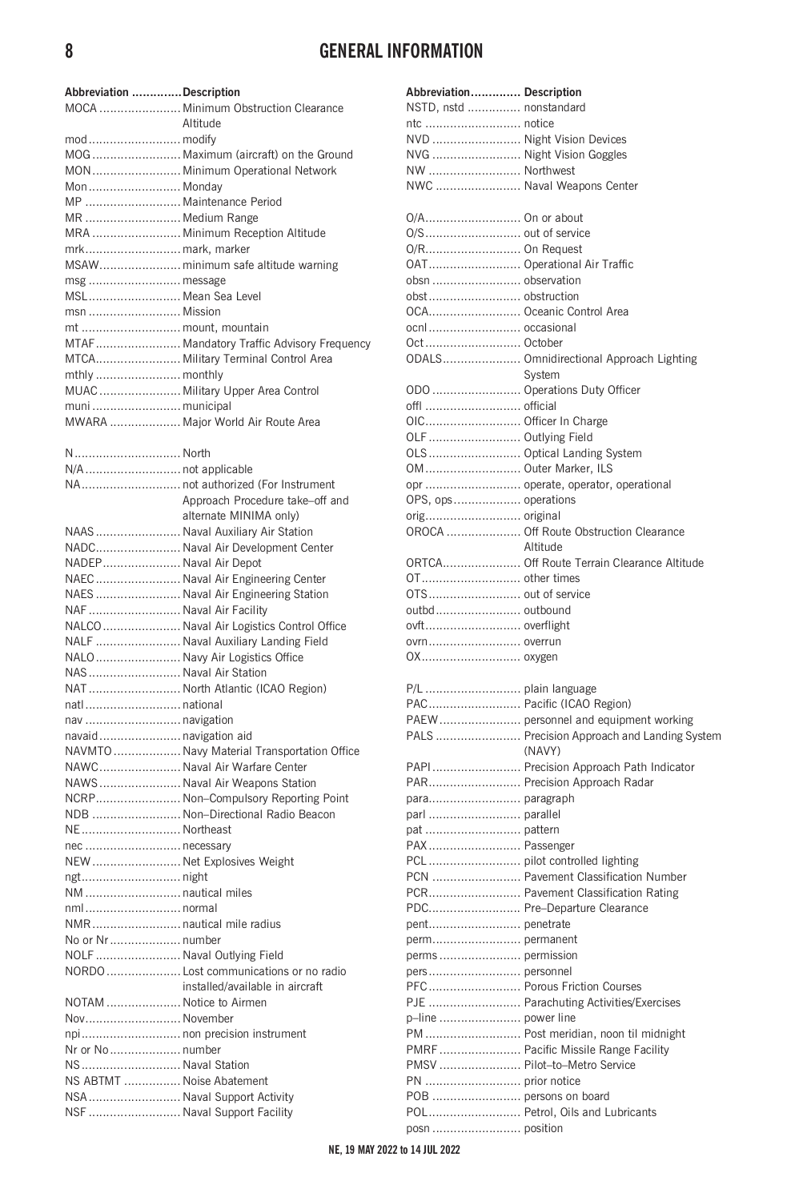| Abbreviation Description    |                                                                           |
|-----------------------------|---------------------------------------------------------------------------|
|                             | MOCA  Minimum Obstruction Clearance                                       |
|                             | Altitude                                                                  |
| mod  modify                 |                                                                           |
|                             | MOG Maximum (aircraft) on the Ground                                      |
|                             | MON Minimum Operational Network                                           |
| Mon  Monday                 |                                                                           |
|                             |                                                                           |
| MP  Maintenance Period      |                                                                           |
| MR  Medium Range            |                                                                           |
|                             | MRA  Minimum Reception Altitude                                           |
| mrk mark, marker            |                                                                           |
|                             | MSAW minimum safe altitude warning                                        |
| msg  message                |                                                                           |
| MSL Mean Sea Level          |                                                                           |
| msn  Mission                |                                                                           |
| mt  mount, mountain         |                                                                           |
|                             | MTAF  Mandatory Traffic Advisory Frequency                                |
|                             | MTCA Military Terminal Control Area                                       |
|                             |                                                                           |
| mthly  monthly              |                                                                           |
|                             | MUAC  Military Upper Area Control                                         |
| muni municipal              |                                                                           |
|                             | MWARA  Major World Air Route Area                                         |
| N North                     |                                                                           |
| N/A not applicable          |                                                                           |
|                             |                                                                           |
|                             | NA not authorized (For Instrument                                         |
|                             | Approach Procedure take-off and                                           |
|                             | alternate MINIMA only)                                                    |
|                             | NAAS  Naval Auxiliary Air Station                                         |
|                             | NADC Naval Air Development Center                                         |
| NADEP Naval Air Depot       |                                                                           |
|                             | NAEC  Naval Air Engineering Center                                        |
|                             | NAES  Naval Air Engineering Station                                       |
| NAF  Naval Air Facility     |                                                                           |
|                             | NALCO  Naval Air Logistics Control Office                                 |
|                             | NALF  Naval Auxiliary Landing Field                                       |
|                             |                                                                           |
|                             | NALO  Navy Air Logistics Office                                           |
| NAS  Naval Air Station      |                                                                           |
|                             | NAT  North Atlantic (ICAO Region)                                         |
| natl national               |                                                                           |
| nav  navigation             |                                                                           |
| navaid navigation aid       |                                                                           |
|                             | NAVMTO  Navy Material Transportation Office                               |
|                             | NAWC Naval Air Warfare Center                                             |
|                             | NAWS Naval Air Weapons Station                                            |
|                             | NCRP Non-Compulsory Reporting Point                                       |
|                             | NDB  Non-Directional Radio Beacon                                         |
|                             |                                                                           |
| NE Northeast                |                                                                           |
| nec necessary               |                                                                           |
| NEW  Net Explosives Weight  |                                                                           |
|                             |                                                                           |
| NM  nautical miles          |                                                                           |
| nml normal                  |                                                                           |
| NMR nautical mile radius    |                                                                           |
| No or Nr  number            |                                                                           |
| NOLF  Naval Outlying Field  |                                                                           |
|                             |                                                                           |
|                             | NORDO  Lost communications or no radio<br>installed/available in aircraft |
|                             |                                                                           |
| NOTAM  Notice to Airmen     |                                                                           |
| Nov November                |                                                                           |
|                             | npi non precision instrument                                              |
| Nr or No  number            |                                                                           |
| NS  Naval Station           |                                                                           |
| NS ABTMT  Noise Abatement   |                                                                           |
| NSA  Naval Support Activity |                                                                           |
| NSF  Naval Support Facility |                                                                           |
|                             |                                                                           |

| Abbreviation Description     |                                             |
|------------------------------|---------------------------------------------|
| NSTD, nstd  nonstandard      |                                             |
| ntc  notice                  |                                             |
| NVD  Night Vision Devices    |                                             |
|                              |                                             |
| NVG  Night Vision Goggles    |                                             |
| NW  Northwest                |                                             |
|                              | NWC  Naval Weapons Center                   |
|                              |                                             |
| 0/A On or about              |                                             |
| 0/S out of service           |                                             |
| 0/R On Request               |                                             |
| OAT Operational Air Traffic  |                                             |
| obsn  observation            |                                             |
|                              |                                             |
| OCA Oceanic Control Area     |                                             |
| ocnl occasional              |                                             |
| Oct October                  |                                             |
|                              | ODALS Omnidirectional Approach Lighting     |
|                              | System                                      |
|                              | ODO  Operations Duty Officer                |
|                              |                                             |
| OIC Officer In Charge        |                                             |
| OLF  Outlying Field          |                                             |
|                              | OLS  Optical Landing System                 |
| OM Outer Marker, ILS         |                                             |
|                              | opr  operate, operator, operational         |
| OPS, ops operations          |                                             |
| orig original                |                                             |
|                              | OROCA  Off Route Obstruction Clearance      |
|                              | Altitude                                    |
|                              | ORTCA Off Route Terrain Clearance Altitude  |
|                              |                                             |
| OTS out of service           |                                             |
|                              |                                             |
| outbd outbound               |                                             |
| ovft overflight              |                                             |
| ovrn  overrun                |                                             |
| OX oxygen                    |                                             |
|                              |                                             |
| P/L  plain language          |                                             |
| PAC Pacific (ICAO Region)    |                                             |
|                              | PAEW personnel and equipment working        |
|                              | PALS  Precision Approach and Landing System |
|                              | (NAVY)                                      |
|                              | PAPI Precision Approach Path Indicator      |
|                              | PAR Precision Approach Radar                |
|                              |                                             |
| parl  parallel               |                                             |
|                              |                                             |
| PAX  Passenger               |                                             |
|                              |                                             |
|                              | PCN  Pavement Classification Number         |
|                              | PCR Pavement Classification Rating          |
|                              | PDC Pre-Departure Clearance                 |
|                              |                                             |
|                              |                                             |
| perms  permission            |                                             |
|                              |                                             |
|                              | PFC Porous Friction Courses                 |
|                              | PJE  Parachuting Activities/Exercises       |
|                              |                                             |
|                              | PM  Post meridian, noon til midnight        |
|                              | PMRF  Pacific Missile Range Facility        |
| PMSV  Pilot-to-Metro Service |                                             |
|                              |                                             |
| POB  persons on board        |                                             |
|                              |                                             |
|                              | POL Petrol, Oils and Lubricants             |
|                              |                                             |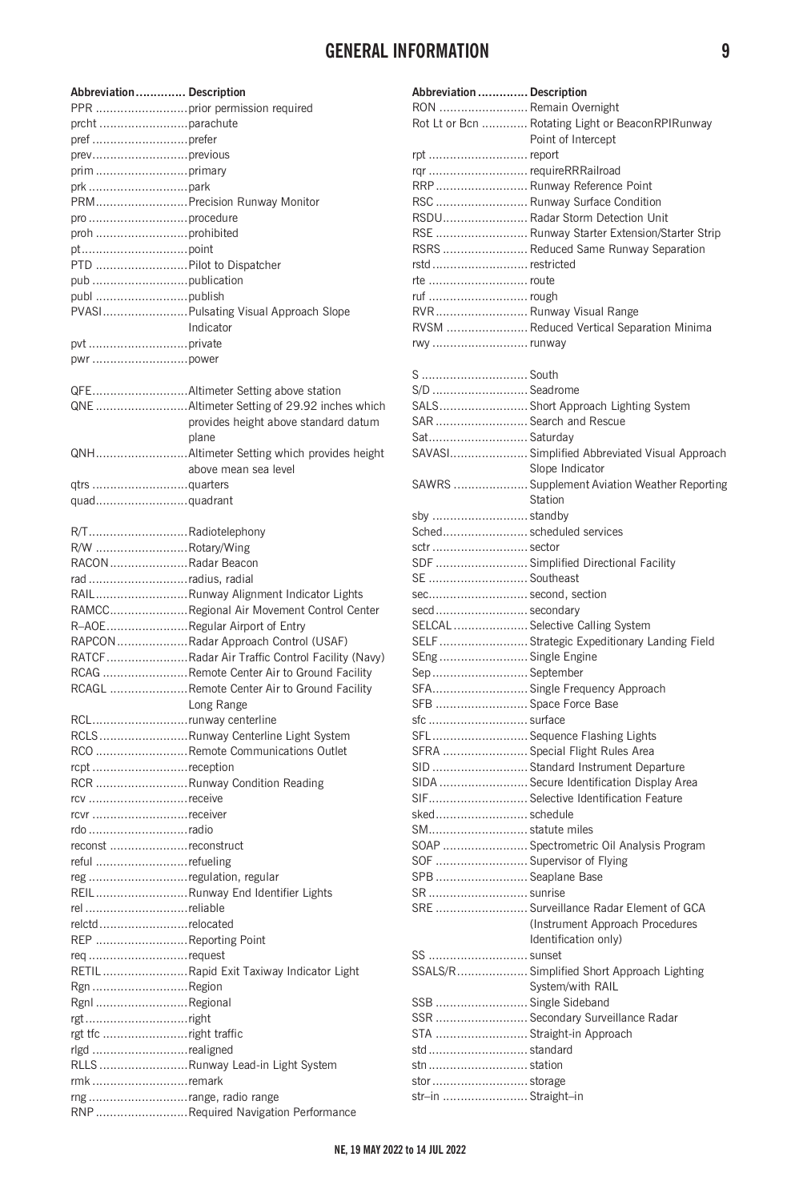| Abbreviation Description |                                                                            |
|--------------------------|----------------------------------------------------------------------------|
|                          |                                                                            |
| prcht parachute          |                                                                            |
|                          |                                                                            |
| prevprevious             |                                                                            |
|                          |                                                                            |
|                          |                                                                            |
|                          | PRM Precision Runway Monitor                                               |
|                          |                                                                            |
|                          |                                                                            |
|                          |                                                                            |
| PTD  Pilot to Dispatcher |                                                                            |
|                          |                                                                            |
|                          | PVASI Pulsating Visual Approach Slope                                      |
|                          | Indicator                                                                  |
|                          |                                                                            |
|                          |                                                                            |
|                          |                                                                            |
|                          | QFEAltimeter Setting above station                                         |
|                          | QNE Altimeter Setting of 29.92 inches which                                |
|                          | provides height above standard datum                                       |
|                          | plane                                                                      |
|                          |                                                                            |
|                          | above mean sea level                                                       |
| qtrs quarters            |                                                                            |
| quadquadrant             |                                                                            |
|                          |                                                                            |
| R/TRadiotelephony        |                                                                            |
| R/W Rotary/Wing          |                                                                            |
| RACON Radar Beacon       |                                                                            |
| rad radius, radial       |                                                                            |
|                          | RAIL Runway Alignment Indicator Lights                                     |
|                          | RAMCCRegional Air Movement Control Center<br>R-AOERegular Airport of Entry |
|                          | RAPCONRadar Approach Control (USAF)                                        |
|                          | RATCF Radar Air Traffic Control Facility (Navy)                            |
|                          | RCAG Remote Center Air to Ground Facility                                  |
|                          | RCAGL  Remote Center Air to Ground Facility                                |
|                          | Long Range                                                                 |
| RCLrunway centerline     |                                                                            |
|                          | RCLSRunway Centerline Light System                                         |
|                          | RCO Remote Communications Outlet                                           |
| rcpt reception           |                                                                            |
|                          | RCR Runway Condition Reading                                               |
| rcv receive              |                                                                            |
| rcvr receiver            |                                                                            |
| rdo radio                |                                                                            |
| reconst reconstruct      |                                                                            |
| reful refueling          |                                                                            |
| reg regulation, regular  |                                                                            |
|                          | REILRunway End Identifier Lights                                           |
| rel reliable             |                                                                            |
| relctdrelocated          |                                                                            |
| REP Reporting Point      |                                                                            |
| req request              | RETIL Rapid Exit Taxiway Indicator Light                                   |
| Rgn Region               |                                                                            |
| Rgnl Regional            |                                                                            |
| rgtright                 |                                                                            |
| rgt tfc right traffic    |                                                                            |
| rlgd realigned           |                                                                            |
|                          | RLLS Runway Lead-in Light System                                           |
| rmkremark                |                                                                            |
| rng range, radio range   |                                                                            |
|                          | RNPRequired Navigation Performance                                         |

| Abbreviation  Description |                                                                        |
|---------------------------|------------------------------------------------------------------------|
| RON  Remain Overnight     |                                                                        |
|                           | Rot Lt or Bcn  Rotating Light or BeaconRPIRunway<br>Point of Intercept |
| rpt  report               |                                                                        |
| rqr  requireRRRailroad    |                                                                        |
|                           |                                                                        |
|                           | RRP  Runway Reference Point                                            |
|                           | RSC  Runway Surface Condition                                          |
|                           | RSDU Radar Storm Detection Unit                                        |
|                           | RSE  Runway Starter Extension/Starter Strip                            |
|                           | RSRS  Reduced Same Runway Separation                                   |
| rstd  restricted          |                                                                        |
| rte  route                |                                                                        |
| ruf  rough                |                                                                        |
| RVR Runway Visual Range   |                                                                        |
|                           | RVSM  Reduced Vertical Separation Minima                               |
| rwy  runway               |                                                                        |
|                           |                                                                        |
|                           |                                                                        |
| S  South                  |                                                                        |
| S/D  Seadrome             |                                                                        |
|                           | SALS Short Approach Lighting System                                    |
| SAR  Search and Rescue    |                                                                        |
| Sat Saturday              |                                                                        |
|                           | SAVASI Simplified Abbreviated Visual Approach                          |
|                           | Slope Indicator                                                        |
|                           | SAWRS  Supplement Aviation Weather Reporting                           |
|                           | Station                                                                |
| sby  standby              |                                                                        |
| Sched scheduled services  |                                                                        |
| sctr  sector              |                                                                        |
|                           |                                                                        |
|                           | SDF  Simplified Directional Facility                                   |
| SE  Southeast             |                                                                        |
| sec second, section       |                                                                        |
| secd secondary            |                                                                        |
|                           | SELCAL  Selective Calling System                                       |
|                           | SELF  Strategic Expeditionary Landing Field                            |
| SEng Single Engine        |                                                                        |
| Sep September             |                                                                        |
|                           | SFA Single Frequency Approach                                          |
| SFB  Space Force Base     |                                                                        |
| sfc  surface              |                                                                        |
|                           | SFL Sequence Flashing Lights                                           |
|                           | SFRA  Special Flight Rules Area                                        |
|                           |                                                                        |
|                           | SID  Standard Instrument Departure                                     |
|                           | SIDA  Secure Identification Display Area                               |
|                           | SIF Selective Identification Feature                                   |
| sked schedule             |                                                                        |
| SM statute miles          |                                                                        |
|                           | SOAP  Spectrometric Oil Analysis Program                               |
| SOF  Supervisor of Flying |                                                                        |
| SPB  Seaplane Base        |                                                                        |
| SR  sunrise               |                                                                        |
|                           | SRE  Surveillance Radar Element of GCA                                 |
|                           | (Instrument Approach Procedures                                        |
|                           | Identification only)                                                   |
| SS  sunset                |                                                                        |
|                           | SSALS/R Simplified Short Approach Lighting                             |
|                           |                                                                        |
|                           | System/with RAIL                                                       |
| SSB  Single Sideband      |                                                                        |
|                           | SSR  Secondary Surveillance Radar                                      |
| STA  Straight-in Approach |                                                                        |
| std  standard             |                                                                        |
| stn  station              |                                                                        |
| storstorage               |                                                                        |
| str-in  Straight-in       |                                                                        |
|                           |                                                                        |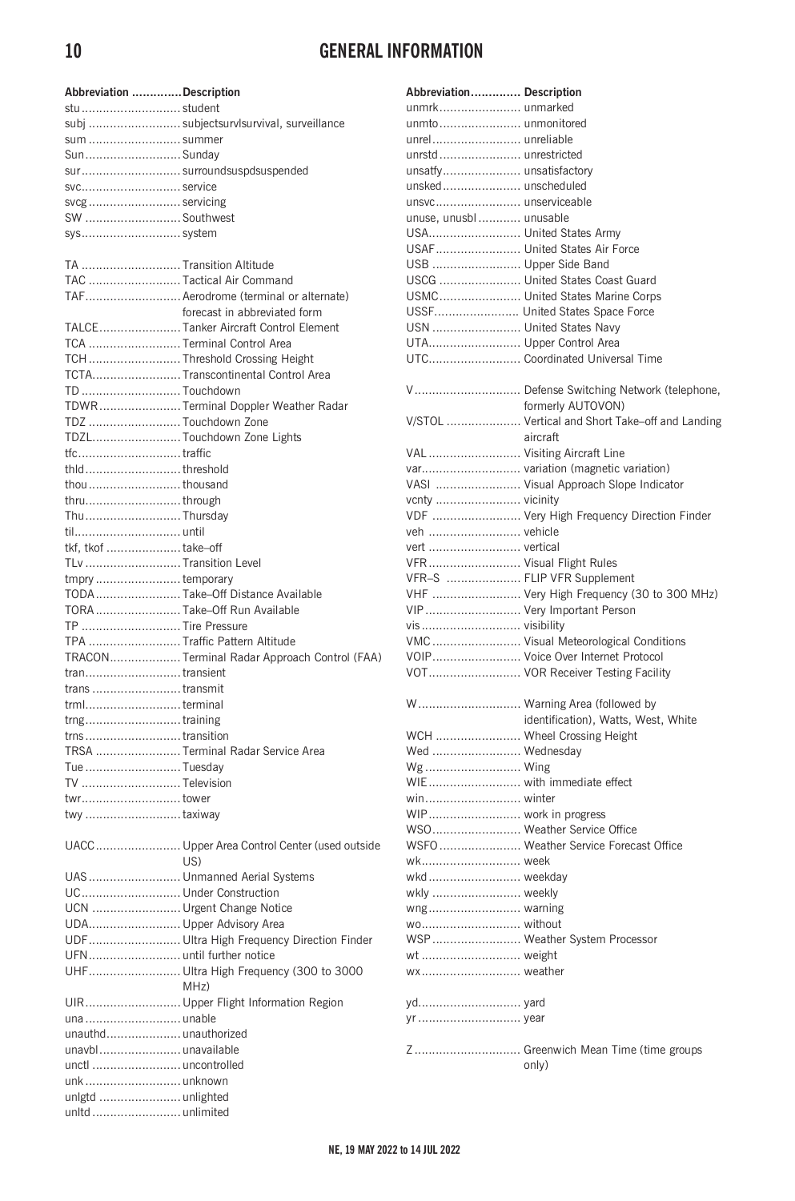| Abbreviation Description   |                                                                      |
|----------------------------|----------------------------------------------------------------------|
| stu  student               |                                                                      |
|                            | subj  subjectsurvlsurvival, surveillance                             |
| sum  summer                |                                                                      |
| SunSunday                  |                                                                      |
|                            | sur surroundsuspdsuspended                                           |
| svc service                |                                                                      |
| svcgservicing              |                                                                      |
| SW  Southwest              |                                                                      |
| sys system                 |                                                                      |
|                            |                                                                      |
| TA  Transition Altitude    |                                                                      |
|                            | TAC  Tactical Air Command                                            |
|                            | TAF Aerodrome (terminal or alternate)                                |
|                            | forecast in abbreviated form<br>TALCETanker Aircraft Control Element |
| TCA  Terminal Control Area |                                                                      |
|                            | TCH  Threshold Crossing Height                                       |
|                            | TCTATranscontinental Control Area                                    |
| TD  Touchdown              |                                                                      |
|                            | TDWRTerminal Doppler Weather Radar                                   |
| TDZ  Touchdown Zone        |                                                                      |
|                            | TDZL Touchdown Zone Lights                                           |
| tfctraffic                 |                                                                      |
| thidthreshold              |                                                                      |
| thou  thousand             |                                                                      |
| thruthrough                |                                                                      |
| ThuThursday                |                                                                      |
| til until                  |                                                                      |
| tkf, tkof take-off         |                                                                      |
| TLv  Transition Level      |                                                                      |
| tmpry  temporary           |                                                                      |
|                            | TODA Take-Off Distance Available                                     |
|                            | TORA  Take-Off Run Available                                         |
| TP  Tire Pressure          | TPA Traffic Pattern Altitude                                         |
|                            | TRACON Terminal Radar Approach Control (FAA)                         |
| trantransient              |                                                                      |
| trans transmit             |                                                                      |
| trmlterminal               |                                                                      |
| trngtraining               |                                                                      |
| trnstransition             |                                                                      |
|                            | TRSA  Terminal Radar Service Area                                    |
| Tue Tuesday                |                                                                      |
| TV Television              |                                                                      |
|                            |                                                                      |
| twy taxiway                |                                                                      |
|                            |                                                                      |
|                            | UACC Upper Area Control Center (used outside                         |
|                            | US)                                                                  |
|                            | UAS  Unmanned Aerial Systems                                         |
| UC Under Construction      |                                                                      |
| UDA Upper Advisory Area    | UCN  Urgent Change Notice                                            |
|                            | UDF Ultra High Frequency Direction Finder                            |
|                            |                                                                      |
|                            | UHF Ultra High Frequency (300 to 3000                                |
|                            | MHz)                                                                 |
|                            | UIR Upper Flight Information Region                                  |
| unaunable                  |                                                                      |
| unauthd unauthorized       |                                                                      |
| unavbl unavailable         |                                                                      |
| unctl  uncontrolled        |                                                                      |
| unkunknown                 |                                                                      |
| unlgtd  unlighted          |                                                                      |
| unltdunlimited             |                                                                      |

| Abbreviation Description    |                                                 |
|-----------------------------|-------------------------------------------------|
| unmrk unmarked              |                                                 |
| unmto unmonitored           |                                                 |
| unrel unreliable            |                                                 |
| unrstd unrestricted         |                                                 |
| unsatfy unsatisfactory      |                                                 |
| unsked unscheduled          |                                                 |
| unsvc unserviceable         |                                                 |
| unuse, unusbl  unusable     |                                                 |
| USA United States Army      |                                                 |
|                             | USAF United States Air Force                    |
| USB  Upper Side Band        |                                                 |
|                             | USCG  United States Coast Guard                 |
|                             | USMC United States Marine Corps                 |
|                             | USSF United States Space Force                  |
| USN  United States Navy     |                                                 |
| UTA Upper Control Area      |                                                 |
|                             | UTC Coordinated Universal Time                  |
|                             |                                                 |
|                             | V Defense Switching Network (telephone,         |
|                             | formerly AUTOVON)                               |
|                             | V/STOL  Vertical and Short Take-off and Landing |
|                             | aircraft                                        |
| VAL  Visiting Aircraft Line |                                                 |
|                             | var variation (magnetic variation)              |
|                             | VASI  Visual Approach Slope Indicator           |
| vcnty  vicinity             |                                                 |
|                             | VDF  Very High Frequency Direction Finder       |
| veh  vehicle                |                                                 |
| vert  vertical              |                                                 |
| VFR Visual Flight Rules     |                                                 |
| VFR-S  FLIP VFR Supplement  |                                                 |
|                             | VHF  Very High Frequency (30 to 300 MHz)        |
| VIP  Very Important Person  |                                                 |
| vis  visibility             |                                                 |
|                             | VMC  Visual Meteorological Conditions           |
|                             | VOIP Voice Over Internet Protocol               |
|                             | VOT VOR Receiver Testing Facility               |
|                             |                                                 |
|                             | W Warning Area (followed by                     |
|                             | identification), Watts, West, White             |
| WCH  Wheel Crossing Height  |                                                 |
| Wed  Wednesday              |                                                 |
| Wg Wing                     |                                                 |
| WIE  with immediate effect  |                                                 |
| win winter                  |                                                 |
| WIP work in progress        |                                                 |
|                             | WSO Weather Service Office                      |
|                             | WSFO Weather Service Forecast Office            |
| wk week                     |                                                 |
| wkd weekday                 |                                                 |
| wkly  weekly                |                                                 |
|                             |                                                 |
| wng warning                 |                                                 |
| wo without                  |                                                 |
|                             | WSP  Weather System Processor                   |
| wt  weight                  |                                                 |
| wx weather                  |                                                 |
|                             |                                                 |
|                             |                                                 |
| yr  year                    |                                                 |
|                             | Z Greenwich Mean Time (time groups              |
|                             | only)                                           |
|                             |                                                 |
|                             |                                                 |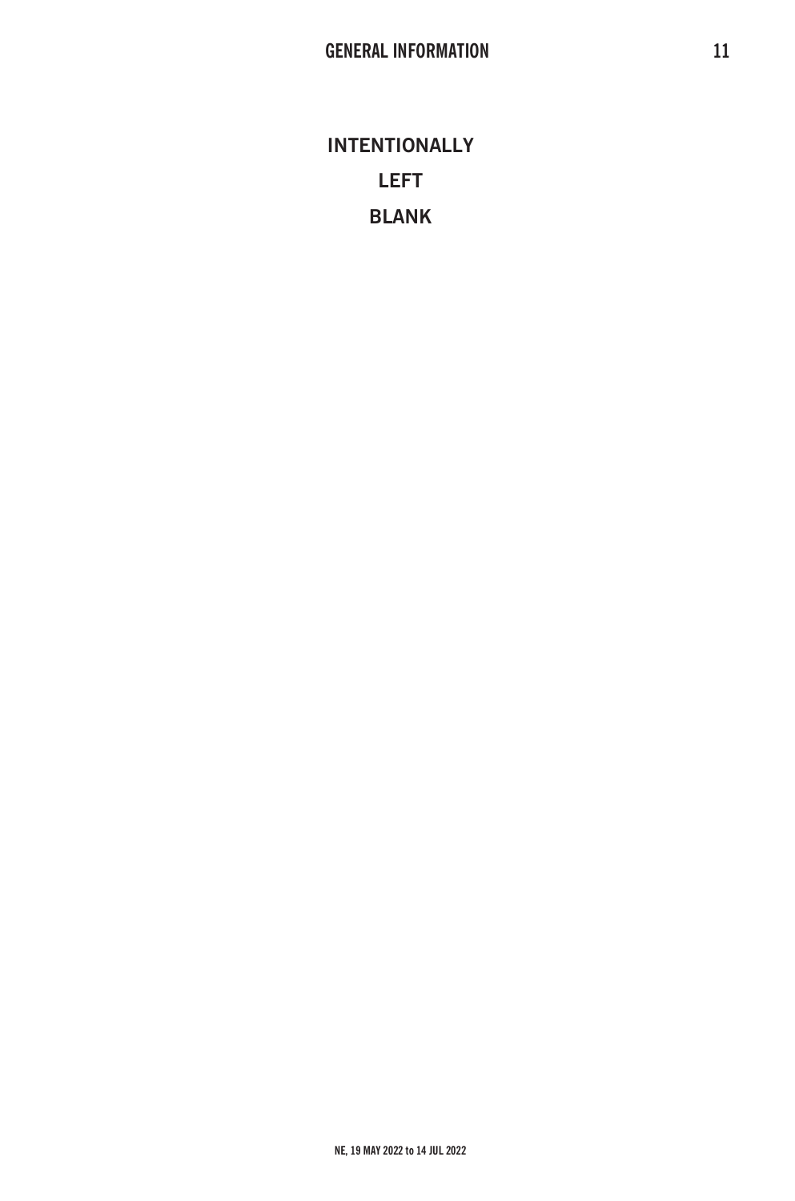# **INTENTIONALLY LEFT BLANK**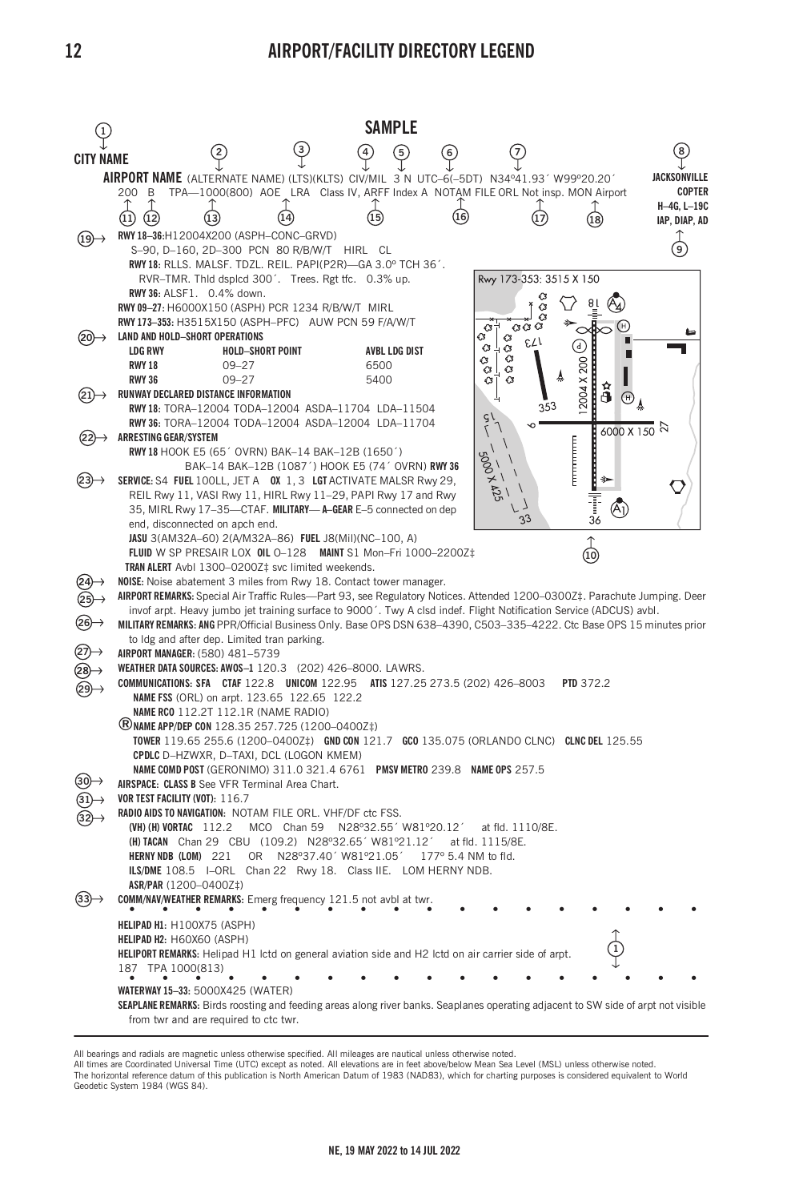

All bearings and radials are magnetic unless otherwise specified. All mileages are nautical unless otherwise noted.

All times are Coordinated Universal Time (UTC) except as noted. All elevations are in feet above/below Mean Sea Level (MSL) unless otherwise noted. The horizontal reference datum of this publication is North American Datum of 1983 (NAD83), which for charting purposes is considered equivalent to World Geodetic System 1984 (WGS 84).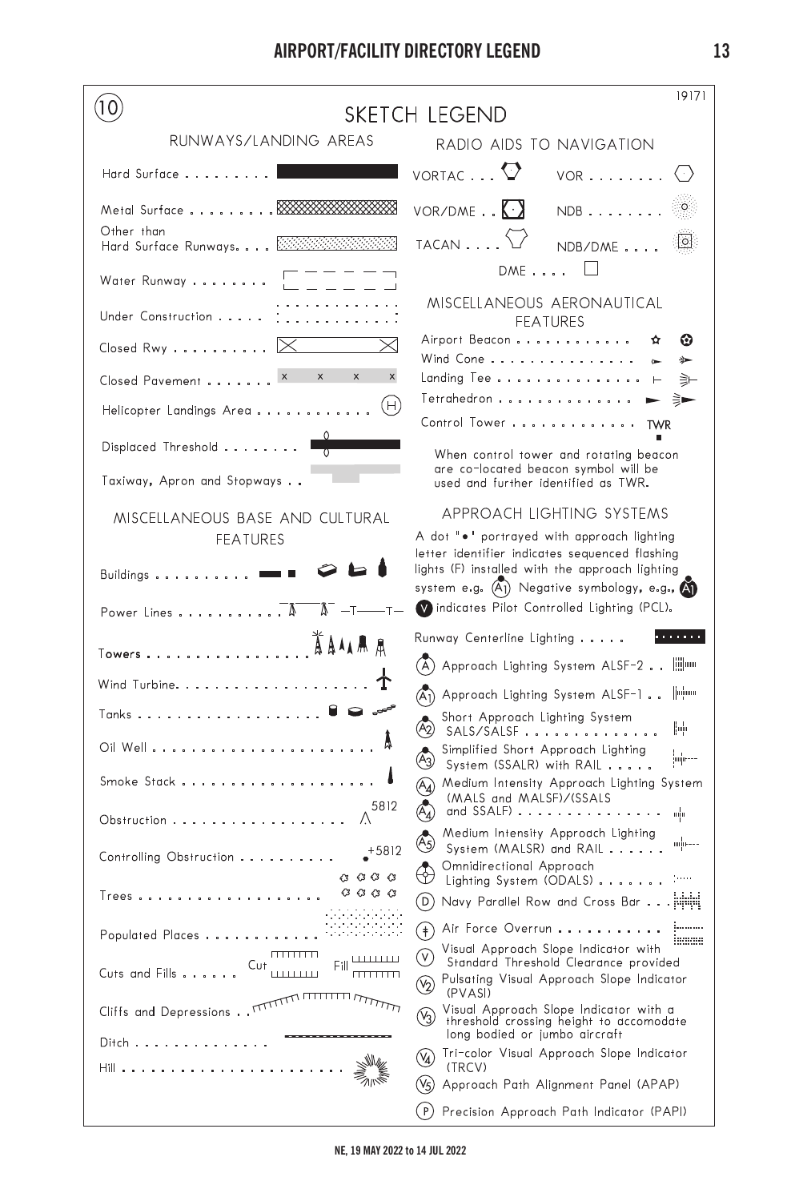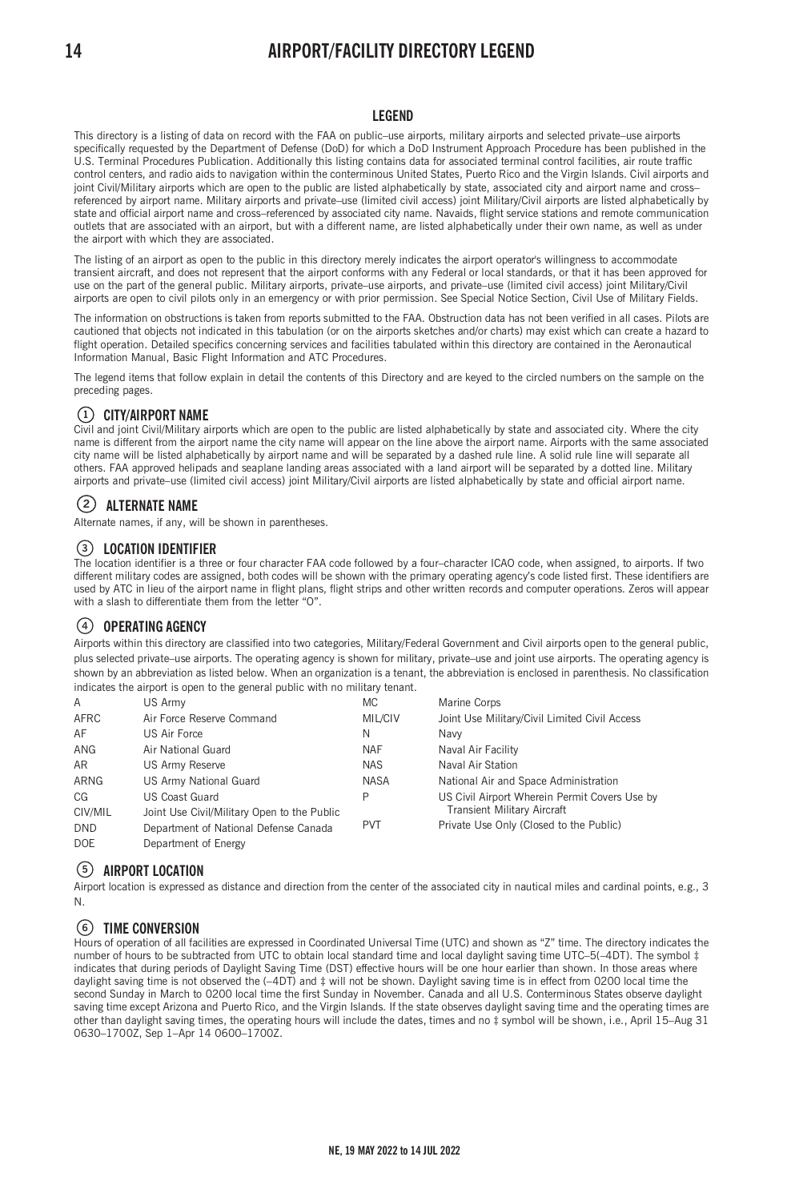#### **LEGEND**

This directory is a listing of data on record with the FAA on public-use airports, military airports and selected private-use airports specifically requested by the Department of Defense (DoD) for which a DoD Instrument Approach Procedure has been published in the U.S. Terminal Procedures Publication. Additionally this listing contains data for associated terminal control facilities, air route traffic control centers, and radio aids to navigation within the conterminous United States, Puerto Rico and the Virgin Islands. Civil airports and joint Civil/Military airports which are open to the public are listed alphabetically by state, associated city and airport name and crossreferenced by airport name. Military airports and private-use (limited civil access) joint Military/Civil airports are listed alphabetically by state and official airport name and cross-referenced by associated city name. Navaids, flight service stations and remote communication outlets that are associated with an airport, but with a different name, are listed alphabetically under their own name, as well as under the airport with which they are associated.

The listing of an airport as open to the public in this directory merely indicates the airport operator's willingness to accommodate transient aircraft, and does not represent that the airport conforms with any Federal or local standards, or that it has been approved for use on the part of the general public. Military airports, private-use airports, and private-use (limited civil access) joint Military/Civil airports are open to civil pilots only in an emergency or with prior permission. See Special Notice Section, Civil Use of Military Fields.

The information on obstructions is taken from reports submitted to the FAA. Obstruction data has not been verified in all cases. Pilots are cautioned that objects not indicated in this tabulation (or on the airports sketches and/or charts) may exist which can create a hazard to flight operation. Detailed specifics concerning services and facilities tabulated within this directory are contained in the Aeronautical Information Manual, Basic Flight Information and ATC Procedures.

The legend items that follow explain in detail the contents of this Directory and are keyed to the circled numbers on the sample on the preceding pages.

### (1) CITY/AIRPORT NAME

Civil and joint Civil/Military airports which are open to the public are listed alphabetically by state and associated city. Where the city name is different from the airport name the city name will appear on the line above the airport name. Airports with the same associated city name will be listed alphabetically by airport name and will be separated by a dashed rule line. A solid rule line will separate all others. FAA approved helipads and seaplane landing areas associated with a land airport will be separated by a dotted line. Military airports and private-use (limited civil access) joint Military/Civil airports are listed alphabetically by state and official airport name.

### (2) ALTERNATE NAME

Alternate names, if any, will be shown in parentheses.

### (3) LOCATION IDENTIFIER

The location identifier is a three or four character FAA code followed by a four-character ICAO code, when assigned, to airports. If two different military codes are assigned, both codes will be shown with the primary operating agency's code listed first. These identifiers are used by ATC in lieu of the airport name in flight plans, flight strips and other written records and computer operations. Zeros will appear with a slash to differentiate them from the letter "O".

### 4 OPERATING AGENCY

Airports within this directory are classified into two categories, Military/Federal Government and Civil airports open to the general public, plus selected private-use airports. The operating agency is shown for military, private-use and joint use airports. The operating agency is shown by an abbreviation as listed below. When an organization is a tenant, the abbreviation is enclosed in parenthesis. No classification indicates the airport is open to the general public with no military tenant.

| Α          | US Army                                     | MC.         | Marine Corps                                  |
|------------|---------------------------------------------|-------------|-----------------------------------------------|
| AFRC       | Air Force Reserve Command                   | MIL/CIV     | Joint Use Military/Civil Limited Civil Access |
| AF         | US Air Force                                | N           | Navy                                          |
| ANG        | Air National Guard                          | <b>NAF</b>  | Naval Air Facility                            |
| AR         | US Army Reserve                             | <b>NAS</b>  | Naval Air Station                             |
| ARNG       | US Army National Guard                      | <b>NASA</b> | National Air and Space Administration         |
| CG         | <b>U.S. Coast Guard</b>                     | Ρ           | US Civil Airport Wherein Permit Covers Use by |
| CIV/MIL    | Joint Use Civil/Military Open to the Public |             | <b>Transient Military Aircraft</b>            |
| <b>DND</b> | Department of National Defense Canada       | <b>PVT</b>  | Private Use Only (Closed to the Public)       |
| DOE        | Department of Energy                        |             |                                               |

### (5) AIRPORT LOCATION

Airport location is expressed as distance and direction from the center of the associated city in nautical miles and cardinal points, e.g., 3  $\overline{N}$ 

### 6 TIME CONVERSION

Hours of operation of all facilities are expressed in Coordinated Universal Time (UTC) and shown as "Z" time. The directory indicates the number of hours to be subtracted from UTC to obtain local standard time and local daylight saving time UTC-5(-4DT). The symbol  $\ddagger$ indicates that during periods of Daylight Saving Time (DST) effective hours will be one hour earlier than shown. In those areas where daylight saving time is not observed the (-4DT) and  $\ddagger$  will not be shown. Daylight saving time is in effect from 0200 local time the second Sunday in March to 0200 local time the first Sunday in November. Canada and all U.S. Conterminous States observe davlight saving time except Arizona and Puerto Rico, and the Virgin Islands. If the state observes daylight saving time and the operating times are other than daylight saving times, the operating hours will include the dates, times and no‡symbol will be shown, i.e., April 15-Aug 31 0630-1700Z, Sep 1-Apr 14 0600-1700Z.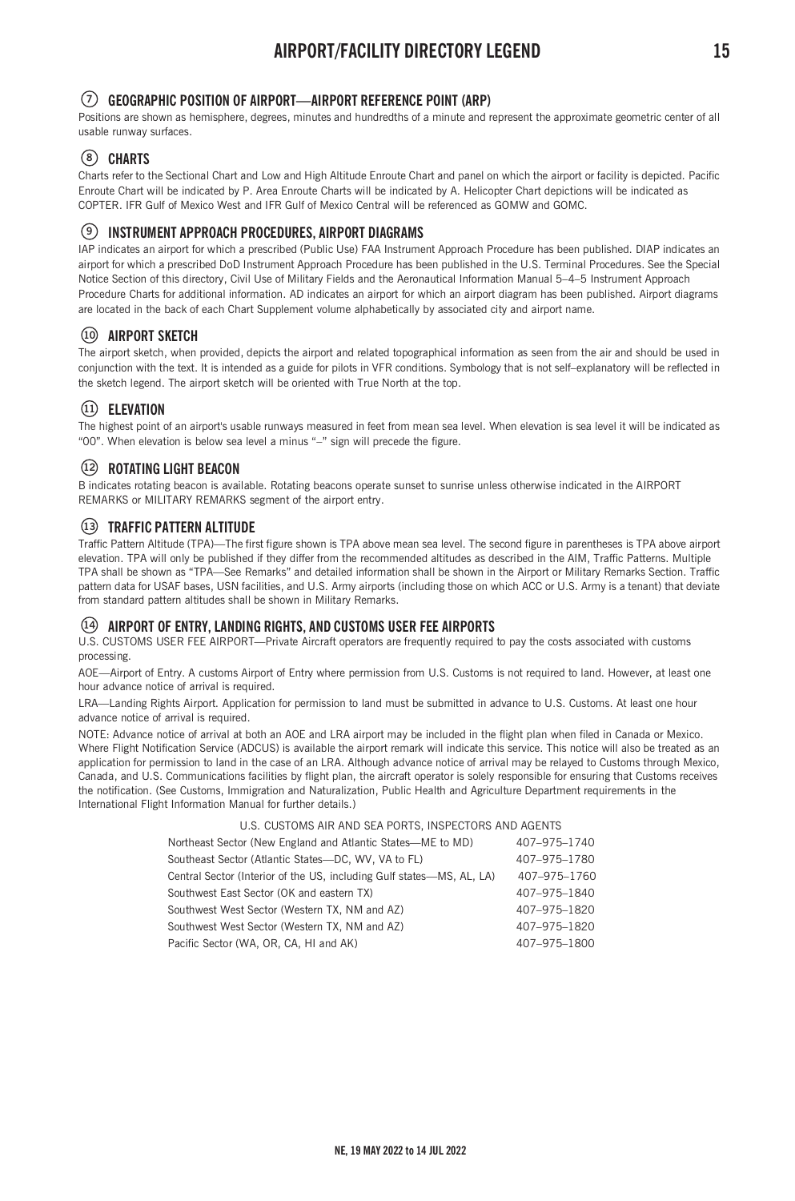### **(7) GEOGRAPHIC POSITION OF AIRPORT—AIRPORT REFERENCE POINT (ARP)**

Positions are shown as hemisphere, degrees, minutes and hundredths of a minute and represent the approximate geometric center of all usable runway surfaces.

### (8) CHARTS

Charts refer to the Sectional Chart and Low and High Altitude Enroute Chart and panel on which the airport or facility is depicted. Pacific Enroute Chart will be indicated by P. Area Enroute Charts will be indicated by A. Helicopter Chart depictions will be indicated as COPTER. IFR Gulf of Mexico West and IFR Gulf of Mexico Central will be referenced as GOMW and GOMC.

### **9 INSTRUMENT APPROACH PROCEDURES, AIRPORT DIAGRAMS**

IAP indicates an airport for which a prescribed (Public Use) FAA Instrument Approach Procedure has been published. DIAP indicates an airport for which a prescribed DoD Instrument Approach Procedure has been published in the U.S. Terminal Procedures. See the Special Notice Section of this directory, Civil Use of Military Fields and the Aeronautical Information Manual 5-4-5 Instrument Approach Procedure Charts for additional information. AD indicates an airport for which an airport diagram has been published. Airport diagrams are located in the back of each Chart Supplement volume alphabetically by associated city and airport name.

### (10) AIRPORT SKETCH

The airport sketch, when provided, depicts the airport and related topographical information as seen from the air and should be used in conjunction with the text. It is intended as a guide for pilots in VFR conditions. Symbology that is not self-explanatory will be reflected in the sketch legend. The airport sketch will be oriented with True North at the top.

### $(11)$  **ELEVATION**

The highest point of an airport's usable runways measured in feet from mean sea level. When elevation is sea level it will be indicated as "00". When elevation is below sea level a minus "-" sign will precede the figure.

### (12) ROTATING LIGHT BEACON

B indicates rotating beacon is available. Rotating beacons operate sunset to sunrise unless otherwise indicated in the AIRPORT REMARKS or MILITARY REMARKS segment of the airport entry.

### **13 TRAFFIC PATTERN ALTITUDE**

Traffic Pattern Altitude (TPA)—The first figure shown is TPA above mean sea level. The second figure in parentheses is TPA above airport elevation. TPA will only be published if they differ from the recommended altitudes as described in the AIM, Traffic Patterns. Multiple TPA shall be shown as "TPA-See Remarks" and detailed information shall be shown in the Airport or Military Remarks Section. Traffic pattern data for USAF bases, USN facilities, and U.S. Army airports (including those on which ACC or U.S. Army is a tenant) that deviate from standard pattern altitudes shall be shown in Military Remarks.

### (14) AIRPORT OF ENTRY, LANDING RIGHTS, AND CUSTOMS USER FEE AIRPORTS

U.S. CUSTOMS USER FEE AIRPORT-Private Aircraft operators are frequently required to pay the costs associated with customs processing.

AOE-Airport of Entry. A customs Airport of Entry where permission from U.S. Customs is not required to land. However, at least one hour advance notice of arrival is required.

LRA-Landing Rights Airport. Application for permission to land must be submitted in advance to U.S. Customs. At least one hour advance notice of arrival is required.

NOTE: Advance notice of arrival at both an AOE and LRA airport may be included in the flight plan when filed in Canada or Mexico. Where Flight Notification Service (ADCUS) is available the airport remark will indicate this service. This notice will also be treated as an application for permission to land in the case of an LRA. Although advance notice of arrival may be relayed to Customs through Mexico, Canada, and U.S. Communications facilities by flight plan, the aircraft operator is solely responsible for ensuring that Customs receives the notification. (See Customs, Immigration and Naturalization, Public Health and Agriculture Department requirements in the International Flight Information Manual for further details.)

| Northeast Sector (New England and Atlantic States-ME to MD)           | 407-975-1740 |
|-----------------------------------------------------------------------|--------------|
| Southeast Sector (Atlantic States-DC, WV, VA to FL)                   | 407-975-1780 |
| Central Sector (Interior of the US, including Gulf states-MS, AL, LA) | 407-975-1760 |
| Southwest East Sector (OK and eastern TX)                             | 407-975-1840 |
| Southwest West Sector (Western TX, NM and AZ)                         | 407-975-1820 |
| Southwest West Sector (Western TX, NM and AZ)                         | 407-975-1820 |
| Pacific Sector (WA, OR, CA, HI and AK)                                | 407-975-1800 |

### U.S. CUSTOMS AIR AND SEA PORTS. INSPECTORS AND AGENTS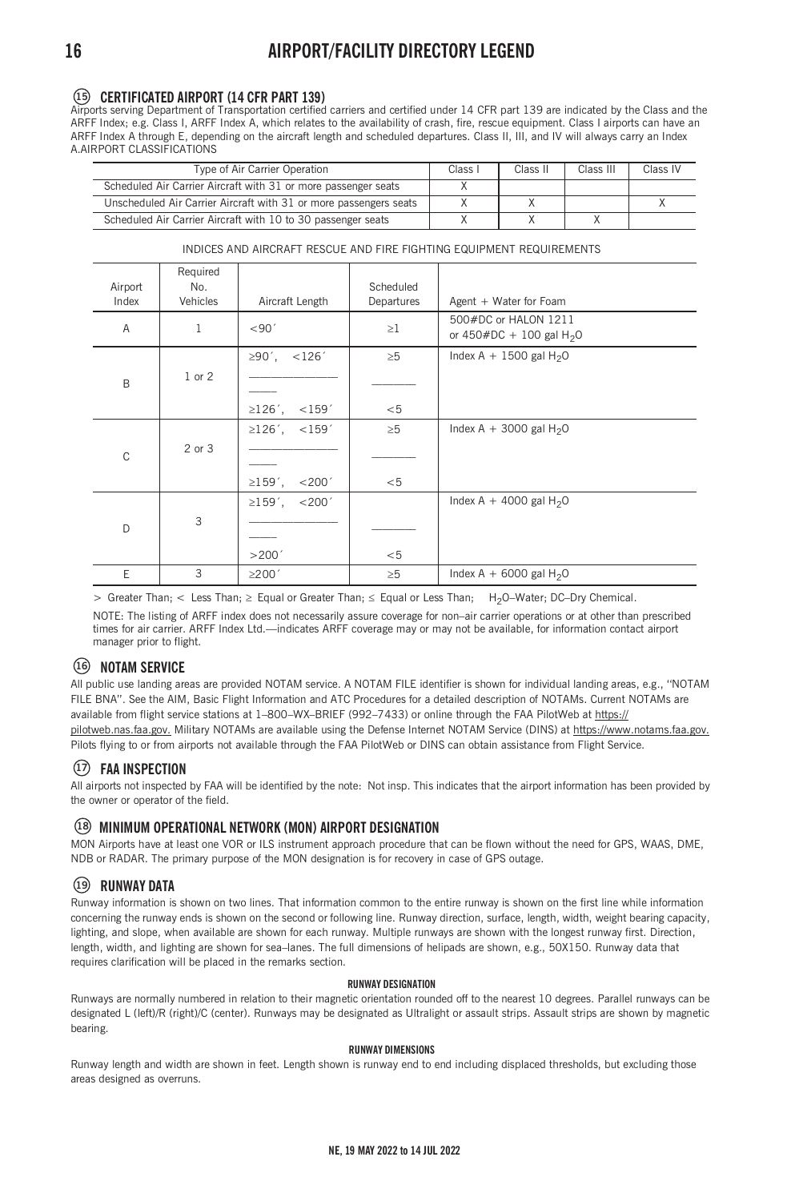### <sup>(15)</sup> CERTIFICATED AIRPORT (14 CFR PART 139)

Airports serving Department of Transportation certified carriers and certified under 14 CFR part 139 are indicated by the Class and the ARFF Index; e.g. Class I, ARFF Index A, which relates to the availability of crash, fire, rescue equipment. Class I airports can have an ARFF Index A through E, depending on the aircraft length and scheduled departures. Class II, III, and IV will always carry an Index A AIRPORT CLASSIFICATIONS

| Type of Air Carrier Operation                                     | Class I | Class II | Class III | Class IV |
|-------------------------------------------------------------------|---------|----------|-----------|----------|
| Scheduled Air Carrier Aircraft with 31 or more passenger seats    |         |          |           |          |
| Unscheduled Air Carrier Aircraft with 31 or more passengers seats |         |          |           |          |
| Scheduled Air Carrier Aircraft with 10 to 30 passenger seats      |         |          |           |          |

| Airport<br>Index | Required<br>No.<br>Vehicles | Aircraft Length                       | Scheduled<br>Departures | Agent + Water for Foam                                       |
|------------------|-----------------------------|---------------------------------------|-------------------------|--------------------------------------------------------------|
| A                | 1                           | < 90'                                 | $\geq$ 1                | 500#DC or HALON 1211<br>or 450#DC + 100 gal H <sub>2</sub> O |
|                  |                             | $\geq 90'$ , <126'                    | $\geq 5$                | Index A + 1500 gal $H_2O$                                    |
| B                | 1 or 2                      |                                       |                         |                                                              |
|                  |                             | $\geq$ 126 $\degree$ .<br><159'       | $<$ 5                   |                                                              |
|                  |                             | $\geq 126'$ , <159'                   | $\geq 5$                | Index A + 3000 gal $H_2O$                                    |
| C                | 2 or 3                      |                                       |                         |                                                              |
|                  |                             | $\geq$ 159 $\degree$ .<br>$<$ 200 $'$ | $<$ 5                   |                                                              |
|                  |                             | $\geq$ 159 $\degree$ .<br>$<$ 200 $'$ |                         | Index A + 4000 gal $H_2O$                                    |
| D                | 3                           |                                       |                         |                                                              |
|                  |                             | >200'                                 | $<$ 5                   |                                                              |
| E                | 3                           | >200'                                 | $\geq 5$                | Index A + 6000 gal $H_2O$                                    |

#### INDICES AND AIRCRAFT RESCUE AND FIRE FIGHTING FOUIPMENT REQUIREMENTS

> Greater Than; < Less Than; ≥ Equal or Greater Than; ≤ Equal or Less Than; H<sub>2</sub>O-Water; DC-Dry Chemical.

NOTE: The listing of ARFF index does not necessarily assure coverage for non-air carrier operations or at other than prescribed times for air carrier. ARFF Index Ltd.—indicates ARFF coverage may or may not be available, for information contact airport manager prior to flight.

### 16 NOTAM SERVICE

All public use landing areas are provided NOTAM service. A NOTAM FILE identifier is shown for individual landing areas, e.g., "NOTAM FILE BNA". See the AIM, Basic Flight Information and ATC Procedures for a detailed description of NOTAMs. Current NOTAMs are available from flight service stations at 1-800-WX-BRIEF (992-7433) or online through the FAA PilotWeb at https:// pilotweb.nas.faa.gov. Military NOTAMs are available using the Defense Internet NOTAM Service (DINS) at https://www.notams.faa.gov. Pilots flying to or from airports not available through the FAA PilotWeb or DINS can obtain assistance from Flight Service.

### (17) FAA INSPECTION

All airports not inspected by FAA will be identified by the note: Not insp. This indicates that the airport information has been provided by the owner or operator of the field.

#### (18) MINIMUM OPERATIONAL NETWORK (MON) AIRPORT DESIGNATION

MON Airports have at least one VOR or ILS instrument approach procedure that can be flown without the need for GPS, WAAS, DME, NDB or RADAR. The primary purpose of the MON designation is for recovery in case of GPS outage.

### (19) RUNWAY DATA

Runway information is shown on two lines. That information common to the entire runway is shown on the first line while information concerning the runway ends is shown on the second or following line. Runway direction, surface, length, width, weight bearing capacity, lighting, and slope, when available are shown for each runway. Multiple runways are shown with the longest runway first. Direction, length, width, and lighting are shown for sea-lanes. The full dimensions of helipads are shown, e.g., 50X150. Runway data that requires clarification will be placed in the remarks section.

#### **RUNWAY DESIGNATION**

Runways are normally numbered in relation to their magnetic orientation rounded off to the nearest 10 degrees. Parallel runways can be designated L (left)/R (right)/C (center). Runways may be designated as Ultralight or assault strips. Assault strips are shown by magnetic bearing.

#### **RUNWAY DIMENSIONS**

Runway length and width are shown in feet. Length shown is runway end to end including displaced thresholds, but excluding those areas designed as overruns.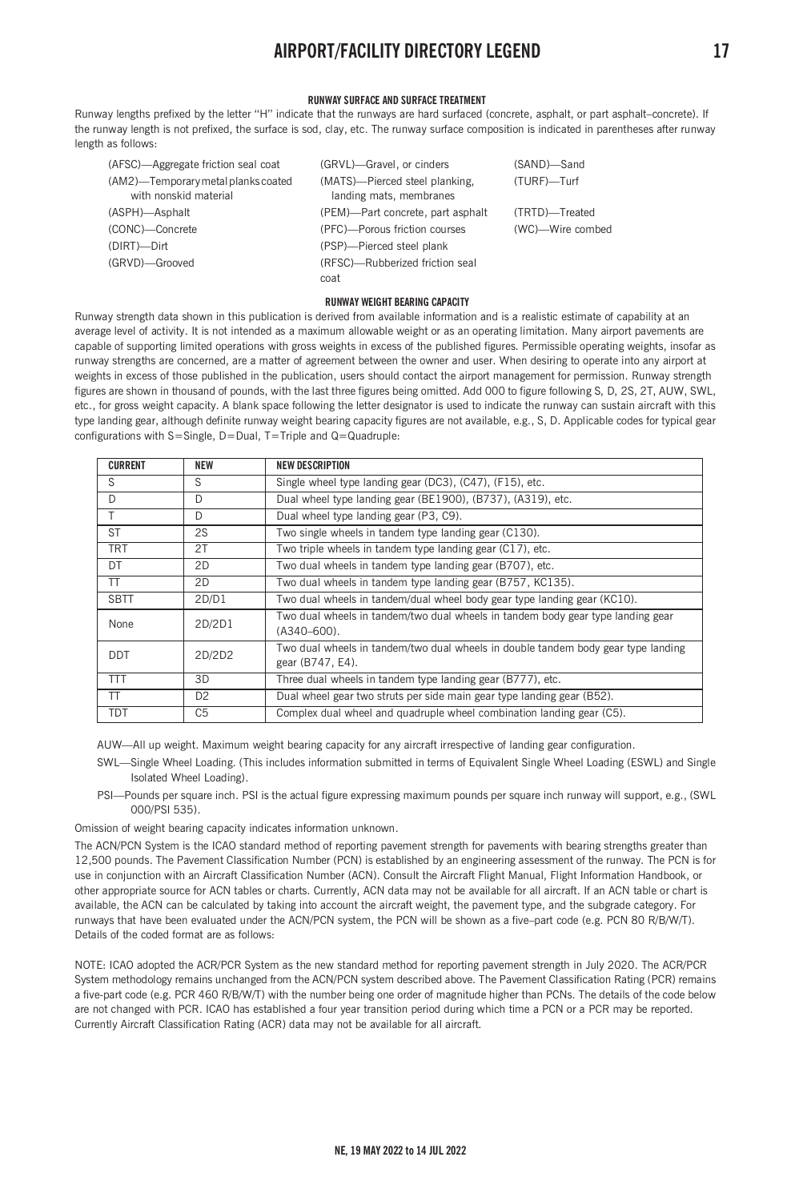#### **RUNWAY SURFACE AND SURFACE TREATMENT**

Runwav lengths prefixed by the letter "H" indicate that the runways are hard surfaced (concrete, asphalt, or part asphalt-concrete). If the runway length is not prefixed, the surface is sod, clay, etc. The runway surface composition is indicated in parentheses after runway length as follows:

| (AFSC)-Aggregate friction seal coat                          | (GRVL)-Gravel, or cinders                                 | (SAND)-Sand      |
|--------------------------------------------------------------|-----------------------------------------------------------|------------------|
| (AM2)-Temporary metal planks coated<br>with nonskid material | (MATS)-Pierced steel planking,<br>landing mats, membranes | (TURF)-Turf      |
| (ASPH)-Asphalt                                               | (PEM)-Part concrete, part asphalt                         | (TRTD)-Treated   |
| (CONC)-Concrete                                              | (PFC)-Porous friction courses                             | (WC)-Wire combed |
| (DIRT)-Dirt                                                  | (PSP)-Pierced steel plank                                 |                  |
| (GRVD)-Grooved                                               | (RFSC)-Rubberized friction seal<br>coat                   |                  |
|                                                              |                                                           |                  |

#### **DUNWAY WEIGHT READING CAPACITY**

Runway strength data shown in this publication is derived from available information and is a realistic estimate of capability at an average level of activity. It is not intended as a maximum allowable weight or as an operating limitation. Many airport pavements are capable of supporting limited operations with gross weights in excess of the published figures. Permissible operating weights, insofar as runway strengths are concerned, are a matter of agreement between the owner and user. When desiring to operate into any airport at weights in excess of those published in the publication, users should contact the airport management for permission. Runway strength figures are shown in thousand of pounds, with the last three figures being omitted. Add 000 to figure following S, D, 2S, 2T, AUW, SWL, etc... for gross weight capacity. A blank space following the letter designator is used to indicate the runway can sustain aircraft with this type landing gear, although definite runway weight bearing capacity figures are not available, e.g., S, D. Applicable codes for typical gear configurations with S=Single, D=Dual, T=Triple and Q=Quadruple:

| <b>CURRENT</b> | <b>NEW</b>     | <b>NEW DESCRIPTION</b>                                                                                |
|----------------|----------------|-------------------------------------------------------------------------------------------------------|
| S              | S              | Single wheel type landing gear (DC3), (C47), (F15), etc.                                              |
| D              | D              | Dual wheel type landing gear (BE1900), (B737), (A319), etc.                                           |
|                | D              | Dual wheel type landing gear (P3, C9).                                                                |
| ST             | 2S             | Two single wheels in tandem type landing gear (C130).                                                 |
| <b>TRT</b>     | 2T             | Two triple wheels in tandem type landing gear (C17), etc.                                             |
| DT             | 2D             | Two dual wheels in tandem type landing gear (B707), etc.                                              |
| TΤ             | 2D             | Two dual wheels in tandem type landing gear (B757, KC135).                                            |
| <b>SBTT</b>    | 2D/D1          | Two dual wheels in tandem/dual wheel body gear type landing gear (KC10).                              |
| None           | 2D/2D1         | Two dual wheels in tandem/two dual wheels in tandem body gear type landing gear<br>$(A340 - 600)$ .   |
| DDT            | 2D/2D2         | Two dual wheels in tandem/two dual wheels in double tandem body gear type landing<br>gear (B747, E4). |
| <b>TTT</b>     | 3D             | Three dual wheels in tandem type landing gear (B777), etc.                                            |
| TT.            | D <sub>2</sub> | Dual wheel gear two struts per side main gear type landing gear (B52).                                |
| <b>TDT</b>     | C5             | Complex dual wheel and quadruple wheel combination landing gear (C5).                                 |

AUW-All up weight. Maximum weight bearing capacity for any aircraft irrespective of landing gear configuration.

- SWL-Single Wheel Loading. (This includes information submitted in terms of Equivalent Single Wheel Loading (ESWL) and Single Isolated Wheel Loading).
- PSI-Pounds per square inch. PSI is the actual figure expressing maximum pounds per square inch runway will support, e.g., (SWL 000/PSI 535).

Omission of weight bearing capacity indicates information unknown.

The ACN/PCN System is the ICAO standard method of reporting pavement strength for pavements with bearing strengths greater than 12,500 pounds. The Pavement Classification Number (PCN) is established by an engineering assessment of the runway. The PCN is for use in conjunction with an Aircraft Classification Number (ACN). Consult the Aircraft Flight Manual, Flight Information Handbook, or other appropriate source for ACN tables or charts. Currently, ACN data may not be available for all aircraft. If an ACN table or chart is available, the ACN can be calculated by taking into account the aircraft weight, the payement type, and the subgrade category. For runways that have been evaluated under the ACN/PCN system, the PCN will be shown as a five-part code (e.g. PCN 80 R/B/W/T). Details of the coded format are as follows:

NOTE: ICAO adopted the ACR/PCR System as the new standard method for reporting pavement strength in July 2020. The ACR/PCR System methodology remains unchanged from the ACN/PCN system described above. The Pavement Classification Rating (PCR) remains a five-part code (e.g. PCR 460 R/B/W/T) with the number being one order of magnitude higher than PCNs. The details of the code below are not changed with PCR. ICAO has established a four year transition period during which time a PCN or a PCR may be reported. Currently Aircraft Classification Rating (ACR) data may not be available for all aircraft.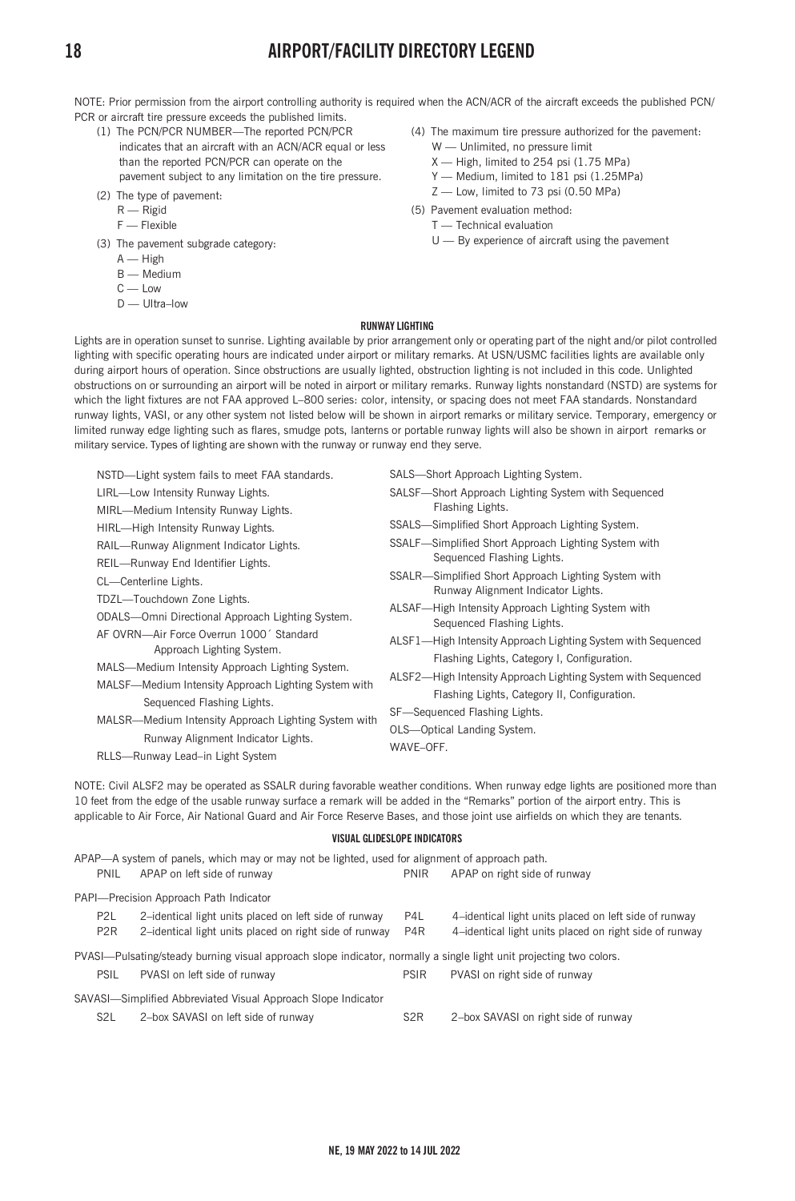NOTE: Prior permission from the airport controlling authority is required when the ACN/ACR of the aircraft exceeds the published PCN/ PCR or aircraft tire pressure exceeds the published limits.

- (1) The PCN/PCR NUMBER-The reported PCN/PCR indicates that an aircraft with an ACN/ACR equal or less than the reported PCN/PCR can operate on the
- pavement subject to any limitation on the tire pressure. (2) The type of pavement:
	- $R$  Rigid
	- $F -$  Flexible
- (3) The pavement subgrade category:
	- $A High$
	- $B -$  Medium
	- $C Low$
	- $D$  Ultra-low
- (4) The maximum tire pressure authorized for the pavement:
	- W Unlimited, no pressure limit
	- X High, limited to 254 psi (1.75 MPa)
	- Y Medium. limited to 181 psi (1.25MPa)
	- Z Low. limited to 73 psi (0.50 MPa)
- (5) Pavement evaluation method:
- T Technical evaluation
	- U By experience of aircraft using the pavement

#### **RUNWAY LIGHTING**

Lights are in operation sunset to sunrise. Lighting available by prior arrangement only or operating part of the night and/or pilot controlled lighting with specific operating hours are indicated under airport or military remarks. At USN/USMC facilities lights are available only during airport hours of operation. Since obstructions are usually lighted, obstruction lighting is not included in this code. Unlighted obstructions on or surrounding an airport will be noted in airport or military remarks. Runway lights nonstandard (NSTD) are systems for which the light fixtures are not FAA approved L-800 series: color, intensity, or spacing does not meet FAA standards. Nonstandard runway lights, VASI, or any other system not listed below will be shown in airport remarks or military service. Temporary, emergency or limited runway edge lighting such as flares, smudge pots, lanterns or portable runway lights will also be shown in airport remarks or military service. Types of lighting are shown with the runway or runway end they serve.

| NSTD-Light system fails to meet FAA standards.                        | SALS-Short Approach Lighting System.                                             |
|-----------------------------------------------------------------------|----------------------------------------------------------------------------------|
| LIRL-Low Intensity Runway Lights.                                     | SALSF—Short Approach Lighting System with Sequenced                              |
| MIRL-Medium Intensity Runway Lights.                                  | Flashing Lights.                                                                 |
| HIRL-High Intensity Runway Lights.                                    | SSALS-Simplified Short Approach Lighting System.                                 |
| RAIL-Runway Alignment Indicator Lights.                               | SSALF-Simplified Short Approach Lighting System with                             |
| REIL-Runway End Identifier Lights.                                    | Sequenced Flashing Lights.                                                       |
| CL-Centerline Lights.                                                 | SSALR—Simplified Short Approach Lighting System with                             |
| TDZL-Touchdown Zone Lights.                                           | Runway Alignment Indicator Lights.                                               |
| ODALS—Omni Directional Approach Lighting System.                      | ALSAF—High Intensity Approach Lighting System with<br>Sequenced Flashing Lights. |
| AF OVRN-Air Force Overrun 1000' Standard<br>Approach Lighting System. | ALSF1-High Intensity Approach Lighting System with Sequenced                     |
|                                                                       | Flashing Lights, Category I, Configuration.                                      |
| MALS-Medium Intensity Approach Lighting System.                       | ALSF2—High Intensity Approach Lighting System with Sequenced                     |
| MALSF—Medium Intensity Approach Lighting System with                  | Flashing Lights, Category II, Configuration.                                     |
| Sequenced Flashing Lights.                                            | SF-Sequenced Flashing Lights.                                                    |
| MALSR—Medium Intensity Approach Lighting System with                  | OLS-Optical Landing System.                                                      |
| Runway Alignment Indicator Lights.                                    | WAVE-OFF.                                                                        |
| RLLS-Runway Lead-in Light System                                      |                                                                                  |

NOTE: Civil ALSF2 may be operated as SSALR during favorable weather conditions. When runway edge lights are positioned more than 10 feet from the edge of the usable runway surface a remark will be added in the "Remarks" portion of the airport entry. This is applicable to Air Force, Air National Guard and Air Force Reserve Bases, and those joint use airfields on which they are tenants.

#### VISUAL GLIDESLOPE INDICATORS

| APAP—A system of panels, which may or may not be lighted, used for alignment of approach path.                      |                                                               |                  |                                                        |  |  |
|---------------------------------------------------------------------------------------------------------------------|---------------------------------------------------------------|------------------|--------------------------------------------------------|--|--|
| PNIL                                                                                                                | APAP on left side of runway                                   | PNIR             | APAP on right side of runway                           |  |  |
|                                                                                                                     | PAPI-Precision Approach Path Indicator                        |                  |                                                        |  |  |
| P <sub>2</sub> L                                                                                                    | 2-identical light units placed on left side of runway         | P4L              | 4-identical light units placed on left side of runway  |  |  |
| P2R                                                                                                                 | 2-identical light units placed on right side of runway        | P <sub>4R</sub>  | 4-identical light units placed on right side of runway |  |  |
| PVASI—Pulsating/steady burning visual approach slope indicator, normally a single light unit projecting two colors. |                                                               |                  |                                                        |  |  |
| PSIL                                                                                                                | PVASI on left side of runway                                  | <b>PSIR</b>      | PVASI on right side of runway                          |  |  |
|                                                                                                                     | SAVASI-Simplified Abbreviated Visual Approach Slope Indicator |                  |                                                        |  |  |
| S <sub>2</sub> L                                                                                                    | 2-box SAVASI on left side of runway                           | S <sub>2</sub> R | 2-box SAVASI on right side of runway                   |  |  |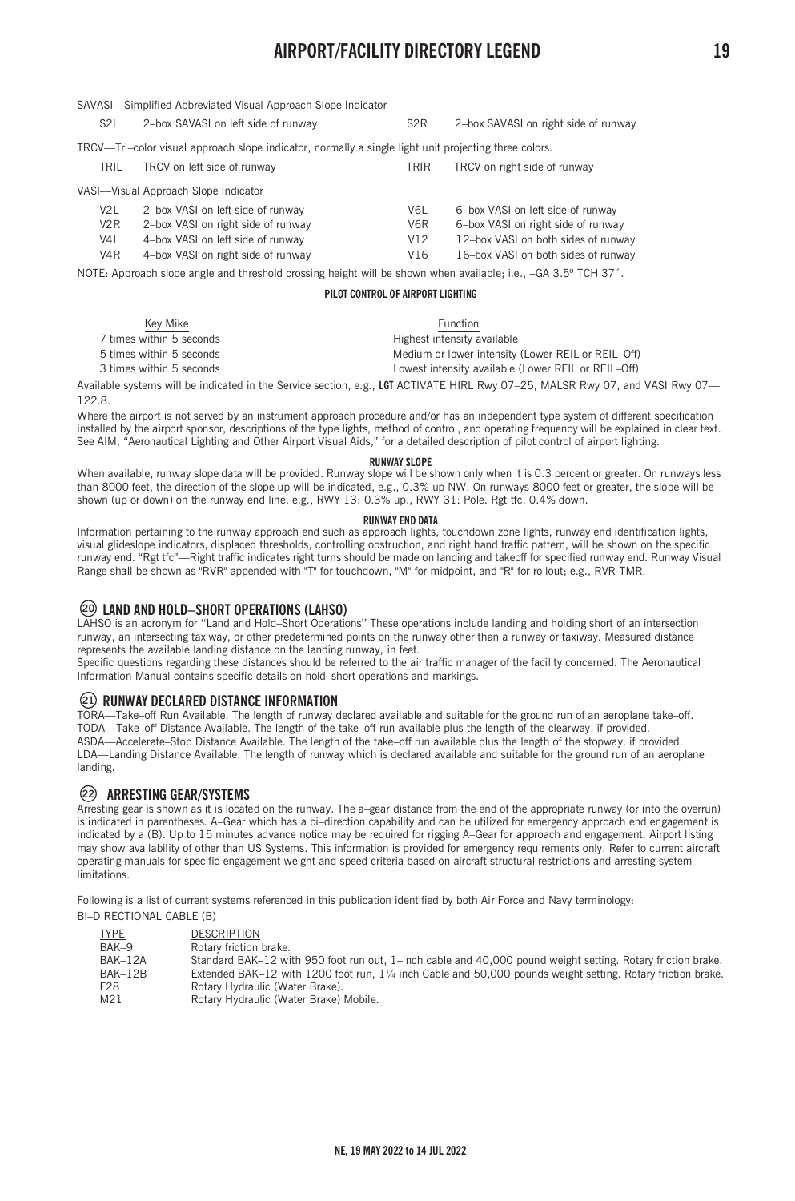|                  | SAVASI-Simplified Abbreviated Visual Approach Slope Indicator                                         |                  |                                      |  |  |  |
|------------------|-------------------------------------------------------------------------------------------------------|------------------|--------------------------------------|--|--|--|
| S2L              | 2-box SAVASI on left side of runway                                                                   | S <sub>2</sub> R | 2-box SAVASI on right side of runway |  |  |  |
|                  | TRCV—Tri-color visual approach slope indicator, normally a single light unit projecting three colors. |                  |                                      |  |  |  |
| TRIL             | TRCV on left side of runway                                                                           | TRIR             | TRCV on right side of runway         |  |  |  |
|                  | VASI-Visual Approach Slope Indicator                                                                  |                  |                                      |  |  |  |
| V2L              | 2-box VASI on left side of runway                                                                     | V6L              | 6-box VASI on left side of runway    |  |  |  |
| V <sub>2</sub> R | 2-box VASI on right side of runway                                                                    | V6R              | 6-box VASI on right side of runway   |  |  |  |
| V4L              | 4-box VASI on left side of runway                                                                     | V12              | 12-box VASI on both sides of runway  |  |  |  |
| V4R              | 4-box VASI on right side of runway                                                                    | V16              | 16-box VASI on both sides of runway  |  |  |  |

NOTE: Approach slope angle and threshold crossing height will be shown when available; i.e., -GA 3.5° TCH 37'.

#### PILOT CONTROL OF AIRPORT LIGHTING

| Key Mike                 | Function                                            |
|--------------------------|-----------------------------------------------------|
| 7 times within 5 seconds | Highest intensity available                         |
| 5 times within 5 seconds | Medium or lower intensity (Lower REIL or REIL-Off)  |
| 3 times within 5 seconds | Lowest intensity available (Lower REIL or REIL-Off) |

Available systems will be indicated in the Service section, e.g., LGT ACTIVATE HIRL Rwy 07-25. MALSR Rwy 07, and VASI Rwy 07- $122.8$ 

Where the airport is not served by an instrument approach procedure and/or has an independent type system of different specification installed by the airport sponsor, descriptions of the type lights, method of control, and operating frequency will be explained in clear text. See AIM, "Aeronautical Lighting and Other Airport Visual Aids," for a detailed description of pilot control of airport lighting.

#### **RUNWAY SLOPE**

When available, runway slope data will be provided. Runway slope will be shown only when it is 0.3 percent or greater. On runways less than 8000 feet, the direction of the slope up will be indicated, e.g., 0.3% up NW. On runways 8000 feet or greater, the slope will be shown (up or down) on the runway end line, e.g., RWY 13: 0.3% up., RWY 31: Pole. Rgt tfc. 0.4% down.

#### **RIINWAY FND DATA**

Information pertaining to the runway approach end such as approach lights, touchdown zone lights, runway end identification lights, visual glideslope indicators, displaced thresholds, controlling obstruction, and right hand traffic pattern, will be shown on the specific runway end. "Rgt tfc"-Right traffic indicates right turns should be made on landing and takeoff for specified runway end. Runway Visual Range shall be shown as "RVR" appended with "T" for touchdown, "M" for midpoint, and "R" for rollout; e.g., RVR-TMR.

### (20) LAND AND HOLD-SHORT OPERATIONS (LAHSO)

LAHSO is an acronym for "Land and Hold-Short Operations" These operations include landing and holding short of an intersection runway, an intersecting taxiway, or other predetermined points on the runway other than a runway or taxiway. Measured distance represents the available landing distance on the landing runway, in feet.

Specific questions regarding these distances should be referred to the air traffic manager of the facility concerned. The Aeronautical Information Manual contains specific details on hold-short operations and markings.

#### (21) RUNWAY DECLARED DISTANCE INFORMATION

TORA-Take-off Run Available. The length of runway declared available and suitable for the ground run of an aeroplane take-off. TODA-Take-off Distance Available. The length of the take-off run available plus the length of the clearway, if provided. ASDA—Accelerate–Stop Distance Available. The length of the take–off run available plus the length of the stopway, if provided. LDA—Landing Distance Available. The length of runway which is declared available and suitable for the ground run of an aeroplane landing.

### 22 ARRESTING GEAR/SYSTEMS

Arresting gear is shown as it is located on the runway. The a-gear distance from the end of the appropriate runway (or into the overrun) is indicated in parentheses. A-Gear which has a bi-direction capability and can be utilized for emergency approach end engagement is indicated by a (B). Up to 15 minutes advance notice may be required for rigging A-Gear for approach and engagement. Airport listing may show availability of other than US Systems. This information is provided for emergency requirements only. Refer to current aircraft operating manuals for specific engagement weight and speed criteria based on aircraft structural restrictions and arresting system limitations

Following is a list of current systems referenced in this publication identified by both Air Force and Navy terminology: **RI-DIRECTIONAL CABLE (B)** 

| TYPE    | <b>DESCRIPTION</b>                                                                                                     |
|---------|------------------------------------------------------------------------------------------------------------------------|
| BAK-9   | Rotary friction brake.                                                                                                 |
| BAK-12A | Standard BAK-12 with 950 foot run out. 1-inch cable and 40.000 pound weight setting. Rotary friction brake.            |
| BAK-12B | Extended BAK–12 with 1200 foot run, $1\frac{1}{4}$ inch Cable and 50,000 pounds weight setting. Rotary friction brake, |
| F28     | Rotary Hydraulic (Water Brake).                                                                                        |
| M21     | Rotary Hydraulic (Water Brake) Mobile.                                                                                 |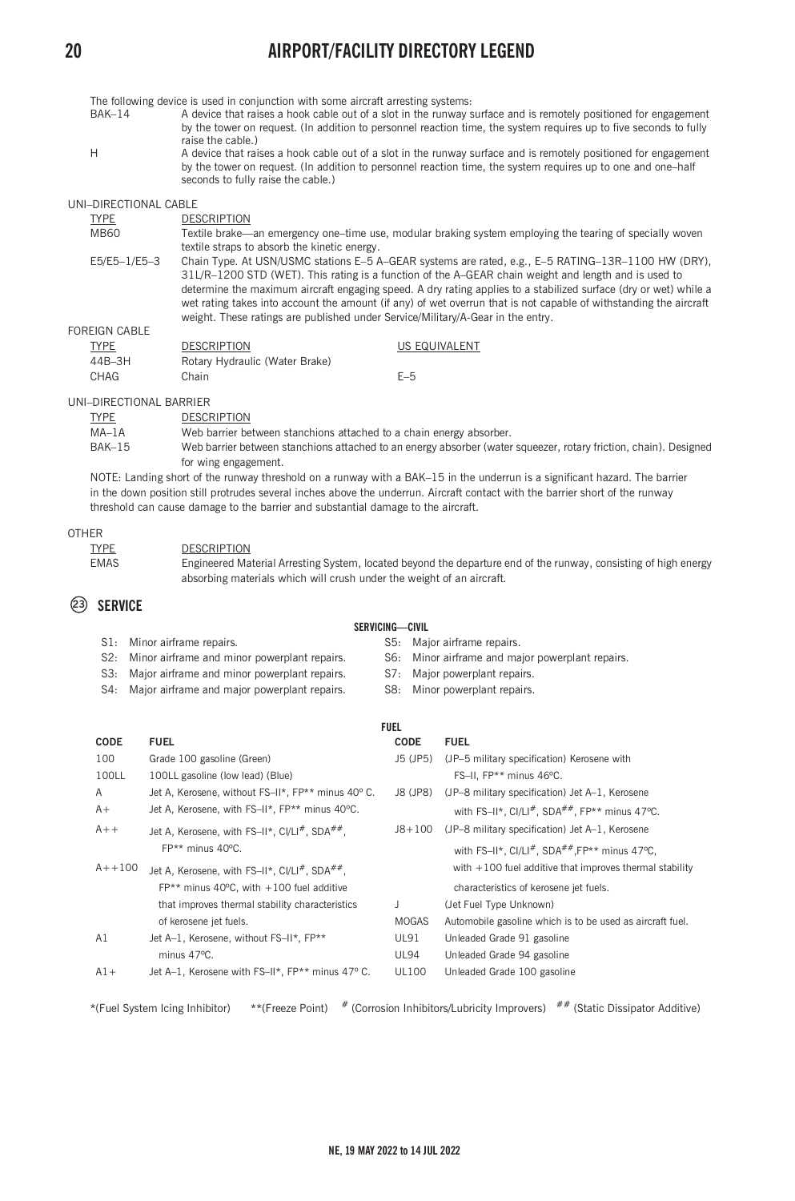The following device is used in conjunction with some aircraft arresting systems:

- A device that raises a hook cable out of a slot in the runway surface and is remotely positioned for engagement  $RAK-14$ by the tower on request. (In addition to personnel reaction time, the system requires up to five seconds to fully raise the cable.)
- $H$ A device that raises a hook cable out of a slot in the runway surface and is remotely positioned for engagement by the tower on request. (In addition to personnel reaction time, the system requires up to one and one-half seconds to fully raise the cable.)

### UNI-DIRECTIONAL CABLE

| <b>TYPE</b>          | <b>DESCRIPTION</b>                                                                                                                                                                                         |                                                                                                                                                                                                                                                                                                                          |  |
|----------------------|------------------------------------------------------------------------------------------------------------------------------------------------------------------------------------------------------------|--------------------------------------------------------------------------------------------------------------------------------------------------------------------------------------------------------------------------------------------------------------------------------------------------------------------------|--|
| <b>MB60</b>          | textile straps to absorb the kinetic energy.                                                                                                                                                               | Textile brake—an emergency one–time use, modular braking system employing the tearing of specially woven                                                                                                                                                                                                                 |  |
| E5/E5-1/E5-3         | Chain Type. At USN/USMC stations E-5 A-GEAR systems are rated, e.g., E-5 RATING-13R-1100 HW (DRY),<br>31L/R-1200 STD (WET). This rating is a function of the A-GEAR chain weight and length and is used to |                                                                                                                                                                                                                                                                                                                          |  |
|                      |                                                                                                                                                                                                            | determine the maximum aircraft engaging speed. A dry rating applies to a stabilized surface (dry or wet) while a<br>wet rating takes into account the amount (if any) of wet overrun that is not capable of withstanding the aircraft<br>weight. These ratings are published under Service/Military/A-Gear in the entry. |  |
| <b>FORFIGN CABLE</b> |                                                                                                                                                                                                            |                                                                                                                                                                                                                                                                                                                          |  |
| <b>TYPE</b>          | <b>DESCRIPTION</b>                                                                                                                                                                                         | US EQUIVALENT                                                                                                                                                                                                                                                                                                            |  |
| 44B-3H               | Rotary Hydraulic (Water Brake)                                                                                                                                                                             |                                                                                                                                                                                                                                                                                                                          |  |
| CHAG                 | Chain                                                                                                                                                                                                      | $E-5$                                                                                                                                                                                                                                                                                                                    |  |

#### UNI-DIRECTIONAL BARRIER

| TYPE   | DESCRIPTION                                                                                                      |
|--------|------------------------------------------------------------------------------------------------------------------|
| MA-1A  | Web barrier between stanchions attached to a chain energy absorber.                                              |
| BAK-15 | Web barrier between stanchions attached to an energy absorber (water squeezer, rotary friction, chain). Designed |
|        | for wing engagement.                                                                                             |

NOTE: Landing short of the runway threshold on a runway with a BAK-15 in the underrun is a significant hazard. The barrier in the down position still protrudes several inches above the underrun. Aircraft contact with the barrier short of the runway threshold can cause damage to the barrier and substantial damage to the aircraft.

#### **OTHER**

| .           |                                                          |
|-------------|----------------------------------------------------------|
| <b>TYPE</b> | <b>DESCRIPTION</b>                                       |
| EMAS        | Engineered Material Arresting System, located beyond the |

EM/ he departure end of the runway, consisting of high energy absorbing materials which will crush under the weight of an aircraft.

### 23) SERVICE

#### SERVICING-CIVIL

| S1:                                                 | Minor airframe repairs.                            |             |            | S5: Major airframe repairs.                                            |
|-----------------------------------------------------|----------------------------------------------------|-------------|------------|------------------------------------------------------------------------|
| Minor airframe and minor powerplant repairs.<br>S2: |                                                    | S6:         |            | Minor airframe and major powerplant repairs.                           |
| S3:                                                 | Major airframe and minor powerplant repairs.       | S7:         |            | Major powerplant repairs.                                              |
| S4:                                                 | Major airframe and major powerplant repairs.       |             |            | Minor powerplant repairs.                                              |
|                                                     |                                                    | <b>FUEL</b> |            |                                                                        |
| CODE                                                | <b>FUEL</b>                                        | CODE        |            | <b>FUEL</b>                                                            |
| 100                                                 | Grade 100 gasoline (Green)                         |             | J5 (JP5)   | (JP-5 military specification) Kerosene with                            |
| 100LL                                               | 100LL gasoline (low lead) (Blue)                   |             |            | FS-II. FP** minus 46°C.                                                |
| Α                                                   | Jet A, Kerosene, without FS-II*, FP** minus 40° C. | J8 (JP8)    |            | (JP-8 military specification) Jet A-1, Kerosene                        |
| $A+$                                                | Jet A, Kerosene, with FS-II*, FP** minus 40°C.     |             |            | with FS-II*, CI/LI#, SDA##, FP** minus 47°C.                           |
| $A++$                                               | Jet A, Kerosene, with FS-II*, CI/LI#, SDA##,       |             | $J8 + 100$ | (JP-8 military specification) Jet A-1, Kerosene                        |
|                                                     | FP** minus 40°C.                                   |             |            | with FS-II*, CI/LI <sup>#</sup> , SDA <sup>##</sup> , FP** minus 47°C. |
| $A+100$                                             | Jet A, Kerosene, with FS-II*, CI/LI#, SDA##,       |             |            | with $+100$ fuel additive that improves thermal stability              |
|                                                     | $FP**$ minus 40°C, with $+100$ fuel additive       |             |            | characteristics of kerosene jet fuels.                                 |
|                                                     | that improves thermal stability characteristics    | J.          |            | (Jet Fuel Type Unknown)                                                |
|                                                     | of kerosene jet fuels.                             | MOGAS       |            | Automobile gasoline which is to be used as aircraft fuel.              |
| A1                                                  | Jet A-1, Kerosene, without FS-II*, FP**            | UL91        |            | Unleaded Grade 91 gasoline                                             |
|                                                     | minus 47°C.                                        | <b>UL94</b> |            | Unleaded Grade 94 gasoline                                             |

 $A1+$ Jet A-1, Kerosene with FS-II\*, FP\*\* minus 47° C. UL100 Unleaded Grade 100 gasoline

\*(Fuel System Icing Inhibitor) \*\*(Freeze Point) # (Corrosion Inhibitors/Lubricity Improvers) ## (Static Dissipator Additive)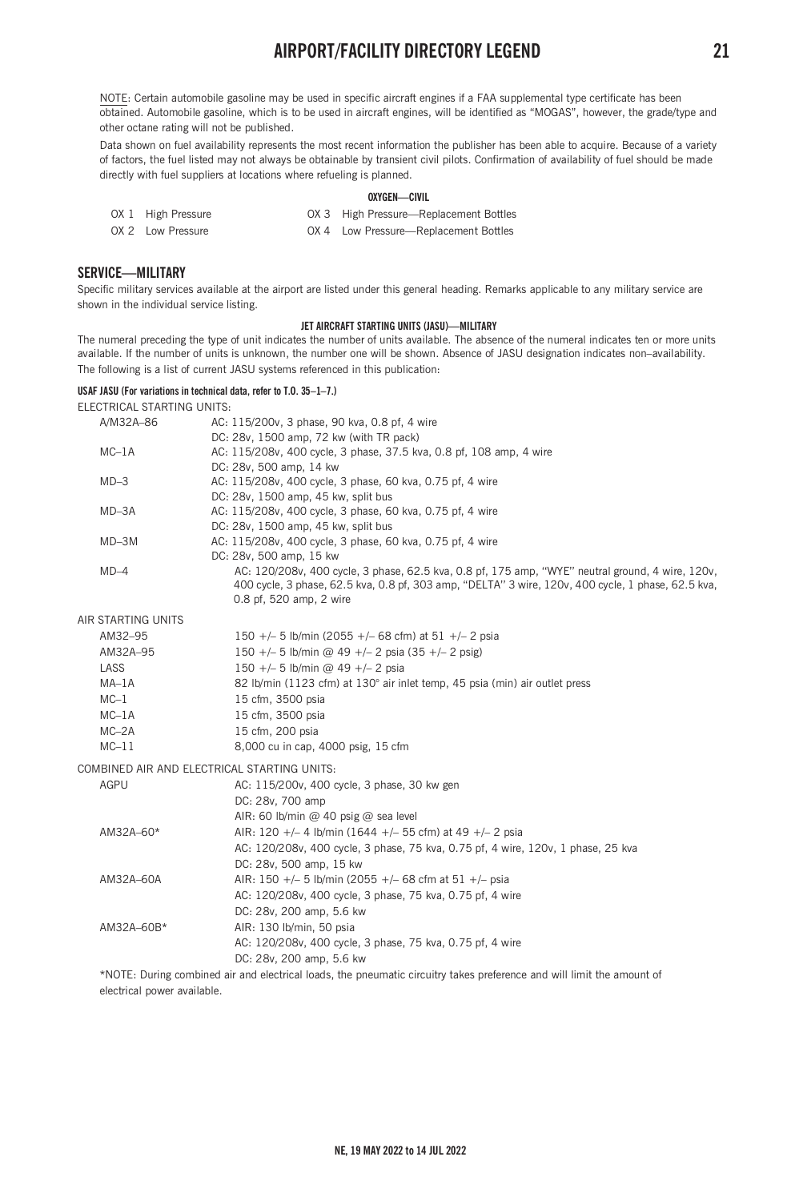NOTE: Certain automobile gasoline may be used in specific aircraft engines if a FAA supplemental type certificate has been obtained. Automobile gasoline, which is to be used in aircraft engines, will be identified as "MOGAS", however, the grade/type and other octane rating will not be published.

Data shown on fuel availability represents the most recent information the publisher has been able to acquire. Because of a variety of factors, the fuel listed may not always be obtainable by transient civil pilots. Confirmation of availability of fuel should be made directly with fuel suppliers at locations where refueling is planned.

|                    | <b>OXYGEN—CIVIL</b>                    |
|--------------------|----------------------------------------|
| OX 1 High Pressure | OX 3 High Pressure-Replacement Bottles |
| OX 2 Low Pressure  | OX 4 Low Pressure-Replacement Bottles  |

### **SERVICE-MILITARY**

Specific military services available at the airport are listed under this general heading. Remarks applicable to any military service are shown in the individual service listing.

#### JET AIRCRAFT STARTING UNITS (JASU)-MILITARY

The numeral preceding the type of unit indicates the number of units available. The absence of the numeral indicates ten or more units available. If the number of units is unknown, the number one will be shown. Absence of JASU designation indicates non-availability. The following is a list of current JASU systems referenced in this publication:

#### USAF JASU (For variations in technical data, refer to T.O. 35-1-7.)

ELECTRICAL STARTING UNITS:

| A/M32A-86          | AC: 115/200v, 3 phase, 90 kva, 0.8 pf, 4 wire                                                                          |
|--------------------|------------------------------------------------------------------------------------------------------------------------|
|                    | DC: 28v, 1500 amp, 72 kw (with TR pack)                                                                                |
| $MC-1A$            | AC: 115/208v, 400 cycle, 3 phase, 37.5 kva, 0.8 pf, 108 amp, 4 wire                                                    |
|                    | DC: 28v, 500 amp, 14 kw                                                                                                |
| $MD-3$             | AC: 115/208v, 400 cycle, 3 phase, 60 kva, 0.75 pf, 4 wire                                                              |
|                    | DC: 28v, 1500 amp, 45 kw, split bus                                                                                    |
| $MD-3A$            | AC: 115/208v, 400 cycle, 3 phase, 60 kva, 0.75 pf, 4 wire                                                              |
|                    | DC: 28v, 1500 amp, 45 kw, split bus                                                                                    |
| $MD-3M$            | AC: 115/208v, 400 cycle, 3 phase, 60 kva, 0.75 pf, 4 wire                                                              |
|                    | DC: 28v, 500 amp, 15 kw                                                                                                |
| $MD-4$             | AC: 120/208v, 400 cycle, 3 phase, 62.5 kva, 0.8 pf, 175 amp, "WYE" neutral ground, 4 wire, 120v                        |
|                    | 400 cycle, 3 phase, 62.5 kva, 0.8 pf, 303 amp, "DELTA" 3 wire, 120v, 400 cycle, 1 phase, 62.5 kva                      |
|                    | 0.8 pf, 520 amp, 2 wire                                                                                                |
| AIR STARTING UNITS |                                                                                                                        |
| AM32-95            | 150 +/- 5 lb/min (2055 +/- 68 cfm) at 51 +/- 2 psia                                                                    |
| AM32A-95           | 150 +/- 5 lb/min @ 49 +/- 2 psia (35 +/- 2 psig)                                                                       |
| LASS               | 150 +/- 5 lb/min @ 49 +/- 2 psia                                                                                       |
| $MA-1A$            | 82 lb/min (1123 cfm) at 130° air inlet temp, 45 psia (min) air outlet press                                            |
| $MC-1$             | 15 cfm, 3500 psia                                                                                                      |
| $MC-1A$            | 15 cfm, 3500 psia                                                                                                      |
| $MC-2A$            | 15 cfm, 200 psia                                                                                                       |
| $MC-11$            | 8,000 cu in cap, 4000 psig, 15 cfm                                                                                     |
|                    |                                                                                                                        |
|                    | COMBINED AIR AND ELECTRICAL STARTING UNITS:                                                                            |
| AGPU               | AC: 115/200v, 400 cycle, 3 phase, 30 kw gen                                                                            |
|                    | DC: 28v, 700 amp                                                                                                       |
|                    | AIR: 60 lb/min @ 40 psig @ sea level                                                                                   |
| AM32A-60*          | AIR: 120 +/- 4 lb/min (1644 +/- 55 cfm) at 49 +/- 2 psia                                                               |
|                    | AC: 120/208v, 400 cycle, 3 phase, 75 kva, 0.75 pf, 4 wire, 120v, 1 phase, 25 kva                                       |
|                    | DC: 28v, 500 amp, 15 kw                                                                                                |
| AM32A-60A          | AIR: 150 +/- 5 lb/min (2055 +/- 68 cfm at 51 +/- psia                                                                  |
|                    | AC: 120/208v, 400 cycle, 3 phase, 75 kva, 0.75 pf, 4 wire                                                              |
|                    | DC: 28v, 200 amp, 5.6 kw                                                                                               |
| AM32A-60B*         | AIR: 130 lb/min, 50 psia                                                                                               |
|                    | AC: 120/208v, 400 cycle, 3 phase, 75 kva, 0.75 pf, 4 wire                                                              |
|                    | DC: 28v, 200 amp, 5.6 kw                                                                                               |
|                    | *NOTE. During combined air and electrical loads, the pnoumatic circuitar takes proference and will limit the amount of |

d air and electrical loads, the pneumatic circuitry takes preference and will limit the amo ırıng c electrical power available.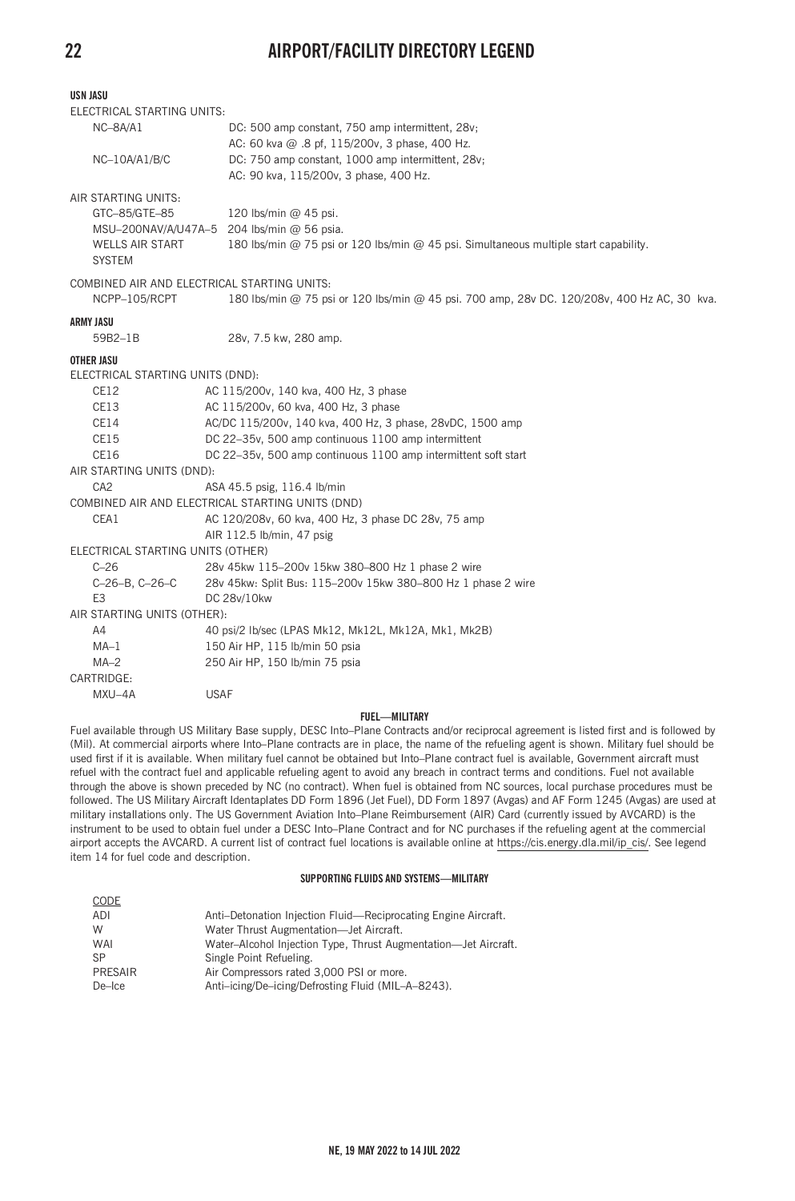| USN JASU                                                                        |                                                                                                                                                              |
|---------------------------------------------------------------------------------|--------------------------------------------------------------------------------------------------------------------------------------------------------------|
| ELECTRICAL STARTING UNITS:                                                      |                                                                                                                                                              |
| NC-8A/A1                                                                        | DC: 500 amp constant, 750 amp intermittent, 28v;                                                                                                             |
|                                                                                 | AC: 60 kva @ .8 pf, 115/200v, 3 phase, 400 Hz.                                                                                                               |
| NC-10A/A1/B/C                                                                   | DC: 750 amp constant, 1000 amp intermittent, 28v;                                                                                                            |
|                                                                                 | AC: 90 kva, 115/200v, 3 phase, 400 Hz.                                                                                                                       |
| AIR STARTING UNITS:<br>GTC-85/GTE-85<br><b>WELLS AIR START</b><br><b>SYSTEM</b> | 120 lbs/min @ 45 psi.<br>MSU-200NAV/A/U47A-5 204 lbs/min @ 56 psia.<br>180 lbs/min @ 75 psi or 120 lbs/min @ 45 psi. Simultaneous multiple start capability. |
| COMBINED AIR AND ELECTRICAL STARTING UNITS:                                     |                                                                                                                                                              |
| NCPP-105/RCPT                                                                   | 180 lbs/min @ 75 psi or 120 lbs/min @ 45 psi. 700 amp, 28v DC. 120/208v, 400 Hz AC, 30 kva.                                                                  |
| <b>ARMY JASU</b>                                                                |                                                                                                                                                              |
| 59B2-1B                                                                         | 28v, 7.5 kw, 280 amp.                                                                                                                                        |
| <b>OTHER JASU</b>                                                               |                                                                                                                                                              |
| ELECTRICAL STARTING UNITS (DND):                                                |                                                                                                                                                              |
| CE12                                                                            | AC 115/200v, 140 kva, 400 Hz, 3 phase                                                                                                                        |
| CE13                                                                            | AC 115/200v, 60 kva, 400 Hz, 3 phase                                                                                                                         |
| CE14                                                                            | AC/DC 115/200v, 140 kva, 400 Hz, 3 phase, 28vDC, 1500 amp                                                                                                    |
| CE15                                                                            | DC 22-35v, 500 amp continuous 1100 amp intermittent                                                                                                          |
| CE16                                                                            | DC 22-35v, 500 amp continuous 1100 amp intermittent soft start                                                                                               |
| AIR STARTING UNITS (DND):                                                       |                                                                                                                                                              |
| CA <sub>2</sub>                                                                 | ASA 45.5 psig, 116.4 lb/min                                                                                                                                  |
|                                                                                 | COMBINED AIR AND ELECTRICAL STARTING UNITS (DND)                                                                                                             |
| CEA1                                                                            | AC 120/208v, 60 kva, 400 Hz, 3 phase DC 28v, 75 amp                                                                                                          |
|                                                                                 | AIR 112.5 lb/min, 47 psig                                                                                                                                    |
| ELECTRICAL STARTING UNITS (OTHER)                                               |                                                                                                                                                              |
| $C-26$                                                                          | 28v 45kw 115-200v 15kw 380-800 Hz 1 phase 2 wire                                                                                                             |
| C-26-B, C-26-C                                                                  | 28v 45kw: Split Bus: 115-200v 15kw 380-800 Hz 1 phase 2 wire                                                                                                 |
| E3                                                                              | DC 28v/10kw                                                                                                                                                  |
| AIR STARTING UNITS (OTHER):                                                     |                                                                                                                                                              |
| A4                                                                              | 40 psi/2 lb/sec (LPAS Mk12, Mk12L, Mk12A, Mk1, Mk2B)                                                                                                         |
| $MA-1$                                                                          | 150 Air HP, 115 lb/min 50 psia                                                                                                                               |
| $MA-2$                                                                          | 250 Air HP, 150 lb/min 75 psia                                                                                                                               |
| CARTRIDGE:                                                                      |                                                                                                                                                              |
| MXLI-4A                                                                         | <b>USAF</b>                                                                                                                                                  |

#### **FUEL-MILITARY**

Fuel available through US Military Base supply, DESC Into-Plane Contracts and/or reciprocal agreement is listed first and is followed by (Mil). At commercial airports where Into-Plane contracts are in place, the name of the refueling agent is shown. Military fuel should be used first if it is available. When military fuel cannot be obtained but Into-Plane contract fuel is available, Government aircraft must refuel with the contract fuel and applicable refueling agent to avoid any breach in contract terms and conditions. Fuel not available through the above is shown preceded by NC (no contract). When fuel is obtained from NC sources, local purchase procedures must be followed. The US Military Aircraft Identaplates DD Form 1896 (Jet Fuel), DD Form 1897 (Avgas) and AF Form 1245 (Avgas) are used at military installations only. The US Government Aviation Into-Plane Reimbursement (AIR) Card (currently issued by AVCARD) is the instrument to be used to obtain fuel under a DESC Into-Plane Contract and for NC purchases if the refueling agent at the commercial airport accepts the AVCARD. A current list of contract fuel locations is available online at https://cis.energy.dla.mil/ip\_cis/. See legend item 14 for fuel code and description.

#### SUPPORTING FLUIDS AND SYSTEMS-MILITARY

| <b>CODE</b> |                                                                 |
|-------------|-----------------------------------------------------------------|
| ADI         | Anti-Detonation Injection Fluid-Reciprocating Engine Aircraft.  |
| W           | Water Thrust Augmentation-Jet Aircraft.                         |
| WAI         | Water-Alcohol Injection Type, Thrust Augmentation-Jet Aircraft. |
| <b>SP</b>   | Single Point Refueling.                                         |
| PRESAIR     | Air Compressors rated 3,000 PSI or more.                        |
| De-Ice      | Anti-icing/De-icing/Defrosting Fluid (MIL-A-8243).              |

# 22

 $\sim$   $\sim$   $\sim$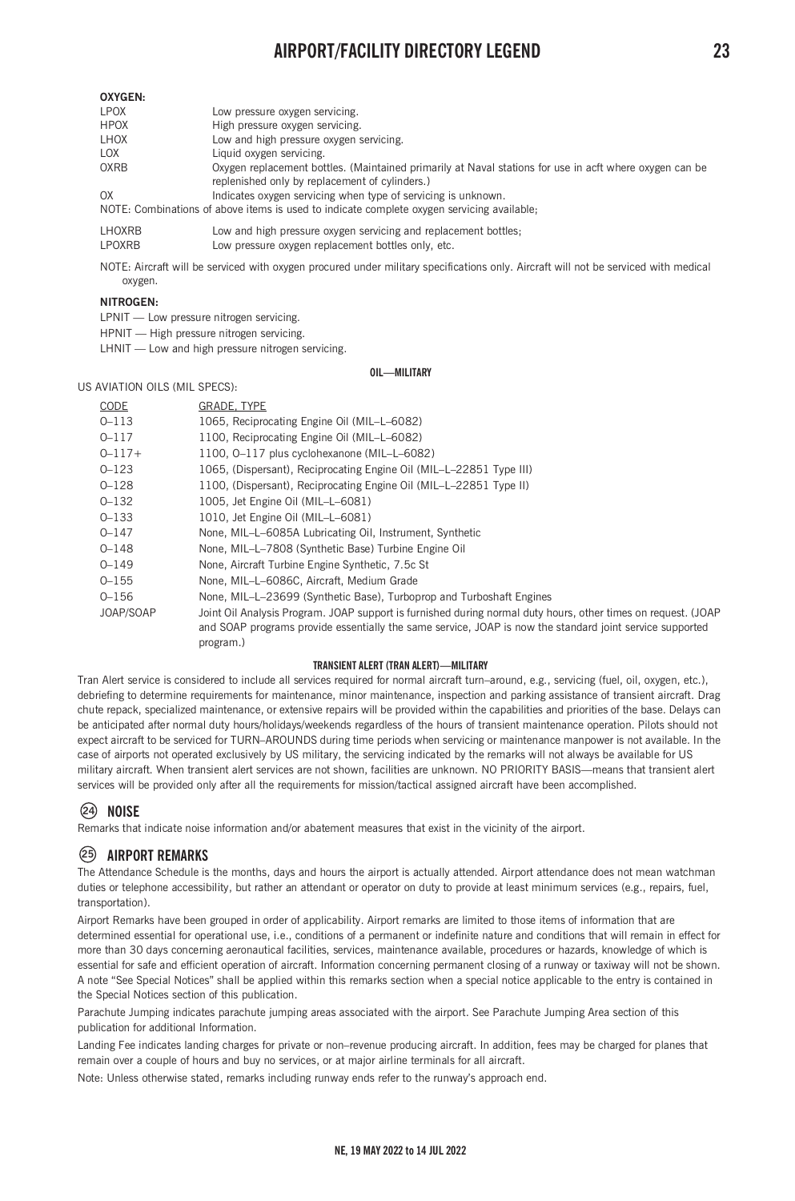| OXYGEN:       |                                                                                                                                                           |
|---------------|-----------------------------------------------------------------------------------------------------------------------------------------------------------|
| <b>LPOX</b>   | Low pressure oxygen servicing.                                                                                                                            |
| <b>HPOX</b>   | High pressure oxygen servicing.                                                                                                                           |
| LHOX          | Low and high pressure oxygen servicing.                                                                                                                   |
| <b>LOX</b>    | Liquid oxygen servicing.                                                                                                                                  |
| OXRB          | Oxygen replacement bottles. (Maintained primarily at Naval stations for use in acft where oxygen can be<br>replenished only by replacement of cylinders.) |
| <b>OX</b>     | Indicates oxygen servicing when type of servicing is unknown.                                                                                             |
|               | NOTE: Combinations of above items is used to indicate complete oxygen servicing available;                                                                |
| <b>ILOVDD</b> | Low and bigh arosours owgan consiging and replacement bottles.                                                                                            |

LHOXRB Low and high pressure oxygen servicing and replacement bottles;<br>LPOXRB LOW pressure oxygen replacement bottles only, etc. Low pressure oxygen replacement bottles only, etc.

NOTE: Aircraft will be serviced with oxygen procured under military specifications only. Aircraft will not be serviced with medical oxygen.

#### NITROGEN:

LPNIT - Low pressure nitrogen servicing.

 $HPNIT$  - High pressure nitrogen servicing

LHNIT - Low and high pressure nitrogen servicing.

#### 0IL-MILITARY

#### 11S AVIATION OILS (MIL SPECS)-

| CODE        | GRADE. TYPE                                                                                                                                                                                                                            |
|-------------|----------------------------------------------------------------------------------------------------------------------------------------------------------------------------------------------------------------------------------------|
| $0 - 113$   | 1065, Reciprocating Engine Oil (MIL-L-6082)                                                                                                                                                                                            |
| 0–117       | 1100, Reciprocating Engine Oil (MIL-L-6082)                                                                                                                                                                                            |
| $0 - 117 +$ | 1100, 0-117 plus cyclohexanone (MIL-L-6082)                                                                                                                                                                                            |
| $0 - 123$   | 1065, (Dispersant), Reciprocating Engine Oil (MIL-L-22851 Type III)                                                                                                                                                                    |
| 0–128       | 1100, (Dispersant), Reciprocating Engine Oil (MIL-L-22851 Type II)                                                                                                                                                                     |
| 0–132       | 1005. Jet Engine Oil (MIL-L-6081)                                                                                                                                                                                                      |
| 0–133       | 1010, Jet Engine Oil (MIL-L-6081)                                                                                                                                                                                                      |
| $0 - 147$   | None, MIL-L-6085A Lubricating Oil, Instrument, Synthetic                                                                                                                                                                               |
| $0 - 148$   | None, MIL-L-7808 (Synthetic Base) Turbine Engine Oil                                                                                                                                                                                   |
| $0 - 149$   | None, Aircraft Turbine Engine Synthetic, 7.5c St                                                                                                                                                                                       |
| 0–155       | None, MIL-L-6086C, Aircraft, Medium Grade                                                                                                                                                                                              |
| 0–156       | None, MIL-L-23699 (Synthetic Base), Turboprop and Turboshaft Engines                                                                                                                                                                   |
| JOAP/SOAP   | Joint Oil Analysis Program. JOAP support is furnished during normal duty hours, other times on request. (JOAP<br>and SOAP programs provide essentially the same service, JOAP is now the standard joint service supported<br>program.) |

#### **TRANSIENT ALERT (TRAN ALERT)-MILITARY**

Tran Alert service is considered to include all services required for normal aircraft turn-around, e.g., servicing (fuel, oil, oxygen, etc.), debriefing to determine requirements for maintenance, minor maintenance, inspection and parking assistance of transient aircraft. Drag chute repack, specialized maintenance, or extensive repairs will be provided within the capabilities and priorities of the base. Delays can be anticipated after normal duty hours/holidays/weekends regardless of the hours of transient maintenance operation. Pilots should not expect aircraft to be serviced for TURN-AROUNDS during time periods when servicing or maintenance manpower is not available. In the case of airports not operated exclusively by US military, the servicing indicated by the remarks will not always be available for US military aircraft. When transient alert services are not shown, facilities are unknown. NO PRIORITY BASIS-means that transient alert services will be provided only after all the requirements for mission/tactical assigned aircraft have been accomplished.

### **24) NOISE**

Remarks that indicate noise information and/or abatement measures that exist in the vicinity of the airport.

### 25) AIRPORT REMARKS

The Attendance Schedule is the months, days and hours the airport is actually attended. Airport attendance does not mean watchman duties or telephone accessibility, but rather an attendant or operator on duty to provide at least minimum services (e.g., repairs, fuel, transportation).

Airport Remarks have been grouped in order of applicability. Airport remarks are limited to those items of information that are determined essential for operational use, i.e., conditions of a permanent or indefinite nature and conditions that will remain in effect for more than 30 days concerning aeronautical facilities, services, maintenance available, procedures or hazards, knowledge of which is essential for safe and efficient operation of aircraft. Information concerning permanent closing of a runway or taxiway will not be shown. A note "See Special Notices" shall be applied within this remarks section when a special notice applicable to the entry is contained in the Special Notices section of this publication.

Parachute Jumping indicates parachute jumping areas associated with the airport. See Parachute Jumping Area section of this publication for additional Information.

Landing Fee indicates landing charges for private or non-revenue producing aircraft. In addition, fees may be charged for planes that remain over a couple of hours and buy no services, or at major airline terminals for all aircraft.

Note: Unless otherwise stated, remarks including runway ends refer to the runway's approach end.

### **NE, 19 MAY 2022 to 14 JUL 2022**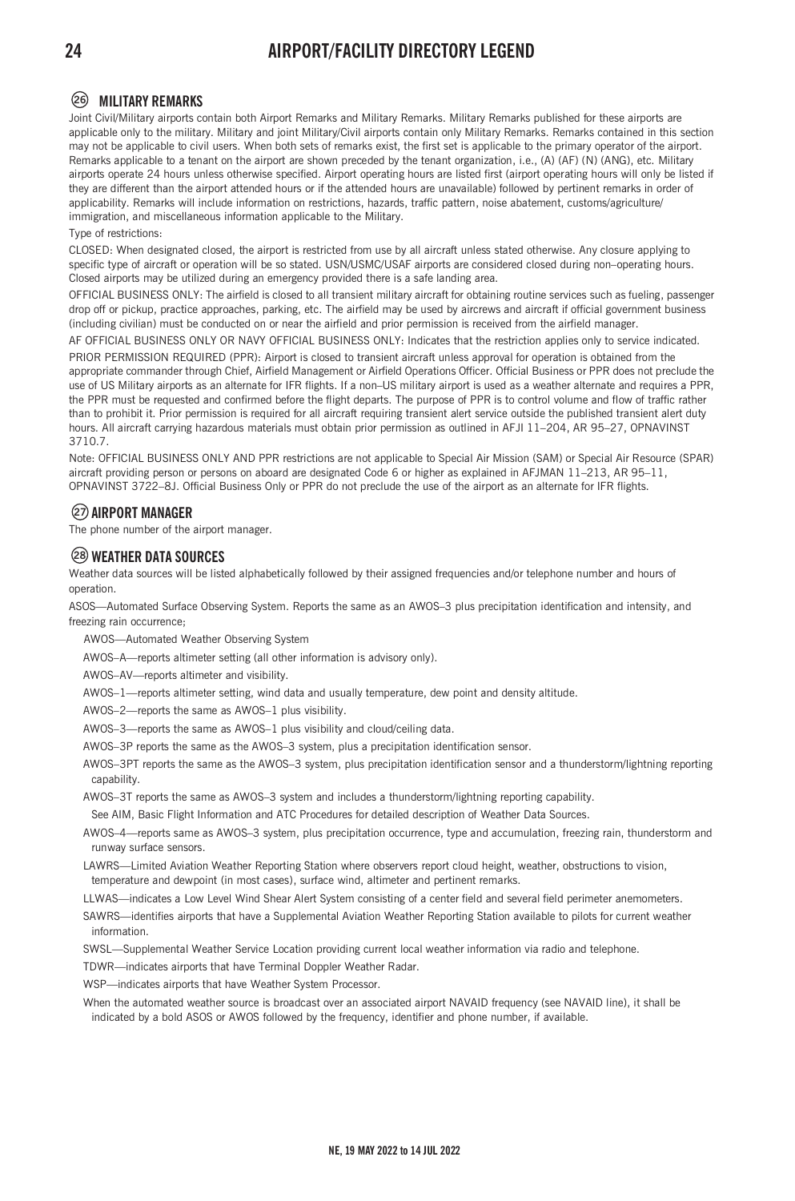### **26) MILITARY REMARKS**

Joint Civil/Military airports contain both Airport Remarks and Military Remarks. Military Remarks published for these airports are applicable only to the military. Military and joint Military/Civil airports contain only Military Remarks. Remarks contained in this section may not be applicable to civil users. When both sets of remarks exist, the first set is applicable to the primary operator of the airport. Remarks applicable to a tenant on the airport are shown preceded by the tenant organization, i.e., (A) (AF) (N) (ANG), etc. Military airports operate 24 hours unless otherwise specified. Airport operating hours are listed first (airport operating hours will only be listed if they are different than the airport attended hours or if the attended hours are unavailable) followed by pertinent remarks in order of applicability. Remarks will include information on restrictions, hazards, traffic pattern, noise abatement, customs/agriculture/ immigration, and miscellaneous information applicable to the Military.

Type of restrictions:

CLOSED: When designated closed, the airport is restricted from use by all aircraft unless stated otherwise. Any closure applying to specific type of aircraft or operation will be so stated. USN/USMC/USAF airports are considered closed during non-operating hours. Closed airports may be utilized during an emergency provided there is a safe landing area.

OFFICIAL BUSINESS ONLY: The airfield is closed to all transient military aircraft for obtaining routine services such as fueling, passenger drop off or pickup, practice approaches, parking, etc. The airfield may be used by aircrews and aircraft if official government business (including civilian) must be conducted on or near the airfield and prior permission is received from the airfield manager.

AF OFFICIAL BUSINESS ONLY OR NAVY OFFICIAL BUSINESS ONLY: Indicates that the restriction applies only to service indicated. PRIOR PERMISSION REQUIRED (PPR): Airport is closed to transient aircraft unless approval for operation is obtained from the appropriate commander through Chief, Airfield Management or Airfield Operations Officer. Official Business or PPR does not preclude the use of US Military airports as an alternate for IFR flights. If a non-US military airport is used as a weather alternate and requires a PPR, the PPR must be requested and confirmed before the flight departs. The purpose of PPR is to control volume and flow of traffic rather than to prohibit it. Prior permission is required for all aircraft requiring transient alert service outside the published transient alert duty hours. All aircraft carrying hazardous materials must obtain prior permission as outlined in AFJI 11-204, AR 95-27, OPNAVINST 37107

Note: OFFICIAL BUSINESS ONLY AND PPR restrictions are not applicable to Special Air Mission (SAM) or Special Air Resource (SPAR) aircraft providing person or persons on aboard are designated Code 6 or higher as explained in AFJMAN 11-213, AR 95-11, 231 OPNAVINST 3722-8J. Official Business Only or PPR do not preclude the use of the airport as an alternate for IFR flights.

### **27) AIRPORT MANAGER**

The phone number of the airport manager.

### **28) WEATHER DATA SOURCES**

Weather data sources will be listed alphabetically followed by their assigned frequencies and/or telephone number and hours of oneration

ASOS-Automated Surface Observing System. Reports the same as an AWOS-3 plus precipitation identification and intensity, and freezing rain occurrence:

- AWOS-Automated Weather Observing System
- AWOS-A-reports altimeter setting (all other information is advisory only).
- AWOS-AV-reports altimeter and visibility.
- AWOS-1-reports altimeter setting, wind data and usually temperature, dew point and density altitude.
- AWOS-2-reports the same as AWOS-1 plus visibility.
- AWOS-3-reports the same as AWOS-1 plus visibility and cloud/ceiling data.
- AWOS-3P reports the same as the AWOS-3 system, plus a precipitation identification sensor.
- AWOS-3PT reports the same as the AWOS-3 system, plus precipitation identification sensor and a thunderstorm/lightning reporting capability.
- AWOS-3T reports the same as AWOS-3 system and includes a thunderstorm/lightning reporting capability.
- See AIM, Basic Flight Information and ATC Procedures for detailed description of Weather Data Sources.
- AWOS-4-reports same as AWOS-3 system, plus precipitation occurrence, type and accumulation, freezing rain, thunderstorm and runway surface sensors
- LAWRS-Limited Aviation Weather Reporting Station where observers report cloud height, weather, obstructions to vision, temperature and dewpoint (in most cases), surface wind, altimeter and pertinent remarks.
- LLWAS-indicates a Low Level Wind Shear Alert System consisting of a center field and several field perimeter anemometers.
- SAWRS-identifies airports that have a Supplemental Aviation Weather Reporting Station available to pilots for current weather information
- SWSL-Supplemental Weather Service Location providing current local weather information via radio and telephone.
- TDWR-indicates airports that have Terminal Doppler Weather Radar.
- WSP-indicates airports that have Weather System Processor.
- When the automated weather source is broadcast over an associated airport NAVAID frequency (see NAVAID line), it shall be indicated by a bold ASOS or AWOS followed by the frequency, identifier and phone number, if available.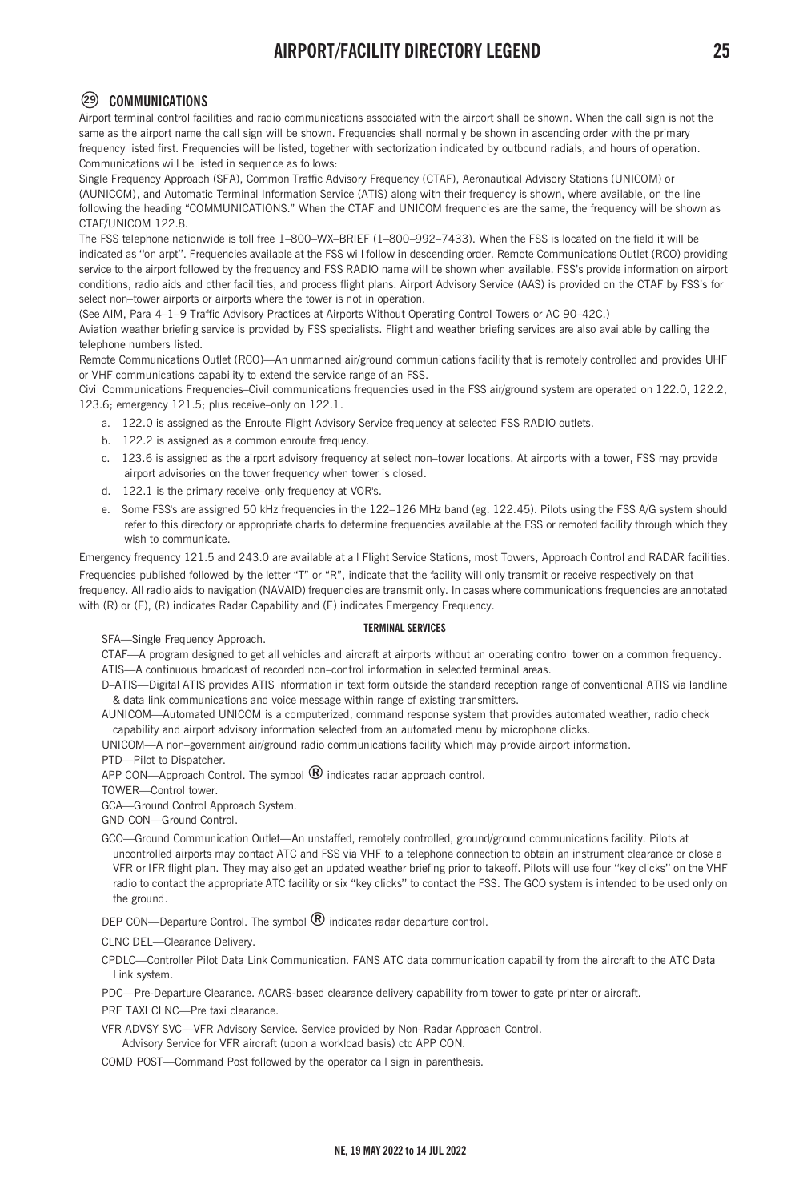## 29 COMMUNICATIONS

Airport terminal control facilities and radio communications associated with the airport shall be shown. When the call sign is not the same as the airport name the call sign will be shown. Frequencies shall normally be shown in ascending order with the primary frequency listed first. Frequencies will be listed, together with sectorization indicated by outbound radials, and hours of operation. Communications will be listed in sequence as follows:

Single Frequency Approach (SFA), Common Traffic Advisory Frequency (CTAF), Aeronautical Advisory Stations (UNICOM) or (AUNICOM), and Automatic Terminal Information Service (ATIS) along with their frequency is shown, where available, on the line following the heading "COMMUNICATIONS." When the CTAF and UNICOM frequencies are the same, the frequency will be shown as CTAF/UNICOM 122.8.

The FSS telephone nationwide is toll free 1-800-WX-BRIEF (1-800-992-7433). When the FSS is located on the field it will be indicated as "on arpt". Frequencies available at the FSS will follow in descending order. Remote Communications Outlet (RCO) providing service to the airport followed by the frequency and FSS RADIO name will be shown when available. FSS's provide information on airport conditions, radio aids and other facilities, and process flight plans. Airport Advisory Service (AAS) is provided on the CTAF by FSS's for select non-tower airports or airports where the tower is not in operation.

(See AIM, Para 4-1-9 Traffic Advisory Practices at Airports Without Operating Control Towers or AC 90-42C.)

Aviation weather briefing service is provided by FSS specialists. Flight and weather briefing services are also available by calling the telephone numbers listed.

Remote Communications Outlet (RCO)—An unmanned air/ground communications facility that is remotely controlled and provides UHF or VHF communications capability to extend the service range of an FSS.

Civil Communications Frequencies-Civil communications frequencies used in the FSS air/ground system are operated on 122.0, 122.2, 123.6; emergency 121.5; plus receive-only on 122.1.

- a. 122.0 is assigned as the Enroute Flight Advisory Service frequency at selected FSS RADIO outlets.
- b. 122.2 is assigned as a common enroute frequency.
- c. 123.6 is assigned as the airport advisory frequency at select non-tower locations. At airports with a tower, FSS may provide airport advisories on the tower frequency when tower is closed.
- d. 122.1 is the primary receive-only frequency at VOR's.
- e. Some FSS's are assigned 50 kHz frequencies in the 122-126 MHz band (eg. 122.45). Pilots using the FSS A/G system should refer to this directory or appropriate charts to determine frequencies available at the FSS or remoted facility through which they wish to communicate.

Emergency frequency 121.5 and 243.0 are available at all Flight Service Stations, most Towers, Approach Control and RADAR facilities. Frequencies published followed by the letter "T" or "R", indicate that the facility will only transmit or receive respectively on that frequency. All radio aids to navigation (NAVAID) frequencies are transmit only. In cases where communications frequencies are annotated with (R) or (E), (R) indicates Radar Capability and (E) indicates Emergency Frequency.

#### **TERMINAL SERVICES**

SFA-Single Frequency Approach.

CTAF—A program designed to get all vehicles and aircraft at airports without an operating control tower on a common frequency. ATIS-A continuous broadcast of recorded non-control information in selected terminal areas.

D-ATIS-Digital ATIS provides ATIS information in text form outside the standard reception range of conventional ATIS via landline & data link communications and voice message within range of existing transmitters.

AUNICOM—Automated UNICOM is a computerized, command response system that provides automated weather, radio check capability and airport advisory information selected from an automated menu by microphone clicks.

UNICOM-A non-government air/ground radio communications facility which may provide airport information.

PTD-Pilot to Dispatcher.

APP CON—Approach Control. The symbol  $\bigcirc$  indicates radar approach control.

TOWER-Control tower

GCA-Ground Control Approach System.

GND CON-Ground Control.

GCO-Ground Communication Outlet-An unstaffed, remotely controlled, ground/ground communications facility. Pilots at uncontrolled airports may contact ATC and FSS via VHF to a telephone connection to obtain an instrument clearance or close a VFR or IFR flight plan. They may also get an updated weather briefing prior to takeoff. Pilots will use four "key clicks" on the VHF radio to contact the appropriate ATC facility or six "key clicks" to contact the FSS. The GCO system is intended to be used only on the ground.

DEP CON—Departure Control. The symbol  $\bigcirc$  indicates radar departure control.

CLNC DEL-Clearance Delivery

CPDLC-Controller Pilot Data Link Communication. FANS ATC data communication capability from the aircraft to the ATC Data Link system.

PDC-Pre-Departure Clearance. ACARS-based clearance delivery capability from tower to gate printer or aircraft.

PRE TAXI CLNC-Pre taxi clearance.

VFR ADVSY SVC-VFR Advisory Service. Service provided by Non-Radar Approach Control. Advisory Service for VFR aircraft (upon a workload basis) ctc APP CON.

COMD POST-Command Post followed by the operator call sign in parenthesis.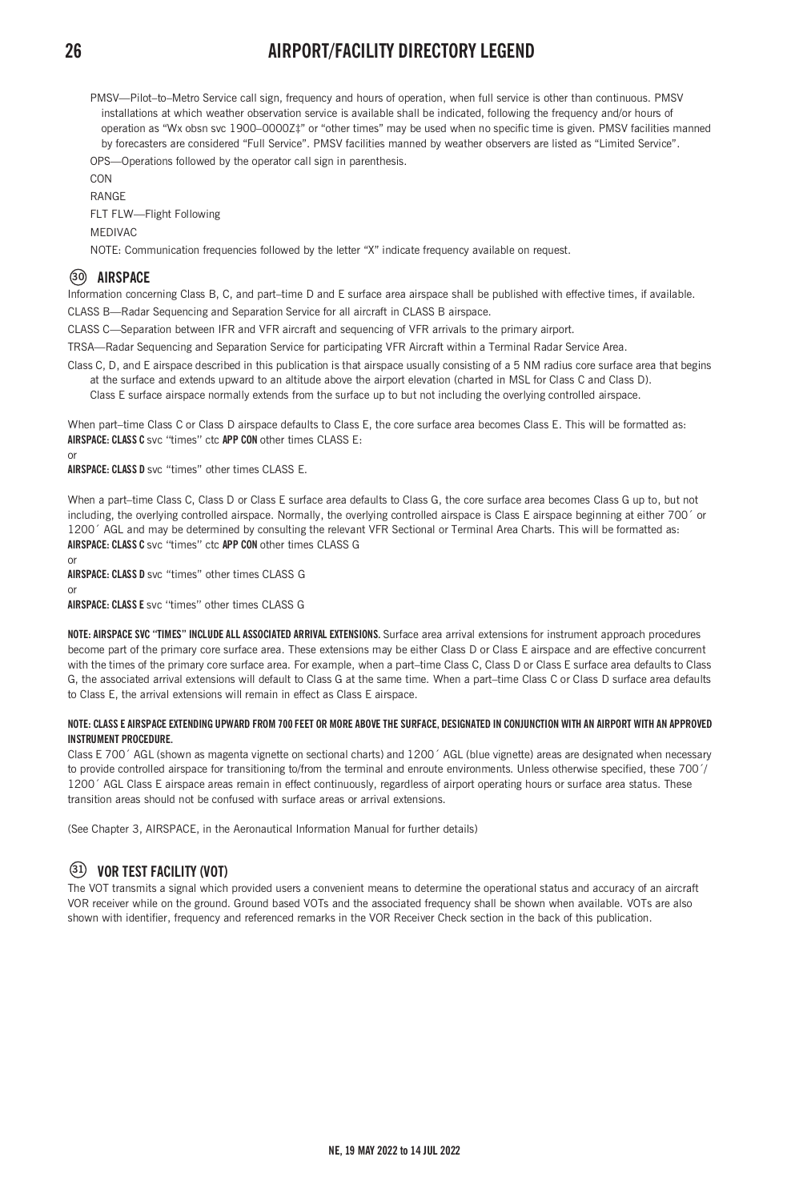PMSV-Pilot-to-Metro Service call sign, frequency and hours of operation, when full service is other than continuous. PMSV installations at which weather observation service is available shall be indicated, following the frequency and/or hours of operation as "Wx obsn svc 1900-0000Z‡" or "other times" may be used when no specific time is given. PMSV facilities manned by forecasters are considered "Full Service". PMSV facilities manned by weather observers are listed as "Limited Service". OPS-Operations followed by the operator call sign in parenthesis.

CON RANGE

FLT FLW-Flight Following

**MEDIVAC** 

NOTE: Communication frequencies followed by the letter "X" indicate frequency available on request.

### (30) AIRSPACE

 $\alpha r$ 

Information concerning Class B, C, and part-time D and E surface area airspace shall be published with effective times, if available.

CLASS B-Radar Sequencing and Separation Service for all aircraft in CLASS B airspace.

CLASS C-Separation between IFR and VFR aircraft and sequencing of VFR arrivals to the primary airport.

TRSA-Radar Sequencing and Separation Service for participating VFR Aircraft within a Terminal Radar Service Area.

Class C, D, and E airspace described in this publication is that airspace usually consisting of a 5 NM radius core surface area that begins at the surface and extends upward to an altitude above the airport elevation (charted in MSL for Class C and Class D). Class E surface airspace normally extends from the surface up to but not including the overlying controlled airspace.

When part-time Class C or Class D airspace defaults to Class E, the core surface area becomes Class E. This will be formatted as: AIRSPACE: CLASS C svc "times" ctc APP CON other times CLASS E:

AIRSPACE: CLASS D svc "times" other times CLASS E.

When a part-time Class C, Class D or Class E surface area defaults to Class G, the core surface area becomes Class G up to, but not including, the overlying controlled airspace. Normally, the overlying controlled airspace is Class E airspace beginning at either 700' or 1200' AGL and may be determined by consulting the relevant VFR Sectional or Terminal Area Charts. This will be formatted as: AIRSPACE: CLASS C svc "times" ctc APP CON other times CLASS G

AIRSPACE: CLASS D svc "times" other times CLASS G  $\alpha$ 

AIRSPACE: CLASS E svc "times" other times CLASS G

NOTE: AIRSPACE SVC "TIMES" INCLUDE ALL ASSOCIATED ARRIVAL EXTENSIONS. Surface area arrival extensions for instrument approach procedures become part of the primary core surface area. These extensions may be either Class D or Class E airspace and are effective concurrent with the times of the primary core surface area. For example, when a part-time Class C, Class D or Class E surface area defaults to Class G, the associated arrival extensions will default to Class G at the same time. When a part-time Class C or Class D surface area defaults to Class E, the arrival extensions will remain in effect as Class E airspace.

#### NOTE: CLASS E AIRSPACE EXTENDING UPWARD FROM 700 FEET OR MORE ABOVE THE SURFACE. DESIGNATED IN CONJUNCTION WITH AN AIRPORT WITH AN APPROVED **INSTRIIMENT PROCEDIIRE**

Class E 700' AGL (shown as magenta vignette on sectional charts) and 1200' AGL (blue vignette) areas are designated when necessary to provide controlled airspace for transitioning to/from the terminal and enroute environments. Unless otherwise specified, these 700 $'$ 1200' AGL Class E airspace areas remain in effect continuously, regardless of airport operating hours or surface area status. These transition areas should not be confused with surface areas or arrival extensions.

(See Chapter 3, AIRSPACE, in the Aeronautical Information Manual for further details)

### (31) VOR TEST FACILITY (VOT)

The VOT transmits a signal which provided users a convenient means to determine the operational status and accuracy of an aircraft VOR receiver while on the ground. Ground based VOTs and the associated frequency shall be shown when available. VOTs are also shown with identifier, frequency and referenced remarks in the VOR Receiver Check section in the back of this publication.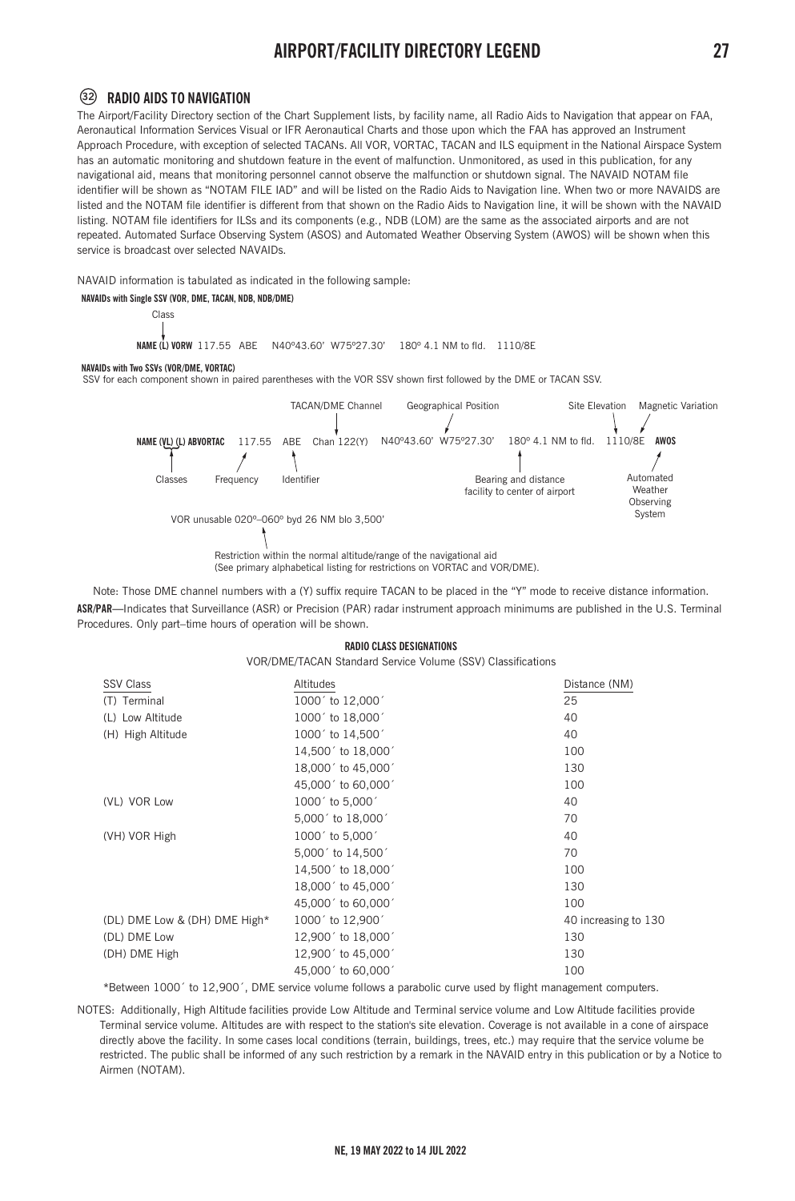### 32 RADIO AIDS TO NAVIGATION

The Airport/Facility Directory section of the Chart Supplement lists, by facility name, all Radio Aids to Navigation that appear on FAA, Aeronautical Information Services Visual or IFR Aeronautical Charts and those upon which the FAA has approved an Instrument Approach Procedure, with exception of selected TACANs. All VOR, VORTAC, TACAN and ILS equipment in the National Airspace System has an automatic monitoring and shutdown feature in the event of malfunction. Unmonitored, as used in this publication, for any navigational aid, means that monitoring personnel cannot observe the malfunction or shutdown signal. The NAVAID NOTAM file identifier will be shown as "NOTAM FILE IAD" and will be listed on the Radio Aids to Navigation line. When two or more NAVAIDS are listed and the NOTAM file identifier is different from that shown on the Radio Aids to Navigation line, it will be shown with the NAVAID listing. NOTAM file identifiers for ILSs and its components (e.g., NDB (LOM) are the same as the associated airports and are not repeated. Automated Surface Observing System (ASOS) and Automated Weather Observing System (AWOS) will be shown when this service is broadcast over selected NAVAIDs.

NAVAID information is tabulated as indicated in the following sample:

NAVAIDs with Single SSV (VOR. DME, TACAN, NDB, NDB/DME)

Class NAME (L) VORW 117.55 ABE N40°43.60' W75°27.30' 180° 4.1 NM to fld. 1110/8E

#### NAVAIDs with Two SSVs (VOR/DMF VORTAC)

SSV for each component shown in paired parentheses with the VOR SSV shown first followed by the DME or TACAN SSV.



Note: Those DME channel numbers with a (Y) suffix require TACAN to be placed in the "Y" mode to receive distance information.

ASR/PAR—Indicates that Surveillance (ASR) or Precision (PAR) radar instrument approach minimums are published in the U.S. Terminal Procedures. Only part-time hours of operation will be shown.

#### **RADIO CLASS DESIGNATIONS**

VOR/DME/TACAN Standard Service Volume (SSV) Classifications

| <b>SSV Class</b>              | Altitudes          | Distance (NM)        |
|-------------------------------|--------------------|----------------------|
| (T) Terminal                  | 1000' to 12,000'   | 25                   |
| (L) Low Altitude              | 1000' to 18,000'   | 40                   |
| (H) High Altitude             | 1000' to 14,500'   | 40                   |
|                               | 14,500' to 18,000' | 100                  |
|                               | 18,000' to 45,000' | 130                  |
|                               | 45,000 to 60,000   | 100                  |
| (VL) VOR Low                  | 1000' to 5.000'    | 40                   |
|                               | 5,000' to 18,000'  | 70                   |
| (VH) VOR High                 | 1000' to 5,000'    | 40                   |
|                               | 5,000' to 14,500'  | 70                   |
|                               | 14,500' to 18,000' | 100                  |
|                               | 18,000' to 45,000' | 130                  |
|                               | 45,000' to 60,000' | 100                  |
| (DL) DME Low & (DH) DME High* | 1000' to 12,900'   | 40 increasing to 130 |
| (DL) DME Low                  | 12,900' to 18,000' | 130                  |
| (DH) DME High                 | 12,900' to 45,000' | 130                  |
|                               | 45,000' to 60,000' | 100                  |

\*Between 1000' to 12,900', DME service volume follows a parabolic curve used by flight management computers.

NOTES: Additionally, High Altitude facilities provide Low Altitude and Terminal service volume and Low Altitude facilities provide Terminal service volume. Altitudes are with respect to the station's site elevation. Coverage is not available in a cone of airspace directly above the facility. In some cases local conditions (terrain, buildings, trees, etc.) may require that the service volume be restricted. The public shall be informed of any such restriction by a remark in the NAVAID entry in this publication or by a Notice to Airmen (NOTAM)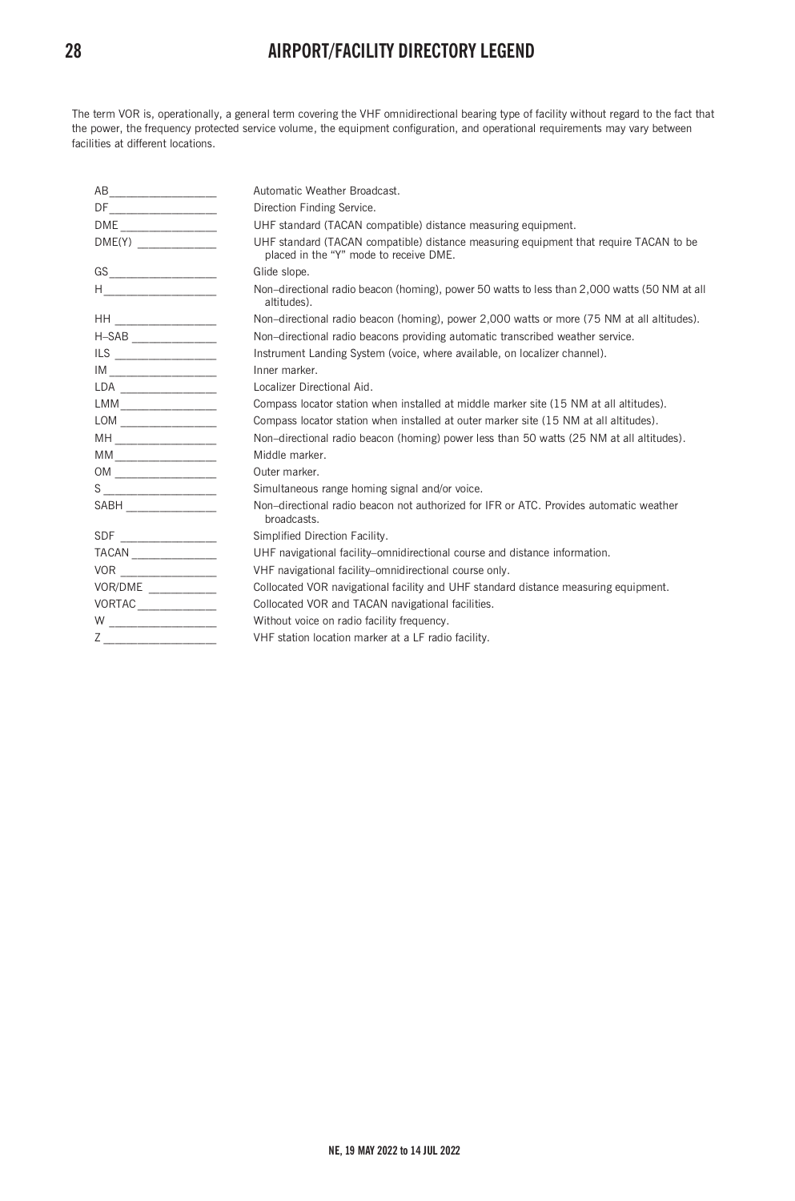The term VOR is, operationally, a general term covering the VHF omnidirectional bearing type of facility without regard to the fact that the power, the frequency protected service volume, the equipment configuration, and operational requirements may vary between facilities at different locations.

| Automatic Weather Broadcast.                                                                                                    |
|---------------------------------------------------------------------------------------------------------------------------------|
| Direction Finding Service.                                                                                                      |
| UHF standard (TACAN compatible) distance measuring equipment.                                                                   |
| UHF standard (TACAN compatible) distance measuring equipment that require TACAN to be<br>placed in the "Y" mode to receive DME. |
| Glide slope.                                                                                                                    |
| Non-directional radio beacon (homing), power 50 watts to less than 2,000 watts (50 NM at all<br>altitudes).                     |
| Non-directional radio beacon (homing), power 2,000 watts or more (75 NM at all altitudes).                                      |
| Non-directional radio beacons providing automatic transcribed weather service.                                                  |
| Instrument Landing System (voice, where available, on localizer channel).                                                       |
| Inner marker.                                                                                                                   |
| Localizer Directional Aid.                                                                                                      |
| Compass locator station when installed at middle marker site (15 NM at all altitudes).                                          |
| Compass locator station when installed at outer marker site (15 NM at all altitudes).                                           |
| Non-directional radio beacon (homing) power less than 50 watts (25 NM at all altitudes).                                        |
| Middle marker.                                                                                                                  |
| Outer marker.                                                                                                                   |
| Simultaneous range homing signal and/or voice.                                                                                  |
| Non-directional radio beacon not authorized for IFR or ATC. Provides automatic weather<br>broadcasts.                           |
| Simplified Direction Facility.                                                                                                  |
| UHF navigational facility-omnidirectional course and distance information.                                                      |
| VHF navigational facility-omnidirectional course only.                                                                          |
| Collocated VOR navigational facility and UHF standard distance measuring equipment.                                             |
| Collocated VOR and TACAN navigational facilities.                                                                               |
| Without voice on radio facility frequency.                                                                                      |
| VHF station location marker at a LF radio facility.                                                                             |
|                                                                                                                                 |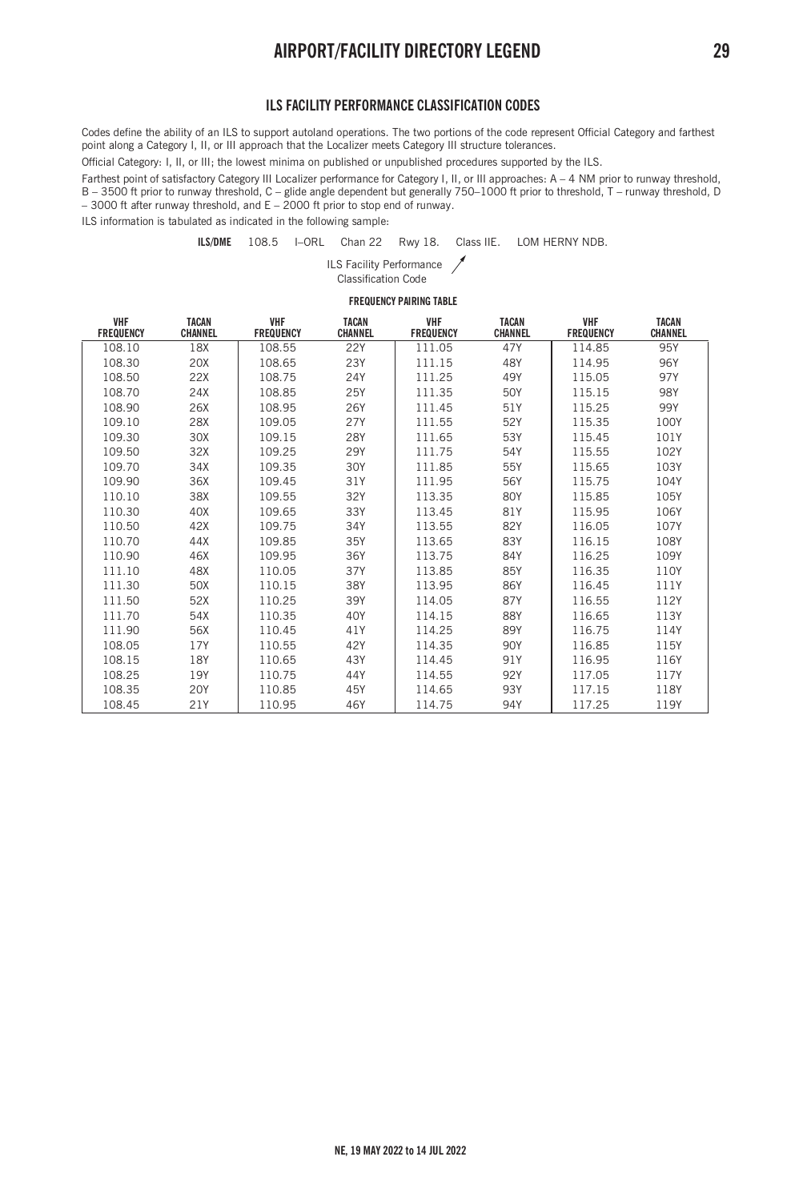### **ILS FACILITY PERFORMANCE CLASSIFICATION CODES**

Codes define the ability of an ILS to support autoland operations. The two portions of the code represent Official Category and farthest point along a Category I, II, or III approach that the Localizer meets Category III structure tolerances.

Official Category: I, II, or III; the lowest minima on published or unpublished procedures supported by the ILS.

Farthest point of satisfactory Category III Localizer performance for Category I, II, or III approaches: A - 4 NM prior to runway threshold, B - 3500 ft prior to runway threshold, C - glide angle dependent but generally 750-1000 ft prior to threshold, T - runway threshold, D - 3000 ft after runway threshold, and E - 2000 ft prior to stop end of runway.

ILS information is tabulated as indicated in the following sample:

ILS/DME 108.5 I-ORL Chan 22 Rwy 18. Class IIE. LOM HERNY NDB.

ILS Facility Performance

Classification Code

### **FREQUENCY PAIRING TABLE**

| <b>VHF</b><br><b>FREQUENCY</b> | <b>TACAN</b><br>CHANNEL | <b>VHF</b><br><b>FREQUENCY</b> | <b>TACAN</b><br><b>CHANNEL</b> | <b>VHF</b><br><b>FREQUENCY</b> | <b>TACAN</b><br><b>CHANNEL</b> | <b>VHF</b><br><b>FREQUENCY</b> | <b>TACAN</b><br><b>CHANNEL</b> |
|--------------------------------|-------------------------|--------------------------------|--------------------------------|--------------------------------|--------------------------------|--------------------------------|--------------------------------|
| 108.10                         | 18X                     | 108.55                         | 22Y                            | 111.05                         | 47Y                            | 114.85                         | 95Y                            |
| 108.30                         | 20X                     | 108.65                         | 23Y                            | 111.15                         | 48Y                            | 114.95                         | 96Y                            |
| 108.50                         | 22X                     | 108.75                         | 24Y                            | 111.25                         | 49Y                            | 115.05                         | 97Y                            |
| 108.70                         | 24X                     | 108.85                         | 25Y                            | 111.35                         | 50Y                            | 115.15                         | 98Y                            |
| 108.90                         | 26X                     | 108.95                         | 26Y                            | 111.45                         | 51Y                            | 115.25                         | 99Y                            |
| 109.10                         | 28X                     | 109.05                         | 27Y                            | 111.55                         | 52Y                            | 115.35                         | 100Y                           |
| 109.30                         | 30X                     | 109.15                         | 28Y                            | 111.65                         | 53Y                            | 115.45                         | 101Y                           |
| 109.50                         | 32X                     | 109.25                         | 29Y                            | 111.75                         | 54Y                            | 115.55                         | 102Y                           |
| 109.70                         | 34X                     | 109.35                         | 30Y                            | 111.85                         | 55Y                            | 115.65                         | 103Y                           |
| 109.90                         | 36X                     | 109.45                         | 31Y                            | 111.95                         | 56Y                            | 115.75                         | 104Y                           |
| 110.10                         | 38X                     | 109.55                         | 32Y                            | 113.35                         | 80Y                            | 115.85                         | 105Y                           |
| 110.30                         | 40X                     | 109.65                         | 33Y                            | 113.45                         | 81Y                            | 115.95                         | 106Y                           |
| 110.50                         | 42X                     | 109.75                         | 34Y                            | 113.55                         | 82Y                            | 116.05                         | 107Y                           |
| 110.70                         | 44X                     | 109.85                         | 35Y                            | 113.65                         | 83Y                            | 116.15                         | 108Y                           |
| 110.90                         | 46X                     | 109.95                         | 36Y                            | 113.75                         | 84Y                            | 116.25                         | 109Y                           |
| 111.10                         | 48X                     | 110.05                         | 37Y                            | 113.85                         | 85Y                            | 116.35                         | 110Y                           |
| 111.30                         | 50X                     | 110.15                         | 38Y                            | 113.95                         | 86Y                            | 116.45                         | 111Y                           |
| 111.50                         | 52X                     | 110.25                         | 39Y                            | 114.05                         | 87Y                            | 116.55                         | 112Y                           |
| 111.70                         | 54X                     | 110.35                         | 40Y                            | 114.15                         | 88Y                            | 116.65                         | 113Y                           |
| 111.90                         | 56X                     | 110.45                         | 41Y                            | 114.25                         | 89Y                            | 116.75                         | 114Y                           |
| 108.05                         | 17Y                     | 110.55                         | 42Y                            | 114.35                         | 90Y                            | 116.85                         | 115Y                           |
| 108.15                         | 18Y                     | 110.65                         | 43Y                            | 114.45                         | 91Y                            | 116.95                         | 116Y                           |
| 108.25                         | 19Y                     | 110.75                         | 44Y                            | 114.55                         | 92Y                            | 117.05                         | 117Y                           |
| 108.35                         | <b>20Y</b>              | 110.85                         | 45Y                            | 114.65                         | 93Y                            | 117.15                         | 118Y                           |
| 108.45                         | 21Y                     | 110.95                         | 46Y                            | 114.75                         | 94Y                            | 117.25                         | 119Y                           |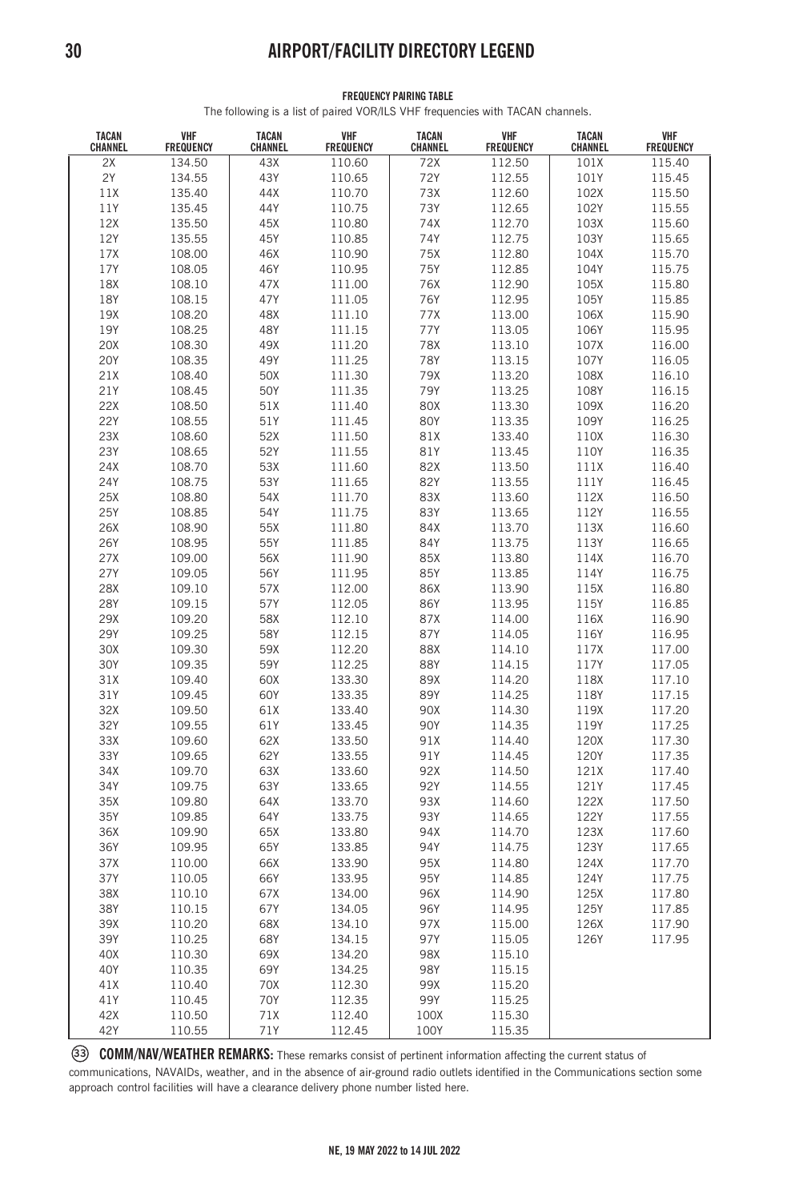#### **FREQUENCY PAIRING TABLE**

The following is a list of paired VOR/ILS VHF frequencies with TACAN channels.

| <b>TACAN</b><br>CHANNEL | <b>VHF</b><br><b>FREQUENCY</b> | <b>TACAN</b><br>CHANNEL | <b>VHF</b><br><b>FREQUENCY</b> | <b>TACAN</b><br>CHANNEL | <b>VHF</b><br><b>FREQUENCY</b> | <b>TACAN</b><br>CHANNEL | <b>VHF</b><br><b>FREQUENCY</b> |
|-------------------------|--------------------------------|-------------------------|--------------------------------|-------------------------|--------------------------------|-------------------------|--------------------------------|
| 2X                      | 134.50                         | 43X                     | 110.60                         | 72X                     | 112.50                         | 101X                    | 115.40                         |
| 2Y                      | 134.55                         | 43Y                     | 110.65                         | 72Y                     | 112.55                         | 101Y                    | 115.45                         |
| 11X                     | 135.40                         | 44X                     | 110.70                         | 73X                     | 112.60                         | 102X                    | 115.50                         |
| 11Y                     | 135.45                         | 44Y                     | 110.75                         | 73Y                     | 112.65                         | 102Y                    | 115.55                         |
| 12X                     | 135.50                         | 45X                     | 110.80                         | 74X                     | 112.70                         | 103X                    | 115.60                         |
| 12Y                     | 135.55                         | 45Y                     | 110.85                         | 74Y                     | 112.75                         | 103Y                    | 115.65                         |
| 17X                     | 108.00                         | 46X                     | 110.90                         | 75X                     | 112.80                         | 104X                    | 115.70                         |
| 17Y                     | 108.05                         | 46Y                     | 110.95                         | 75Y                     | 112.85                         | 104Y                    | 115.75                         |
| 18X                     | 108.10                         | 47X                     | 111.00                         | 76X                     | 112.90                         | 105X                    | 115.80                         |
| 18Y                     | 108.15                         | 47Y                     | 111.05                         | 76Y                     | 112.95                         | 105Y                    | 115.85                         |
| 19X                     | 108.20                         | 48X                     | 111.10                         | 77X                     | 113.00                         | 106X                    | 115.90                         |
| 19Y                     | 108.25                         | 48Y                     | 111.15                         | 77Y                     | 113.05                         | 106Y                    | 115.95                         |
| 20X                     | 108.30                         | 49X                     | 111.20                         | 78X                     | 113.10                         | 107X                    | 116.00                         |
| <b>20Y</b>              | 108.35                         | 49Y                     | 111.25                         | 78Y                     | 113.15                         | 107Y                    | 116.05                         |
| 21X                     | 108.40                         | 50X                     | 111.30                         | 79X                     | 113.20                         | 108X                    | 116.10                         |
| 21Y                     | 108.45                         | 50Y                     | 111.35                         | 79Y                     | 113.25                         | 108Y                    | 116.15                         |
| 22X                     | 108.50                         | 51X                     | 111.40                         | 80X                     | 113.30                         | 109X                    | 116.20                         |
| 22Y                     | 108.55                         | 51Y                     | 111.45                         | 80Y                     | 113.35                         | 109Y                    | 116.25                         |
| 23X                     | 108.60                         | 52X                     | 111.50                         | 81X                     | 133.40                         | 110X                    | 116.30                         |
| 23Y                     | 108.65                         | 52Y                     | 111.55                         | 81Y                     | 113.45                         | 110Y                    | 116.35                         |
| 24X                     | 108.70                         | 53X                     | 111.60                         | 82X                     | 113.50                         | 111X                    | 116.40                         |
| 24Y                     | 108.75                         | 53Y                     | 111.65                         | 82Y                     | 113.55                         | 111Y                    | 116.45                         |
| 25X                     | 108.80                         | 54X                     | 111.70                         | 83X                     | 113.60                         | 112X                    | 116.50                         |
| 25Y                     | 108.85                         | 54Y                     | 111.75                         | 83Y                     | 113.65                         | 112Y                    | 116.55                         |
| 26X                     | 108.90                         | 55X                     | 111.80                         | 84X                     | 113.70                         | 113X                    | 116.60                         |
| 26Y                     | 108.95                         | 55Y                     | 111.85                         | 84Y                     | 113.75                         | 113Y                    | 116.65                         |
| 27X                     | 109.00                         | 56X                     | 111.90                         | 85X                     | 113.80                         | 114X                    | 116.70                         |
| 27Y                     | 109.05                         | 56Y                     | 111.95                         | 85Y                     | 113.85                         | 114Y                    | 116.75                         |
| 28X                     | 109.10                         | 57X                     | 112.00                         | 86X                     | 113.90                         | 115X                    | 116.80                         |
| 28Y                     | 109.15                         | 57Y                     | 112.05                         | 86Y                     | 113.95                         | 115Y                    | 116.85                         |
| 29X                     | 109.20                         | 58X                     | 112.10                         | 87X                     | 114.00                         | 116X                    | 116.90                         |
| 29Y                     | 109.25                         | 58Y                     | 112.15                         | 87Y                     | 114.05                         | 116Y                    | 116.95                         |
| 30X                     | 109.30                         | 59X                     | 112.20                         | 88X                     | 114.10                         | 117X                    | 117.00                         |
| 30Y                     | 109.35                         | 59Y                     | 112.25                         | 88Y                     | 114.15                         | 117Y                    | 117.05                         |
| 31X                     | 109.40                         | 60X                     | 133.30                         | 89X                     | 114.20                         | 118X                    | 117.10                         |
| 31Y                     | 109.45                         | 60Y                     | 133.35                         | 89Y                     | 114.25                         | 118Y                    | 117.15                         |
| 32X                     | 109.50                         | 61X                     | 133.40                         | 90X                     | 114.30                         | 119X                    | 117.20                         |
| 32Y                     | 109.55                         | 61Y                     | 133.45                         | 90Y                     | 114.35                         | 119Y                    | 117.25                         |
| 33X                     | 109.60                         | 62X                     | 133.50                         | 91X                     | 114.40                         | 120X                    | 117.30                         |
| 33Y                     | 109.65                         | 62Y                     | 133.55                         | 91Y                     | 114.45                         | 120Y                    | 117.35                         |
| 34X                     | 109.70                         | 63X                     | 133.60                         | 92X                     | 114.50                         | 121X                    | 117.40                         |
| 34Y                     | 109.75                         | 63Y                     | 133.65                         | 92Y                     | 114.55                         | 121Y                    | 117.45                         |
| 35X                     | 109.80                         | 64X                     | 133.70                         | 93X                     | 114.60                         | 122X                    | 117.50                         |
| 35Y                     | 109.85                         | 64Y                     | 133.75                         | 93Y                     | 114.65                         | 122Y                    | 117.55                         |
| 36X                     | 109.90                         | 65X                     | 133.80                         | 94X                     | 114.70                         | 123X                    | 117.60                         |
| 36Y                     | 109.95                         | 65Y                     | 133.85                         | 94Y                     | 114.75                         | 123Y                    | 117.65                         |
| 37X                     | 110.00                         | 66X                     | 133.90                         | 95X                     | 114.80                         | 124X                    | 117.70                         |
| 37Y                     | 110.05                         | 66Y                     | 133.95                         | 95Y                     | 114.85                         | 124Y                    | 117.75                         |
| 38X                     | 110.10                         | 67X                     | 134.00                         | 96X                     | 114.90                         | 125X                    | 117.80                         |
| 38Y                     | 110.15                         | 67Y                     | 134.05                         | 96Y                     | 114.95                         | 125Y                    | 117.85                         |
| 39X                     | 110.20                         | 68X                     | 134.10                         | 97X                     | 115.00                         | 126X                    | 117.90                         |
| 39Y                     | 110.25                         | 68Y                     | 134.15                         | 97Y                     | 115.05                         | 126Y                    | 117.95                         |
| 40X                     | 110.30                         | 69X                     | 134.20                         | 98X                     | 115.10                         |                         |                                |
| 40Y                     | 110.35                         | 69Y                     | 134.25                         | 98Y                     | 115.15                         |                         |                                |
| 41X                     | 110.40                         | 70X                     | 112.30                         | 99X                     | 115.20                         |                         |                                |
| 41Y                     | 110.45                         | 70Y                     | 112.35                         | 99Y                     | 115.25                         |                         |                                |
| 42X                     | 110.50                         | 71X                     | 112.40                         | 100X                    | 115.30                         |                         |                                |
| 42Y                     | 110.55                         | 71Y                     | 112.45                         | 100Y                    | 115.35                         |                         |                                |

33 COMM/NAV/WEATHER REMARKS: These remarks consist of pertinent information affecting the current status of

communications, NAVAIDs, weather, and in the absence of air-ground radio outlets identified in the Communications section some approach control facilities will have a clearance delivery phone number listed here.